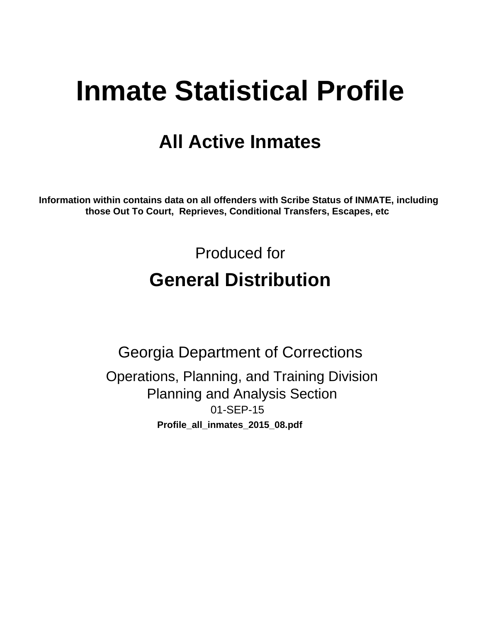# **Inmate Statistical Profile**

# **All Active Inmates**

Information within contains data on all offenders with Scribe Status of INMATE, including those Out To Court, Reprieves, Conditional Transfers, Escapes, etc

> Produced for **General Distribution**

**Georgia Department of Corrections** Operations, Planning, and Training Division **Planning and Analysis Section** 01-SEP-15 Profile\_all\_inmates\_2015\_08.pdf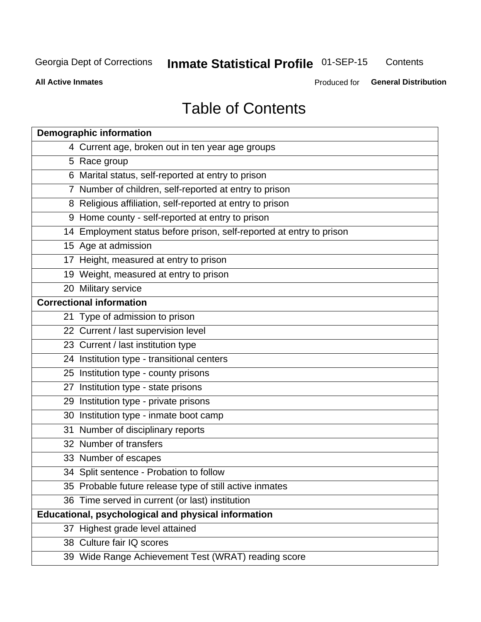#### **Inmate Statistical Profile 01-SEP-15** Contents

**All Active Inmates** 

Produced for General Distribution

# **Table of Contents**

| <b>Demographic information</b>                                       |
|----------------------------------------------------------------------|
| 4 Current age, broken out in ten year age groups                     |
| 5 Race group                                                         |
| 6 Marital status, self-reported at entry to prison                   |
| 7 Number of children, self-reported at entry to prison               |
| 8 Religious affiliation, self-reported at entry to prison            |
| 9 Home county - self-reported at entry to prison                     |
| 14 Employment status before prison, self-reported at entry to prison |
| 15 Age at admission                                                  |
| 17 Height, measured at entry to prison                               |
| 19 Weight, measured at entry to prison                               |
| 20 Military service                                                  |
| <b>Correctional information</b>                                      |
| 21 Type of admission to prison                                       |
| 22 Current / last supervision level                                  |
| 23 Current / last institution type                                   |
| 24 Institution type - transitional centers                           |
| 25 Institution type - county prisons                                 |
| 27 Institution type - state prisons                                  |
| 29 Institution type - private prisons                                |
| 30 Institution type - inmate boot camp                               |
| 31 Number of disciplinary reports                                    |
| 32 Number of transfers                                               |
| 33 Number of escapes                                                 |
| 34 Split sentence - Probation to follow                              |
| 35 Probable future release type of still active inmates              |
| 36 Time served in current (or last) institution                      |
| <b>Educational, psychological and physical information</b>           |
| 37 Highest grade level attained                                      |
| 38 Culture fair IQ scores                                            |
| 39 Wide Range Achievement Test (WRAT) reading score                  |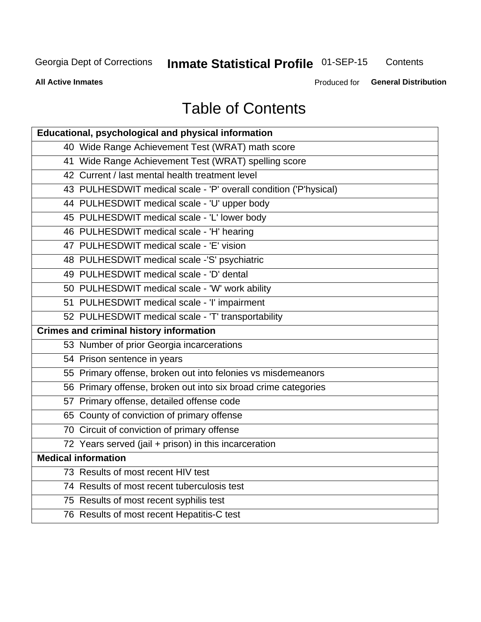# **Inmate Statistical Profile 01-SEP-15**

Contents

**All Active Inmates** 

Produced for General Distribution

# **Table of Contents**

| Educational, psychological and physical information              |
|------------------------------------------------------------------|
| 40 Wide Range Achievement Test (WRAT) math score                 |
| 41 Wide Range Achievement Test (WRAT) spelling score             |
| 42 Current / last mental health treatment level                  |
| 43 PULHESDWIT medical scale - 'P' overall condition ('P'hysical) |
| 44 PULHESDWIT medical scale - 'U' upper body                     |
| 45 PULHESDWIT medical scale - 'L' lower body                     |
| 46 PULHESDWIT medical scale - 'H' hearing                        |
| 47 PULHESDWIT medical scale - 'E' vision                         |
| 48 PULHESDWIT medical scale -'S' psychiatric                     |
| 49 PULHESDWIT medical scale - 'D' dental                         |
| 50 PULHESDWIT medical scale - 'W' work ability                   |
| 51 PULHESDWIT medical scale - 'I' impairment                     |
| 52 PULHESDWIT medical scale - 'T' transportability               |
|                                                                  |
| <b>Crimes and criminal history information</b>                   |
| 53 Number of prior Georgia incarcerations                        |
| 54 Prison sentence in years                                      |
| 55 Primary offense, broken out into felonies vs misdemeanors     |
| 56 Primary offense, broken out into six broad crime categories   |
| 57 Primary offense, detailed offense code                        |
| 65 County of conviction of primary offense                       |
| 70 Circuit of conviction of primary offense                      |
| 72 Years served (jail + prison) in this incarceration            |
| <b>Medical information</b>                                       |
| 73 Results of most recent HIV test                               |
| 74 Results of most recent tuberculosis test                      |
| 75 Results of most recent syphilis test                          |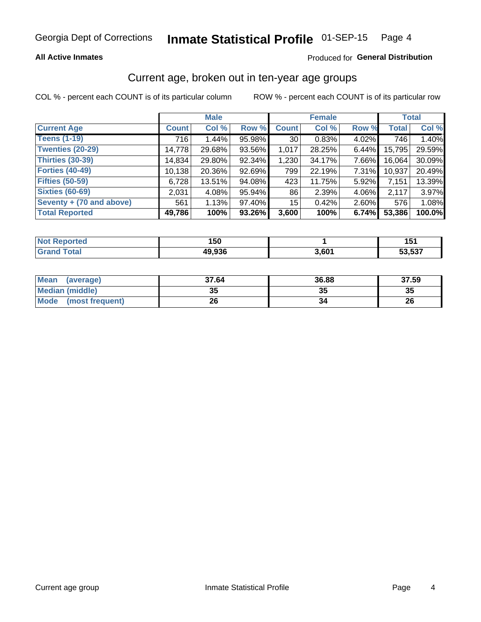### **All Active Inmates**

### Produced for General Distribution

### Current age, broken out in ten-year age groups

COL % - percent each COUNT is of its particular column

|                          | <b>Male</b>  |        |        | <b>Female</b>   |        |          | <b>Total</b> |        |
|--------------------------|--------------|--------|--------|-----------------|--------|----------|--------------|--------|
| <b>Current Age</b>       | <b>Count</b> | Col %  | Row %  | <b>Count</b>    | Col %  | Row %    | <b>Total</b> | Col %  |
| <b>Teens (1-19)</b>      | 716          | 1.44%  | 95.98% | 30 <sup>1</sup> | 0.83%  | 4.02%    | 746          | 1.40%  |
| <b>Twenties (20-29)</b>  | 14,778       | 29.68% | 93.56% | 1,017           | 28.25% | $6.44\%$ | 15,795       | 29.59% |
| Thirties (30-39)         | 14,834       | 29.80% | 92.34% | 1,230           | 34.17% | 7.66%    | 16,064       | 30.09% |
| <b>Forties (40-49)</b>   | 10,138       | 20.36% | 92.69% | 799             | 22.19% | 7.31%    | 10,937       | 20.49% |
| <b>Fifties (50-59)</b>   | 6,728        | 13.51% | 94.08% | 423             | 11.75% | 5.92%    | 7,151        | 13.39% |
| <b>Sixties (60-69)</b>   | 2.031        | 4.08%  | 95.94% | 86              | 2.39%  | 4.06%    | 2,117        | 3.97%  |
| Seventy + (70 and above) | 561          | 1.13%  | 97.40% | 15 <sup>2</sup> | 0.42%  | $2.60\%$ | 576          | 1.08%  |
| <b>Total Reported</b>    | 49,786       | 100%   | 93.26% | 3,600           | 100%   | 6.74%    | 53,386       | 100.0% |

| `≏norted   | .      |       | .             |
|------------|--------|-------|---------------|
| <b>NOT</b> | טכו    |       | וטו           |
| Total      | 49,936 | 3.60' | 50E27<br>ა.აა |

| <b>Mean</b><br>(average)       | 37.64    | 36.88 | 37.59 |
|--------------------------------|----------|-------|-------|
| Median (middle)                | つん<br>vu | JJ    | 35    |
| <b>Mode</b><br>(most frequent) | 26       |       | 26    |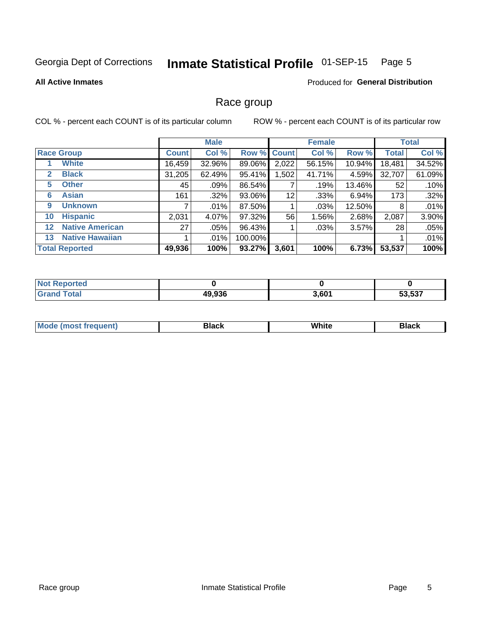#### Inmate Statistical Profile 01-SEP-15 Page 5

### **All Active Inmates**

### Produced for General Distribution

### Race group

COL % - percent each COUNT is of its particular column

|                   |                        |              | <b>Male</b> |         |             | <b>Female</b> |        |              | <b>Total</b> |  |
|-------------------|------------------------|--------------|-------------|---------|-------------|---------------|--------|--------------|--------------|--|
|                   | <b>Race Group</b>      | <b>Count</b> | Col %       |         | Row % Count | Col %         | Row %  | <b>Total</b> | Col %        |  |
|                   | <b>White</b>           | 16,459       | 32.96%      | 89.06%  | 2,022       | 56.15%        | 10.94% | 18,481       | 34.52%       |  |
| 2                 | <b>Black</b>           | 31,205       | 62.49%      | 95.41%  | ,502        | 41.71%        | 4.59%  | 32,707       | 61.09%       |  |
| 5                 | <b>Other</b>           | 45           | .09%        | 86.54%  |             | .19%          | 13.46% | 52           | .10%         |  |
| 6                 | <b>Asian</b>           | 161          | $.32\%$     | 93.06%  | 12          | .33%          | 6.94%  | 173          | .32%         |  |
| 9                 | <b>Unknown</b>         |              | $.01\%$     | 87.50%  |             | .03%          | 12.50% | 8            | .01%         |  |
| 10                | <b>Hispanic</b>        | 2,031        | 4.07%       | 97.32%  | 56          | 1.56%         | 2.68%  | 2,087        | 3.90%        |  |
| $12 \overline{ }$ | <b>Native American</b> | 27           | .05%        | 96.43%  |             | .03%          | 3.57%  | 28           | .05%         |  |
| 13                | <b>Native Hawaiian</b> |              | $.01\%$     | 100.00% |             |               |        |              | .01%         |  |
|                   | <b>Total Reported</b>  | 49,936       | 100%        | 93.27%  | 3,601       | 100%          | 6.73%  | 53,537       | 100%         |  |

| <b>Not Reported</b> |        |       |        |
|---------------------|--------|-------|--------|
| <b>Grand Total</b>  | 49,936 | 3,601 | 53,537 |

| <b>Mode</b><br>---<br>most frequent) | Black | White | <b>Black</b> |
|--------------------------------------|-------|-------|--------------|
|                                      |       |       |              |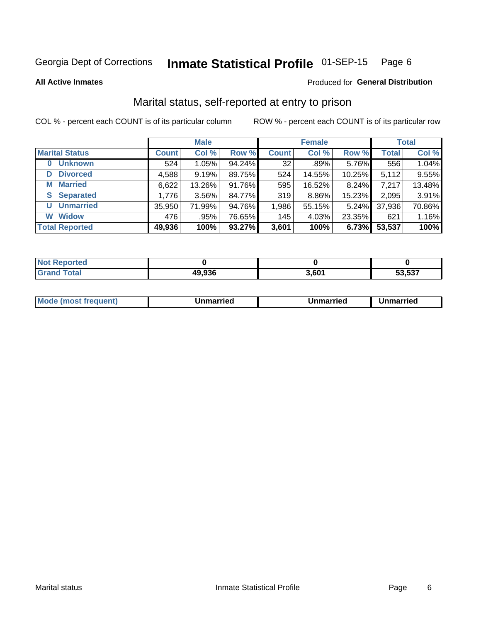#### Inmate Statistical Profile 01-SEP-15 Page 6

**All Active Inmates** 

#### Produced for General Distribution

### Marital status, self-reported at entry to prison

COL % - percent each COUNT is of its particular column

|                            | <b>Male</b>  |        |        |              | <b>Female</b> | <b>Total</b> |              |        |
|----------------------------|--------------|--------|--------|--------------|---------------|--------------|--------------|--------|
| <b>Marital Status</b>      | <b>Count</b> | Col %  | Row %  | <b>Count</b> | Col %         | Row %        | <b>Total</b> | Col %  |
| <b>Unknown</b><br>$\bf{0}$ | 524          | 1.05%  | 94.24% | 32           | $.89\%$       | 5.76%        | 556          | 1.04%  |
| <b>Divorced</b><br>D       | 4,588        | 9.19%  | 89.75% | 524          | 14.55%        | 10.25%       | 5,112        | 9.55%  |
| <b>Married</b><br>М        | 6,622        | 13.26% | 91.76% | 595          | 16.52%        | 8.24%        | 7,217        | 13.48% |
| <b>Separated</b><br>S.     | 1,776        | 3.56%  | 84.77% | 319          | 8.86%         | 15.23%       | 2,095        | 3.91%  |
| <b>Unmarried</b><br>U      | 35,950       | 71.99% | 94.76% | 1,986        | 55.15%        | 5.24%        | 37,936       | 70.86% |
| <b>Widow</b><br>W          | 476          | .95%   | 76.65% | 145          | 4.03%         | 23.35%       | 621          | 1.16%  |
| <b>Total Reported</b>      | 49,936       | 100%   | 93.27% | 3,601        | 100%          | 6.73%        | 53,537       | 100%   |

| orted<br>NO |                 |                |        |
|-------------|-----------------|----------------|--------|
| int         | .ממ חו<br>, YJO | $3.60^{\circ}$ | 53.537 |

|--|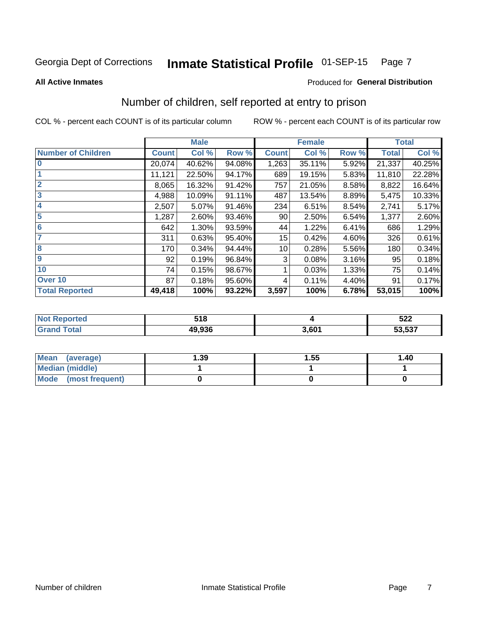#### Inmate Statistical Profile 01-SEP-15 Page 7

**All Active Inmates** 

#### Produced for General Distribution

### Number of children, self reported at entry to prison

COL % - percent each COUNT is of its particular column

|                           |              | <b>Male</b> |        |              | <b>Female</b> |       |              | <b>Total</b> |
|---------------------------|--------------|-------------|--------|--------------|---------------|-------|--------------|--------------|
| <b>Number of Children</b> | <b>Count</b> | Col %       | Row %  | <b>Count</b> | Col %         | Row % | <b>Total</b> | Col %        |
| $\bf{0}$                  | 20,074       | 40.62%      | 94.08% | 1,263        | 35.11%        | 5.92% | 21,337       | 40.25%       |
|                           | 11,121       | 22.50%      | 94.17% | 689          | 19.15%        | 5.83% | 11,810       | 22.28%       |
| $\overline{2}$            | 8,065        | 16.32%      | 91.42% | 757          | 21.05%        | 8.58% | 8,822        | 16.64%       |
| 3                         | 4,988        | 10.09%      | 91.11% | 487          | 13.54%        | 8.89% | 5,475        | 10.33%       |
| 4                         | 2,507        | 5.07%       | 91.46% | 234          | 6.51%         | 8.54% | 2,741        | 5.17%        |
| 5                         | 1,287        | 2.60%       | 93.46% | 90           | 2.50%         | 6.54% | 1,377        | 2.60%        |
| $6\phantom{1}6$           | 642          | 1.30%       | 93.59% | 44           | 1.22%         | 6.41% | 686          | 1.29%        |
| 7                         | 311          | 0.63%       | 95.40% | 15           | 0.42%         | 4.60% | 326          | 0.61%        |
| 8                         | 170          | 0.34%       | 94.44% | 10           | 0.28%         | 5.56% | 180          | 0.34%        |
| 9                         | 92           | 0.19%       | 96.84% | 3            | 0.08%         | 3.16% | 95           | 0.18%        |
| 10                        | 74           | 0.15%       | 98.67% |              | 0.03%         | 1.33% | 75           | 0.14%        |
| Over 10                   | 87           | 0.18%       | 95.60% | 4            | 0.11%         | 4.40% | 91           | 0.17%        |
| <b>Total Reported</b>     | 49,418       | 100%        | 93.22% | 3,597        | 100%          | 6.78% | 53,015       | 100%         |

| ттр. | 54 O<br><u>ວ ເ ດ</u> |                | 522                |
|------|----------------------|----------------|--------------------|
|      | ימה הג<br>           | $5.60^{\circ}$ | $E_2E_2$<br>33.337 |

| Mean (average)         | 1.39 | 1.55 | 1.40 |
|------------------------|------|------|------|
| <b>Median (middle)</b> |      |      |      |
| Mode (most frequent)   |      |      |      |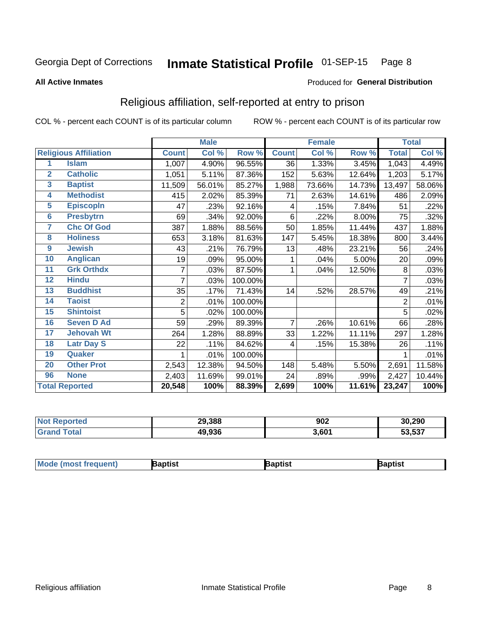#### Inmate Statistical Profile 01-SEP-15 Page 8

#### **All Active Inmates**

#### Produced for General Distribution

### Religious affiliation, self-reported at entry to prison

COL % - percent each COUNT is of its particular column

|                |                              |              | <b>Male</b> |         |              | <b>Female</b> |        |              | <b>Total</b> |
|----------------|------------------------------|--------------|-------------|---------|--------------|---------------|--------|--------------|--------------|
|                | <b>Religious Affiliation</b> | <b>Count</b> | Col %       | Row %   | <b>Count</b> | Col %         | Row %  | <b>Total</b> | Col %        |
| 1              | <b>Islam</b>                 | 1,007        | 4.90%       | 96.55%  | 36           | 1.33%         | 3.45%  | 1,043        | 4.49%        |
| $\overline{2}$ | <b>Catholic</b>              | 1,051        | 5.11%       | 87.36%  | 152          | 5.63%         | 12.64% | 1,203        | 5.17%        |
| 3              | <b>Baptist</b>               | 11,509       | 56.01%      | 85.27%  | 1,988        | 73.66%        | 14.73% | 13,497       | 58.06%       |
| 4              | <b>Methodist</b>             | 415          | 2.02%       | 85.39%  | 71           | 2.63%         | 14.61% | 486          | 2.09%        |
| 5              | <b>EpiscopIn</b>             | 47           | .23%        | 92.16%  | 4            | .15%          | 7.84%  | 51           | .22%         |
| $6\phantom{a}$ | <b>Presbytrn</b>             | 69           | .34%        | 92.00%  | 6            | .22%          | 8.00%  | 75           | .32%         |
| 7              | <b>Chc Of God</b>            | 387          | 1.88%       | 88.56%  | 50           | 1.85%         | 11.44% | 437          | 1.88%        |
| 8              | <b>Holiness</b>              | 653          | 3.18%       | 81.63%  | 147          | 5.45%         | 18.38% | 800          | 3.44%        |
| 9              | <b>Jewish</b>                | 43           | .21%        | 76.79%  | 13           | .48%          | 23.21% | 56           | .24%         |
| 10             | <b>Anglican</b>              | 19           | .09%        | 95.00%  | 1            | .04%          | 5.00%  | 20           | .09%         |
| 11             | <b>Grk Orthdx</b>            | 7            | .03%        | 87.50%  | 1            | .04%          | 12.50% | 8            | .03%         |
| 12             | <b>Hindu</b>                 | 7            | .03%        | 100.00% |              |               |        | 7            | .03%         |
| 13             | <b>Buddhist</b>              | 35           | .17%        | 71.43%  | 14           | .52%          | 28.57% | 49           | .21%         |
| 14             | <b>Taoist</b>                | 2            | .01%        | 100.00% |              |               |        | 2            | .01%         |
| 15             | <b>Shintoist</b>             | 5            | .02%        | 100.00% |              |               |        | 5            | .02%         |
| 16             | <b>Seven D Ad</b>            | 59           | .29%        | 89.39%  | 7            | .26%          | 10.61% | 66           | .28%         |
| 17             | <b>Jehovah Wt</b>            | 264          | 1.28%       | 88.89%  | 33           | 1.22%         | 11.11% | 297          | 1.28%        |
| 18             | <b>Latr Day S</b>            | 22           | .11%        | 84.62%  | 4            | .15%          | 15.38% | 26           | .11%         |
| 19             | Quaker                       |              | .01%        | 100.00% |              |               |        |              | .01%         |
| 20             | <b>Other Prot</b>            | 2,543        | 12.38%      | 94.50%  | 148          | 5.48%         | 5.50%  | 2,691        | 11.58%       |
| 96             | <b>None</b>                  | 2,403        | 11.69%      | 99.01%  | 24           | .89%          | .99%   | 2,427        | 10.44%       |
|                | <b>Total Reported</b>        | 20,548       | 100%        | 88.39%  | 2,699        | 100%          | 11.61% | 23,247       | 100%         |

| Reported<br>NO. | 29,388 | 902   | 30,290 |
|-----------------|--------|-------|--------|
| 'otal           | 49,936 | 3,601 | 53,537 |

| <b>Mode (most frequent)</b> | aptist | <b>3aptist</b> | 3aptist |
|-----------------------------|--------|----------------|---------|
|                             |        |                |         |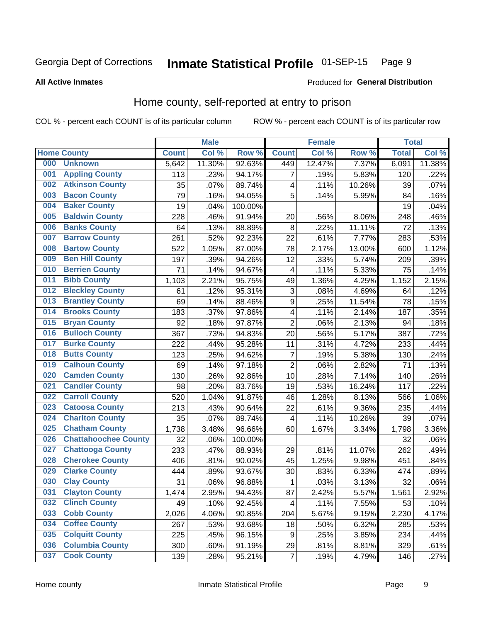#### Inmate Statistical Profile 01-SEP-15 Page 9

#### **All Active Inmates**

#### Produced for General Distribution

### Home county, self-reported at entry to prison

COL % - percent each COUNT is of its particular column

|     |                             |              | <b>Male</b> |                  |                  | <b>Female</b> |        | <b>Total</b> |        |
|-----|-----------------------------|--------------|-------------|------------------|------------------|---------------|--------|--------------|--------|
|     | <b>Home County</b>          | <b>Count</b> | Col %       | Row <sup>%</sup> | <b>Count</b>     | Col %         | Row %  | <b>Total</b> | Col %  |
| 000 | <b>Unknown</b>              | 5,642        | 11.30%      | 92.63%           | 449              | 12.47%        | 7.37%  | 6,091        | 11.38% |
| 001 | <b>Appling County</b>       | 113          | .23%        | 94.17%           | 7                | .19%          | 5.83%  | 120          | .22%   |
| 002 | <b>Atkinson County</b>      | 35           | .07%        | 89.74%           | 4                | .11%          | 10.26% | 39           | .07%   |
| 003 | <b>Bacon County</b>         | 79           | .16%        | 94.05%           | 5                | .14%          | 5.95%  | 84           | .16%   |
| 004 | <b>Baker County</b>         | 19           | .04%        | 100.00%          |                  |               |        | 19           | .04%   |
| 005 | <b>Baldwin County</b>       | 228          | .46%        | 91.94%           | 20               | .56%          | 8.06%  | 248          | .46%   |
| 006 | <b>Banks County</b>         | 64           | .13%        | 88.89%           | 8                | .22%          | 11.11% | 72           | .13%   |
| 007 | <b>Barrow County</b>        | 261          | .52%        | 92.23%           | 22               | .61%          | 7.77%  | 283          | .53%   |
| 008 | <b>Bartow County</b>        | 522          | 1.05%       | 87.00%           | 78               | 2.17%         | 13.00% | 600          | 1.12%  |
| 009 | <b>Ben Hill County</b>      | 197          | .39%        | 94.26%           | 12               | .33%          | 5.74%  | 209          | .39%   |
| 010 | <b>Berrien County</b>       | 71           | .14%        | 94.67%           | 4                | .11%          | 5.33%  | 75           | .14%   |
| 011 | <b>Bibb County</b>          | 1,103        | 2.21%       | 95.75%           | 49               | 1.36%         | 4.25%  | 1,152        | 2.15%  |
| 012 | <b>Bleckley County</b>      | 61           | .12%        | 95.31%           | 3                | .08%          | 4.69%  | 64           | .12%   |
| 013 | <b>Brantley County</b>      | 69           | .14%        | 88.46%           | $\boldsymbol{9}$ | .25%          | 11.54% | 78           | .15%   |
| 014 | <b>Brooks County</b>        | 183          | .37%        | 97.86%           | $\overline{4}$   | .11%          | 2.14%  | 187          | .35%   |
| 015 | <b>Bryan County</b>         | 92           | .18%        | 97.87%           | $\overline{2}$   | .06%          | 2.13%  | 94           | .18%   |
| 016 | <b>Bulloch County</b>       | 367          | .73%        | 94.83%           | 20               | .56%          | 5.17%  | 387          | .72%   |
| 017 | <b>Burke County</b>         | 222          | .44%        | 95.28%           | 11               | .31%          | 4.72%  | 233          | .44%   |
| 018 | <b>Butts County</b>         | 123          | .25%        | 94.62%           | $\overline{7}$   | .19%          | 5.38%  | 130          | .24%   |
| 019 | <b>Calhoun County</b>       | 69           | .14%        | 97.18%           | $\overline{2}$   | .06%          | 2.82%  | 71           | .13%   |
| 020 | <b>Camden County</b>        | 130          | .26%        | 92.86%           | 10               | .28%          | 7.14%  | 140          | .26%   |
| 021 | <b>Candler County</b>       | 98           | .20%        | 83.76%           | 19               | .53%          | 16.24% | 117          | .22%   |
| 022 | <b>Carroll County</b>       | 520          | 1.04%       | 91.87%           | 46               | 1.28%         | 8.13%  | 566          | 1.06%  |
| 023 | <b>Catoosa County</b>       | 213          | .43%        | 90.64%           | 22               | .61%          | 9.36%  | 235          | .44%   |
| 024 | <b>Charlton County</b>      | 35           | .07%        | 89.74%           | 4                | .11%          | 10.26% | 39           | .07%   |
| 025 | <b>Chatham County</b>       | 1,738        | 3.48%       | 96.66%           | 60               | 1.67%         | 3.34%  | 1,798        | 3.36%  |
| 026 | <b>Chattahoochee County</b> | 32           | .06%        | 100.00%          |                  |               |        | 32           | .06%   |
| 027 | <b>Chattooga County</b>     | 233          | .47%        | 88.93%           | 29               | .81%          | 11.07% | 262          | .49%   |
| 028 | <b>Cherokee County</b>      | 406          | .81%        | 90.02%           | 45               | 1.25%         | 9.98%  | 451          | .84%   |
| 029 | <b>Clarke County</b>        | 444          | .89%        | 93.67%           | 30               | .83%          | 6.33%  | 474          | .89%   |
| 030 | <b>Clay County</b>          | 31           | .06%        | 96.88%           | 1                | .03%          | 3.13%  | 32           | .06%   |
| 031 | <b>Clayton County</b>       | 1,474        | 2.95%       | 94.43%           | 87               | 2.42%         | 5.57%  | 1,561        | 2.92%  |
| 032 | <b>Clinch County</b>        | 49           | .10%        | 92.45%           | 4                | .11%          | 7.55%  | 53           | .10%   |
| 033 | <b>Cobb County</b>          | 2,026        | 4.06%       | 90.85%           | 204              | 5.67%         | 9.15%  | 2,230        | 4.17%  |
| 034 | <b>Coffee County</b>        | 267          | .53%        | 93.68%           | 18               | .50%          | 6.32%  | 285          | .53%   |
| 035 | <b>Colquitt County</b>      | 225          | .45%        | 96.15%           | 9                | .25%          | 3.85%  | 234          | .44%   |
| 036 | <b>Columbia County</b>      | 300          | .60%        | 91.19%           | 29               | .81%          | 8.81%  | 329          | .61%   |
| 037 | <b>Cook County</b>          | 139          | .28%        | 95.21%           | $\overline{7}$   | .19%          | 4.79%  | 146          | .27%   |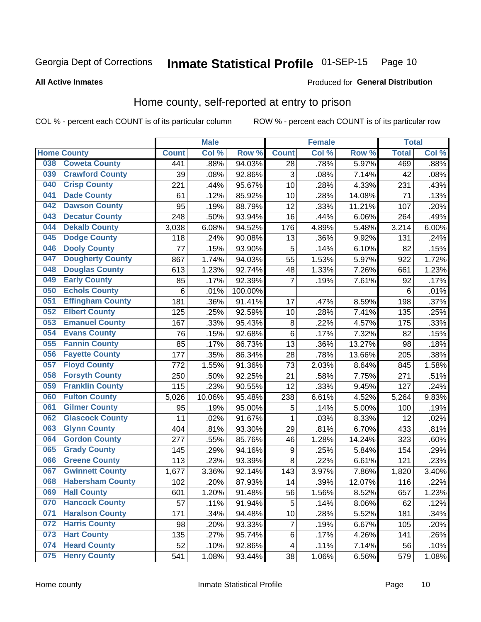#### Inmate Statistical Profile 01-SEP-15 Page 10

**All Active Inmates** 

### Produced for General Distribution

### Home county, self-reported at entry to prison

COL % - percent each COUNT is of its particular column

|     |                         |              | <b>Male</b> |                  |                           | <b>Female</b> |        | <b>Total</b> |       |
|-----|-------------------------|--------------|-------------|------------------|---------------------------|---------------|--------|--------------|-------|
|     | <b>Home County</b>      | <b>Count</b> | Col %       | Row <sup>%</sup> | <b>Count</b>              | Col %         | Row %  | <b>Total</b> | Col % |
| 038 | <b>Coweta County</b>    | 441          | .88%        | 94.03%           | 28                        | .78%          | 5.97%  | 469          | .88%  |
| 039 | <b>Crawford County</b>  | 39           | .08%        | 92.86%           | $\ensuremath{\mathsf{3}}$ | .08%          | 7.14%  | 42           | .08%  |
| 040 | <b>Crisp County</b>     | 221          | .44%        | 95.67%           | 10                        | .28%          | 4.33%  | 231          | .43%  |
| 041 | <b>Dade County</b>      | 61           | .12%        | 85.92%           | 10                        | .28%          | 14.08% | 71           | .13%  |
| 042 | <b>Dawson County</b>    | 95           | .19%        | 88.79%           | 12                        | .33%          | 11.21% | 107          | .20%  |
| 043 | <b>Decatur County</b>   | 248          | .50%        | 93.94%           | 16                        | .44%          | 6.06%  | 264          | .49%  |
| 044 | <b>Dekalb County</b>    | 3,038        | 6.08%       | 94.52%           | 176                       | 4.89%         | 5.48%  | 3,214        | 6.00% |
| 045 | <b>Dodge County</b>     | 118          | .24%        | 90.08%           | 13                        | .36%          | 9.92%  | 131          | .24%  |
| 046 | <b>Dooly County</b>     | 77           | .15%        | 93.90%           | 5                         | .14%          | 6.10%  | 82           | .15%  |
| 047 | <b>Dougherty County</b> | 867          | 1.74%       | 94.03%           | 55                        | 1.53%         | 5.97%  | 922          | 1.72% |
| 048 | <b>Douglas County</b>   | 613          | 1.23%       | 92.74%           | 48                        | 1.33%         | 7.26%  | 661          | 1.23% |
| 049 | <b>Early County</b>     | 85           | .17%        | 92.39%           | $\overline{7}$            | .19%          | 7.61%  | 92           | .17%  |
| 050 | <b>Echols County</b>    | 6            | .01%        | 100.00%          |                           |               |        | 6            | .01%  |
| 051 | <b>Effingham County</b> | 181          | .36%        | 91.41%           | 17                        | .47%          | 8.59%  | 198          | .37%  |
| 052 | <b>Elbert County</b>    | 125          | .25%        | 92.59%           | 10                        | .28%          | 7.41%  | 135          | .25%  |
| 053 | <b>Emanuel County</b>   | 167          | .33%        | 95.43%           | 8                         | .22%          | 4.57%  | 175          | .33%  |
| 054 | <b>Evans County</b>     | 76           | .15%        | 92.68%           | 6                         | .17%          | 7.32%  | 82           | .15%  |
| 055 | <b>Fannin County</b>    | 85           | .17%        | 86.73%           | 13                        | .36%          | 13.27% | 98           | .18%  |
| 056 | <b>Fayette County</b>   | 177          | .35%        | 86.34%           | 28                        | .78%          | 13.66% | 205          | .38%  |
| 057 | <b>Floyd County</b>     | 772          | 1.55%       | 91.36%           | 73                        | 2.03%         | 8.64%  | 845          | 1.58% |
| 058 | <b>Forsyth County</b>   | 250          | .50%        | 92.25%           | 21                        | .58%          | 7.75%  | 271          | .51%  |
| 059 | <b>Franklin County</b>  | 115          | .23%        | 90.55%           | 12                        | .33%          | 9.45%  | 127          | .24%  |
| 060 | <b>Fulton County</b>    | 5,026        | 10.06%      | 95.48%           | 238                       | 6.61%         | 4.52%  | 5,264        | 9.83% |
| 061 | <b>Gilmer County</b>    | 95           | .19%        | 95.00%           | 5                         | .14%          | 5.00%  | 100          | .19%  |
| 062 | <b>Glascock County</b>  | 11           | .02%        | 91.67%           | $\mathbf{1}$              | .03%          | 8.33%  | 12           | .02%  |
| 063 | <b>Glynn County</b>     | 404          | .81%        | 93.30%           | 29                        | .81%          | 6.70%  | 433          | .81%  |
| 064 | <b>Gordon County</b>    | 277          | .55%        | 85.76%           | 46                        | 1.28%         | 14.24% | 323          | .60%  |
| 065 | <b>Grady County</b>     | 145          | .29%        | 94.16%           | 9                         | .25%          | 5.84%  | 154          | .29%  |
| 066 | <b>Greene County</b>    | 113          | .23%        | 93.39%           | 8                         | .22%          | 6.61%  | 121          | .23%  |
| 067 | <b>Gwinnett County</b>  | 1,677        | 3.36%       | 92.14%           | 143                       | 3.97%         | 7.86%  | 1,820        | 3.40% |
| 068 | <b>Habersham County</b> | 102          | .20%        | 87.93%           | 14                        | .39%          | 12.07% | 116          | .22%  |
| 069 | <b>Hall County</b>      | 601          | 1.20%       | 91.48%           | 56                        | 1.56%         | 8.52%  | 657          | 1.23% |
| 070 | <b>Hancock County</b>   | 57           | .11%        | 91.94%           | 5                         | .14%          | 8.06%  | 62           | .12%  |
| 071 | <b>Haralson County</b>  | 171          | .34%        | 94.48%           | 10                        | .28%          | 5.52%  | 181          | .34%  |
| 072 | <b>Harris County</b>    | 98           | .20%        | 93.33%           | $\overline{7}$            | .19%          | 6.67%  | 105          | .20%  |
| 073 | <b>Hart County</b>      | 135          | .27%        | 95.74%           | 6                         | .17%          | 4.26%  | 141          | .26%  |
| 074 | <b>Heard County</b>     | 52           | .10%        | 92.86%           | $\overline{\mathbf{4}}$   | .11%          | 7.14%  | 56           | .10%  |
| 075 | <b>Henry County</b>     | 541          | 1.08%       | 93.44%           | 38                        | 1.06%         | 6.56%  | 579          | 1.08% |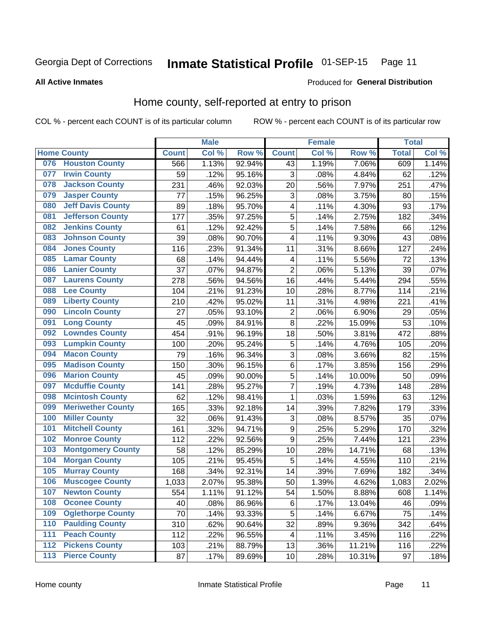#### Inmate Statistical Profile 01-SEP-15 Page 11

**All Active Inmates** 

### Produced for General Distribution

### Home county, self-reported at entry to prison

COL % - percent each COUNT is of its particular column

|                  |                          |              | <b>Male</b> |                  |                         | <b>Female</b> |        | <b>Total</b> |       |
|------------------|--------------------------|--------------|-------------|------------------|-------------------------|---------------|--------|--------------|-------|
|                  | <b>Home County</b>       | <b>Count</b> | Col %       | Row <sup>%</sup> | <b>Count</b>            | Col %         | Row %  | <b>Total</b> | Col % |
| 076              | <b>Houston County</b>    | 566          | 1.13%       | 92.94%           | 43                      | 1.19%         | 7.06%  | 609          | 1.14% |
| 077              | <b>Irwin County</b>      | 59           | .12%        | 95.16%           | 3                       | .08%          | 4.84%  | 62           | .12%  |
| 078              | <b>Jackson County</b>    | 231          | .46%        | 92.03%           | 20                      | .56%          | 7.97%  | 251          | .47%  |
| 079              | <b>Jasper County</b>     | 77           | .15%        | 96.25%           | 3                       | .08%          | 3.75%  | 80           | .15%  |
| 080              | <b>Jeff Davis County</b> | 89           | .18%        | 95.70%           | $\overline{\mathbf{4}}$ | .11%          | 4.30%  | 93           | .17%  |
| 081              | <b>Jefferson County</b>  | 177          | .35%        | 97.25%           | 5                       | .14%          | 2.75%  | 182          | .34%  |
| 082              | <b>Jenkins County</b>    | 61           | .12%        | 92.42%           | 5                       | .14%          | 7.58%  | 66           | .12%  |
| 083              | <b>Johnson County</b>    | 39           | .08%        | 90.70%           | $\overline{\mathbf{4}}$ | .11%          | 9.30%  | 43           | .08%  |
| 084              | <b>Jones County</b>      | 116          | .23%        | 91.34%           | 11                      | .31%          | 8.66%  | 127          | .24%  |
| 085              | <b>Lamar County</b>      | 68           | .14%        | 94.44%           | 4                       | .11%          | 5.56%  | 72           | .13%  |
| 086              | <b>Lanier County</b>     | 37           | .07%        | 94.87%           | $\overline{2}$          | .06%          | 5.13%  | 39           | .07%  |
| 087              | <b>Laurens County</b>    | 278          | .56%        | 94.56%           | 16                      | .44%          | 5.44%  | 294          | .55%  |
| 088              | <b>Lee County</b>        | 104          | .21%        | 91.23%           | 10                      | .28%          | 8.77%  | 114          | .21%  |
| 089              | <b>Liberty County</b>    | 210          | .42%        | 95.02%           | 11                      | .31%          | 4.98%  | 221          | .41%  |
| 090              | <b>Lincoln County</b>    | 27           | .05%        | 93.10%           | $\mathbf 2$             | .06%          | 6.90%  | 29           | .05%  |
| 091              | <b>Long County</b>       | 45           | .09%        | 84.91%           | 8                       | .22%          | 15.09% | 53           | .10%  |
| 092              | <b>Lowndes County</b>    | 454          | .91%        | 96.19%           | 18                      | .50%          | 3.81%  | 472          | .88%  |
| 093              | <b>Lumpkin County</b>    | 100          | .20%        | 95.24%           | 5                       | .14%          | 4.76%  | 105          | .20%  |
| 094              | <b>Macon County</b>      | 79           | .16%        | 96.34%           | 3                       | .08%          | 3.66%  | 82           | .15%  |
| 095              | <b>Madison County</b>    | 150          | .30%        | 96.15%           | 6                       | .17%          | 3.85%  | 156          | .29%  |
| 096              | <b>Marion County</b>     | 45           | .09%        | 90.00%           | 5                       | .14%          | 10.00% | 50           | .09%  |
| 097              | <b>Mcduffie County</b>   | 141          | .28%        | 95.27%           | 7                       | .19%          | 4.73%  | 148          | .28%  |
| 098              | <b>Mcintosh County</b>   | 62           | .12%        | 98.41%           | 1                       | .03%          | 1.59%  | 63           | .12%  |
| 099              | <b>Meriwether County</b> | 165          | .33%        | 92.18%           | 14                      | .39%          | 7.82%  | 179          | .33%  |
| 100              | <b>Miller County</b>     | 32           | .06%        | 91.43%           | 3                       | .08%          | 8.57%  | 35           | .07%  |
| 101              | <b>Mitchell County</b>   | 161          | .32%        | 94.71%           | $\boldsymbol{9}$        | .25%          | 5.29%  | 170          | .32%  |
| 102              | <b>Monroe County</b>     | 112          | .22%        | 92.56%           | $\overline{9}$          | .25%          | 7.44%  | 121          | .23%  |
| 103              | <b>Montgomery County</b> | 58           | .12%        | 85.29%           | 10                      | .28%          | 14.71% | 68           | .13%  |
| 104              | <b>Morgan County</b>     | 105          | .21%        | 95.45%           | 5                       | .14%          | 4.55%  | 110          | .21%  |
| 105              | <b>Murray County</b>     | 168          | .34%        | 92.31%           | 14                      | .39%          | 7.69%  | 182          | .34%  |
| 106              | <b>Muscogee County</b>   | 1,033        | 2.07%       | 95.38%           | 50                      | 1.39%         | 4.62%  | 1,083        | 2.02% |
| 107              | <b>Newton County</b>     | 554          | 1.11%       | 91.12%           | 54                      | 1.50%         | 8.88%  | 608          | 1.14% |
| 108              | <b>Oconee County</b>     | 40           | .08%        | 86.96%           | 6                       | .17%          | 13.04% | 46           | .09%  |
| 109              | <b>Oglethorpe County</b> | 70           | .14%        | 93.33%           | 5                       | .14%          | 6.67%  | 75           | .14%  |
| 110              | <b>Paulding County</b>   | 310          | .62%        | 90.64%           | 32                      | .89%          | 9.36%  | 342          | .64%  |
| 111              | <b>Peach County</b>      | 112          | .22%        | 96.55%           | $\overline{\mathbf{4}}$ | .11%          | 3.45%  | 116          | .22%  |
| $\overline{112}$ | <b>Pickens County</b>    | 103          | .21%        | 88.79%           | 13                      | .36%          | 11.21% | 116          | .22%  |
| 113              | <b>Pierce County</b>     | 87           | .17%        | 89.69%           | 10                      | .28%          | 10.31% | 97           | .18%  |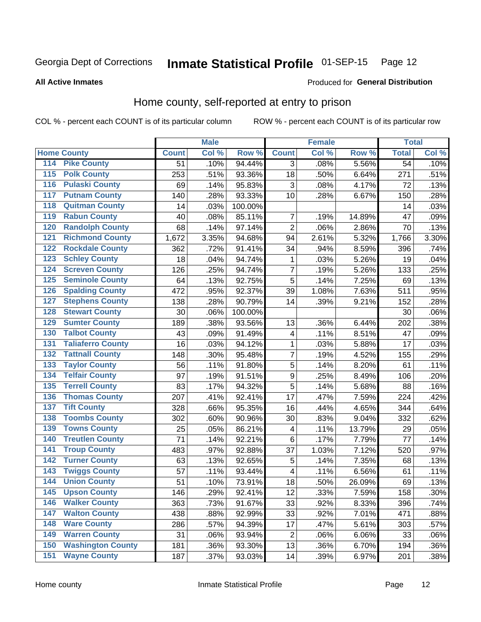#### Inmate Statistical Profile 01-SEP-15 Page 12

Produced for General Distribution

#### **All Active Inmates**

### Home county, self-reported at entry to prison

COL % - percent each COUNT is of its particular column

|     |                          |              | <b>Male</b> |         |                           | <b>Female</b> |        | <b>Total</b>    |       |
|-----|--------------------------|--------------|-------------|---------|---------------------------|---------------|--------|-----------------|-------|
|     | <b>Home County</b>       | <b>Count</b> | Col %       | Row %   | <b>Count</b>              | Col %         | Row %  | <b>Total</b>    | Col % |
| 114 | <b>Pike County</b>       | 51           | .10%        | 94.44%  | 3                         | .08%          | 5.56%  | $\overline{54}$ | .10%  |
| 115 | <b>Polk County</b>       | 253          | .51%        | 93.36%  | 18                        | .50%          | 6.64%  | 271             | .51%  |
| 116 | <b>Pulaski County</b>    | 69           | .14%        | 95.83%  | $\ensuremath{\mathsf{3}}$ | .08%          | 4.17%  | 72              | .13%  |
| 117 | <b>Putnam County</b>     | 140          | .28%        | 93.33%  | 10                        | .28%          | 6.67%  | 150             | .28%  |
| 118 | <b>Quitman County</b>    | 14           | .03%        | 100.00% |                           |               |        | 14              | .03%  |
| 119 | <b>Rabun County</b>      | 40           | .08%        | 85.11%  | $\overline{7}$            | .19%          | 14.89% | 47              | .09%  |
| 120 | <b>Randolph County</b>   | 68           | .14%        | 97.14%  | $\overline{2}$            | .06%          | 2.86%  | 70              | .13%  |
| 121 | <b>Richmond County</b>   | 1,672        | 3.35%       | 94.68%  | 94                        | 2.61%         | 5.32%  | 1,766           | 3.30% |
| 122 | <b>Rockdale County</b>   | 362          | .72%        | 91.41%  | 34                        | .94%          | 8.59%  | 396             | .74%  |
| 123 | <b>Schley County</b>     | 18           | .04%        | 94.74%  | $\mathbf 1$               | .03%          | 5.26%  | 19              | .04%  |
| 124 | <b>Screven County</b>    | 126          | .25%        | 94.74%  | $\overline{7}$            | .19%          | 5.26%  | 133             | .25%  |
| 125 | <b>Seminole County</b>   | 64           | .13%        | 92.75%  | 5                         | .14%          | 7.25%  | 69              | .13%  |
| 126 | <b>Spalding County</b>   | 472          | .95%        | 92.37%  | 39                        | 1.08%         | 7.63%  | 511             | .95%  |
| 127 | <b>Stephens County</b>   | 138          | .28%        | 90.79%  | 14                        | .39%          | 9.21%  | 152             | .28%  |
| 128 | <b>Stewart County</b>    | 30           | .06%        | 100.00% |                           |               |        | 30              | .06%  |
| 129 | <b>Sumter County</b>     | 189          | .38%        | 93.56%  | 13                        | .36%          | 6.44%  | 202             | .38%  |
| 130 | <b>Talbot County</b>     | 43           | .09%        | 91.49%  | $\overline{\mathbf{4}}$   | .11%          | 8.51%  | 47              | .09%  |
| 131 | <b>Taliaferro County</b> | 16           | .03%        | 94.12%  | $\mathbf 1$               | .03%          | 5.88%  | 17              | .03%  |
| 132 | <b>Tattnall County</b>   | 148          | .30%        | 95.48%  | $\overline{7}$            | .19%          | 4.52%  | 155             | .29%  |
| 133 | <b>Taylor County</b>     | 56           | .11%        | 91.80%  | 5                         | .14%          | 8.20%  | 61              | .11%  |
| 134 | <b>Telfair County</b>    | 97           | .19%        | 91.51%  | 9                         | .25%          | 8.49%  | 106             | .20%  |
| 135 | <b>Terrell County</b>    | 83           | .17%        | 94.32%  | 5                         | .14%          | 5.68%  | 88              | .16%  |
| 136 | <b>Thomas County</b>     | 207          | .41%        | 92.41%  | 17                        | .47%          | 7.59%  | 224             | .42%  |
| 137 | <b>Tift County</b>       | 328          | .66%        | 95.35%  | 16                        | .44%          | 4.65%  | 344             | .64%  |
| 138 | <b>Toombs County</b>     | 302          | .60%        | 90.96%  | 30                        | .83%          | 9.04%  | 332             | .62%  |
| 139 | <b>Towns County</b>      | 25           | .05%        | 86.21%  | $\overline{\mathbf{4}}$   | .11%          | 13.79% | 29              | .05%  |
| 140 | <b>Treutlen County</b>   | 71           | .14%        | 92.21%  | $\,6$                     | .17%          | 7.79%  | 77              | .14%  |
| 141 | <b>Troup County</b>      | 483          | .97%        | 92.88%  | 37                        | 1.03%         | 7.12%  | 520             | .97%  |
| 142 | <b>Turner County</b>     | 63           | .13%        | 92.65%  | 5                         | .14%          | 7.35%  | 68              | .13%  |
| 143 | <b>Twiggs County</b>     | 57           | .11%        | 93.44%  | 4                         | .11%          | 6.56%  | 61              | .11%  |
| 144 | <b>Union County</b>      | 51           | .10%        | 73.91%  | 18                        | .50%          | 26.09% | 69              | .13%  |
| 145 | <b>Upson County</b>      | 146          | .29%        | 92.41%  | 12                        | .33%          | 7.59%  | 158             | .30%  |
| 146 | <b>Walker County</b>     | 363          | .73%        | 91.67%  | 33                        | .92%          | 8.33%  | 396             | .74%  |
| 147 | <b>Walton County</b>     | 438          | .88%        | 92.99%  | 33                        | .92%          | 7.01%  | 471             | .88%  |
| 148 | <b>Ware County</b>       | 286          | .57%        | 94.39%  | 17                        | .47%          | 5.61%  | 303             | .57%  |
| 149 | <b>Warren County</b>     | 31           | .06%        | 93.94%  | $\overline{c}$            | .06%          | 6.06%  | 33              | .06%  |
| 150 | <b>Washington County</b> | 181          | .36%        | 93.30%  | 13                        | .36%          | 6.70%  | 194             | .36%  |
| 151 | <b>Wayne County</b>      | 187          | .37%        | 93.03%  | 14                        | .39%          | 6.97%  | 201             | .38%  |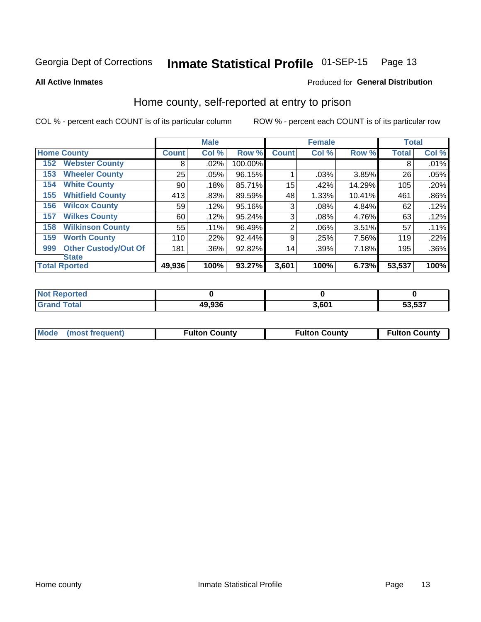#### Inmate Statistical Profile 01-SEP-15 Page 13

**All Active Inmates** 

### Produced for General Distribution

### Home county, self-reported at entry to prison

COL % - percent each COUNT is of its particular column

|     |                             |              | <b>Male</b> |         |                | <b>Female</b> |        | <b>Total</b> |         |
|-----|-----------------------------|--------------|-------------|---------|----------------|---------------|--------|--------------|---------|
|     | <b>Home County</b>          | <b>Count</b> | Col %       | Row %   | <b>Count</b>   | Col %         | Row %  | <b>Total</b> | Col %   |
| 152 | <b>Webster County</b>       | 8            | .02%        | 100.00% |                |               |        | 8            | .01%    |
| 153 | <b>Wheeler County</b>       | 25           | .05%        | 96.15%  |                | .03%          | 3.85%  | 26           | .05%    |
| 154 | <b>White County</b>         | 90           | .18%        | 85.71%  | 15             | .42%          | 14.29% | 105          | .20%    |
| 155 | <b>Whitfield County</b>     | 413          | .83%        | 89.59%  | 48             | 1.33%         | 10.41% | 461          | $.86\%$ |
| 156 | <b>Wilcox County</b>        | 59           | .12%        | 95.16%  | 3              | .08%          | 4.84%  | 62           | .12%    |
| 157 | <b>Wilkes County</b>        | 60           | .12%        | 95.24%  | 3              | .08%          | 4.76%  | 63           | .12%    |
| 158 | <b>Wilkinson County</b>     | 55           | $.11\%$     | 96.49%  | $\overline{2}$ | .06%          | 3.51%  | 57           | .11%    |
| 159 | <b>Worth County</b>         | 110          | .22%        | 92.44%  | 9              | .25%          | 7.56%  | 119          | .22%    |
| 999 | <b>Other Custody/Out Of</b> | 181          | .36%        | 92.82%  | 14             | .39%          | 7.18%  | 195          | $.36\%$ |
|     | <b>State</b>                |              |             |         |                |               |        |              |         |
|     | <b>Total Rported</b>        | 49,936       | 100%        | 93.27%  | 3,601          | 100%          | 6.73%  | 53,537       | 100%    |

| <b>Not</b><br>Reported |        |       |        |
|------------------------|--------|-------|--------|
| <b>Total</b>           | 49,936 | 3.601 | 53,537 |

|  | Mode (most frequent) | <b>Fulton County</b> | <b>Fulton County</b> | <b>Fulton County</b> |
|--|----------------------|----------------------|----------------------|----------------------|
|--|----------------------|----------------------|----------------------|----------------------|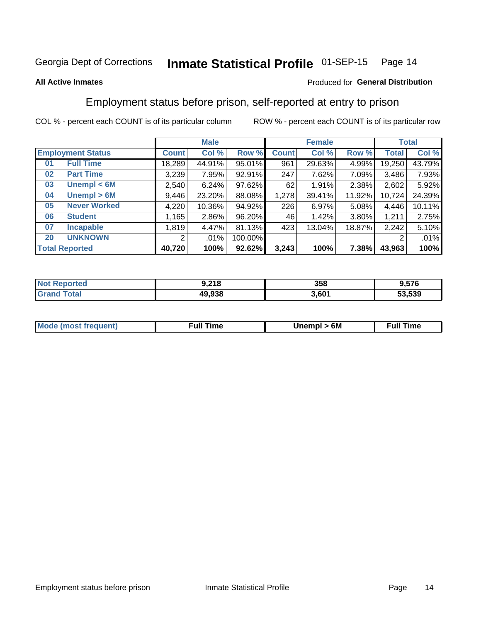#### Inmate Statistical Profile 01-SEP-15 Page 14

### **All Active Inmates**

### Produced for General Distribution

### Employment status before prison, self-reported at entry to prison

COL % - percent each COUNT is of its particular column

|                                    |              | <b>Male</b> |         |              | <b>Female</b> |        |        | <b>Total</b> |
|------------------------------------|--------------|-------------|---------|--------------|---------------|--------|--------|--------------|
| <b>Employment Status</b>           | <b>Count</b> | Col %       | Row %   | <b>Count</b> | Col %         | Row %  | Total  | Col %        |
| <b>Full Time</b><br>0 <sub>1</sub> | 18,289       | 44.91%      | 95.01%  | 961          | 29.63%        | 4.99%  | 19,250 | 43.79%       |
| <b>Part Time</b><br>02             | 3,239        | 7.95%       | 92.91%  | 247          | 7.62%         | 7.09%  | 3,486  | 7.93%        |
| Unempl $<$ 6M<br>03                | 2,540        | 6.24%       | 97.62%  | 62           | 1.91%         | 2.38%  | 2,602  | 5.92%        |
| Unempl > 6M<br>04                  | 9,446        | 23.20%      | 88.08%  | 1,278        | 39.41%        | 11.92% | 10,724 | 24.39%       |
| <b>Never Worked</b><br>05          | 4,220        | 10.36%      | 94.92%  | 226          | 6.97%         | 5.08%  | 4,446  | 10.11%       |
| <b>Student</b><br>06               | ,165         | 2.86%       | 96.20%  | 46           | 1.42%         | 3.80%  | 1,211  | 2.75%        |
| <b>Incapable</b><br>07             | 1,819        | 4.47%       | 81.13%  | 423          | 13.04%        | 18.87% | 2,242  | 5.10%        |
| <b>UNKNOWN</b><br>20               | 2            | .01%        | 100.00% |              |               |        | 2      | .01%         |
| <b>Total Reported</b>              | 40,720       | 100%        | 92.62%  | 3,243        | 100%          | 7.38%  | 43,963 | 100%         |

| <b>Not Reported</b> | 9,218  | 358   | 9,576  |
|---------------------|--------|-------|--------|
| <b>Grand Total</b>  | 49,938 | 3,601 | 53,539 |

| <b>Mode (most frequent)</b> | Unempl > 6M | <b>Full Time</b> |
|-----------------------------|-------------|------------------|
|                             |             |                  |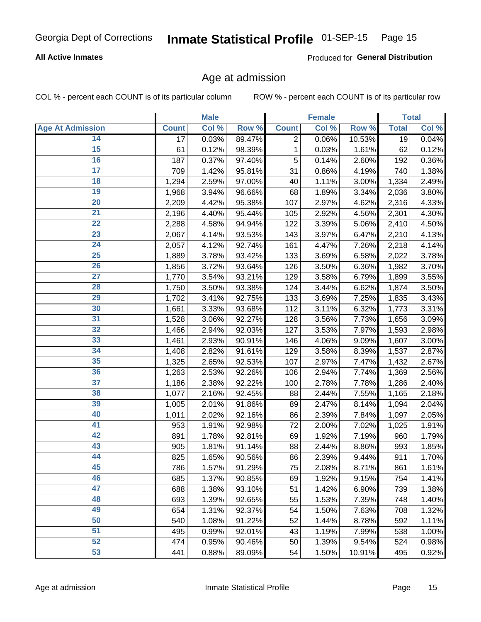### **All Active Inmates**

Produced for General Distribution

### Age at admission

COL % - percent each COUNT is of its particular column

|                         |                 | <b>Male</b> |        |              | <b>Female</b> |        |              | <b>Total</b> |
|-------------------------|-----------------|-------------|--------|--------------|---------------|--------|--------------|--------------|
| <b>Age At Admission</b> | <b>Count</b>    | Col %       | Row %  | <b>Count</b> | Col %         | Row %  | <b>Total</b> | Col %        |
| 14                      | $\overline{17}$ | 0.03%       | 89.47% | 2            | 0.06%         | 10.53% | 19           | 0.04%        |
| $\overline{15}$         | 61              | 0.12%       | 98.39% | 1            | 0.03%         | 1.61%  | 62           | 0.12%        |
| 16                      | 187             | 0.37%       | 97.40% | 5            | 0.14%         | 2.60%  | 192          | 0.36%        |
| $\overline{17}$         | 709             | 1.42%       | 95.81% | 31           | 0.86%         | 4.19%  | 740          | 1.38%        |
| $\overline{18}$         | 1,294           | 2.59%       | 97.00% | 40           | 1.11%         | 3.00%  | 1,334        | 2.49%        |
| 19                      | 1,968           | 3.94%       | 96.66% | 68           | 1.89%         | 3.34%  | 2,036        | 3.80%        |
| 20                      | 2,209           | 4.42%       | 95.38% | 107          | 2.97%         | 4.62%  | 2,316        | 4.33%        |
| $\overline{21}$         | 2,196           | 4.40%       | 95.44% | 105          | 2.92%         | 4.56%  | 2,301        | 4.30%        |
| $\overline{22}$         | 2,288           | 4.58%       | 94.94% | 122          | 3.39%         | 5.06%  | 2,410        | 4.50%        |
| $\overline{23}$         | 2,067           | 4.14%       | 93.53% | 143          | 3.97%         | 6.47%  | 2,210        | 4.13%        |
| 24                      | 2,057           | 4.12%       | 92.74% | 161          | 4.47%         | 7.26%  | 2,218        | 4.14%        |
| $\overline{25}$         | 1,889           | 3.78%       | 93.42% | 133          | 3.69%         | 6.58%  | 2,022        | 3.78%        |
| $\overline{26}$         | 1,856           | 3.72%       | 93.64% | 126          | 3.50%         | 6.36%  | 1,982        | 3.70%        |
| $\overline{27}$         | 1,770           | 3.54%       | 93.21% | 129          | 3.58%         | 6.79%  | 1,899        | 3.55%        |
| 28                      | 1,750           | 3.50%       | 93.38% | 124          | 3.44%         | 6.62%  | 1,874        | 3.50%        |
| 29                      | 1,702           | 3.41%       | 92.75% | 133          | 3.69%         | 7.25%  | 1,835        | 3.43%        |
| 30                      | 1,661           | 3.33%       | 93.68% | 112          | 3.11%         | 6.32%  | 1,773        | 3.31%        |
| 31                      | 1,528           | 3.06%       | 92.27% | 128          | 3.56%         | 7.73%  | 1,656        | 3.09%        |
| 32                      | 1,466           | 2.94%       | 92.03% | 127          | 3.53%         | 7.97%  | 1,593        | 2.98%        |
| 33                      | 1,461           | 2.93%       | 90.91% | 146          | 4.06%         | 9.09%  | 1,607        | 3.00%        |
| 34                      | 1,408           | 2.82%       | 91.61% | 129          | 3.58%         | 8.39%  | 1,537        | 2.87%        |
| 35                      | 1,325           | 2.65%       | 92.53% | 107          | 2.97%         | 7.47%  | 1,432        | 2.67%        |
| 36                      | 1,263           | 2.53%       | 92.26% | 106          | 2.94%         | 7.74%  | 1,369        | 2.56%        |
| 37                      | 1,186           | 2.38%       | 92.22% | 100          | 2.78%         | 7.78%  | 1,286        | 2.40%        |
| 38                      | 1,077           | 2.16%       | 92.45% | 88           | 2.44%         | 7.55%  | 1,165        | 2.18%        |
| 39                      | 1,005           | 2.01%       | 91.86% | 89           | 2.47%         | 8.14%  | 1,094        | 2.04%        |
| 40                      | 1,011           | 2.02%       | 92.16% | 86           | 2.39%         | 7.84%  | 1,097        | 2.05%        |
| 41                      | 953             | 1.91%       | 92.98% | 72           | 2.00%         | 7.02%  | 1,025        | 1.91%        |
| 42                      | 891             | 1.78%       | 92.81% | 69           | 1.92%         | 7.19%  | 960          | 1.79%        |
| 43                      | 905             | 1.81%       | 91.14% | 88           | 2.44%         | 8.86%  | 993          | 1.85%        |
| 44                      | 825             | 1.65%       | 90.56% | 86           | 2.39%         | 9.44%  | 911          | 1.70%        |
| 45                      | 786             | 1.57%       | 91.29% | 75           | 2.08%         | 8.71%  | 861          | 1.61%        |
| 46                      | 685             | 1.37%       | 90.85% | 69           | 1.92%         | 9.15%  | 754          | 1.41%        |
| 47                      | 688             | 1.38%       | 93.10% | 51           | 1.42%         | 6.90%  | 739          | 1.38%        |
| 48                      | 693             | 1.39%       | 92.65% | 55           | 1.53%         | 7.35%  | 748          | 1.40%        |
| 49                      | 654             | 1.31%       | 92.37% | 54           | 1.50%         | 7.63%  | 708          | 1.32%        |
| 50                      | 540             | 1.08%       | 91.22% | 52           | 1.44%         | 8.78%  | 592          | 1.11%        |
| 51                      | 495             | 0.99%       | 92.01% | 43           | 1.19%         | 7.99%  | 538          | 1.00%        |
| 52                      | 474             | 0.95%       | 90.46% | 50           | 1.39%         | 9.54%  | 524          | 0.98%        |
| 53                      | 441             | 0.88%       | 89.09% | 54           | 1.50%         | 10.91% | 495          | 0.92%        |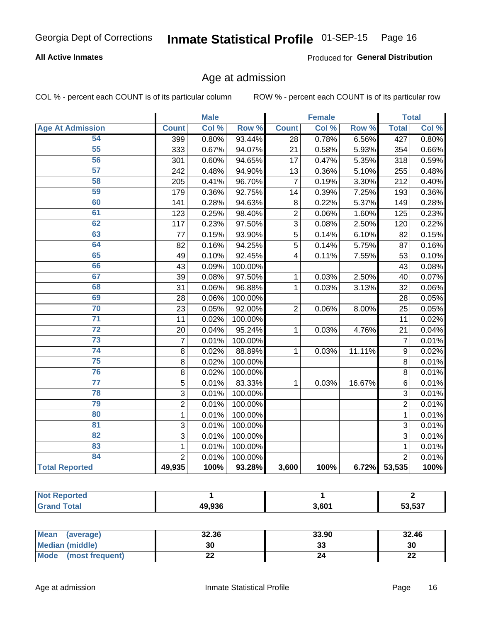### **All Active Inmates**

Produced for General Distribution

### Age at admission

COL % - percent each COUNT is of its particular column

|                         |                | <b>Male</b> |         |                         | <b>Female</b> |        |                 | <b>Total</b> |
|-------------------------|----------------|-------------|---------|-------------------------|---------------|--------|-----------------|--------------|
| <b>Age At Admission</b> | <b>Count</b>   | Col %       | Row %   | <b>Count</b>            | Col %         | Row %  | <b>Total</b>    | Col %        |
| 54                      | 399            | 0.80%       | 93.44%  | 28                      | 0.78%         | 6.56%  | 427             | 0.80%        |
| 55                      | 333            | 0.67%       | 94.07%  | 21                      | 0.58%         | 5.93%  | 354             | 0.66%        |
| 56                      | 301            | 0.60%       | 94.65%  | 17                      | 0.47%         | 5.35%  | 318             | 0.59%        |
| $\overline{57}$         | 242            | 0.48%       | 94.90%  | 13                      | 0.36%         | 5.10%  | 255             | 0.48%        |
| 58                      | 205            | 0.41%       | 96.70%  | $\overline{7}$          | 0.19%         | 3.30%  | 212             | 0.40%        |
| 59                      | 179            | 0.36%       | 92.75%  | 14                      | 0.39%         | 7.25%  | 193             | 0.36%        |
| 60                      | 141            | 0.28%       | 94.63%  | 8                       | 0.22%         | 5.37%  | 149             | 0.28%        |
| 61                      | 123            | 0.25%       | 98.40%  | $\overline{2}$          | 0.06%         | 1.60%  | 125             | 0.23%        |
| 62                      | 117            | 0.23%       | 97.50%  | $\overline{3}$          | 0.08%         | 2.50%  | 120             | 0.22%        |
| 63                      | 77             | 0.15%       | 93.90%  | $\overline{5}$          | 0.14%         | 6.10%  | 82              | 0.15%        |
| 64                      | 82             | 0.16%       | 94.25%  | 5                       | 0.14%         | 5.75%  | 87              | 0.16%        |
| 65                      | 49             | 0.10%       | 92.45%  | $\overline{\mathbf{4}}$ | 0.11%         | 7.55%  | 53              | 0.10%        |
| 66                      | 43             | 0.09%       | 100.00% |                         |               |        | 43              | 0.08%        |
| 67                      | 39             | 0.08%       | 97.50%  | 1                       | 0.03%         | 2.50%  | 40              | 0.07%        |
| 68                      | 31             | 0.06%       | 96.88%  | 1                       | 0.03%         | 3.13%  | 32              | 0.06%        |
| 69                      | 28             | 0.06%       | 100.00% |                         |               |        | 28              | 0.05%        |
| 70                      | 23             | 0.05%       | 92.00%  | $\overline{2}$          | 0.06%         | 8.00%  | 25              | 0.05%        |
| $\overline{71}$         | 11             | 0.02%       | 100.00% |                         |               |        | $\overline{11}$ | 0.02%        |
| $\overline{72}$         | 20             | 0.04%       | 95.24%  | 1                       | 0.03%         | 4.76%  | $\overline{21}$ | 0.04%        |
| $\overline{73}$         | $\overline{7}$ | 0.01%       | 100.00% |                         |               |        | $\overline{7}$  | 0.01%        |
| 74                      | 8              | 0.02%       | 88.89%  | $\mathbf{1}$            | 0.03%         | 11.11% | 9               | 0.02%        |
| 75                      | 8              | 0.02%       | 100.00% |                         |               |        | 8               | 0.01%        |
| 76                      | 8              | 0.02%       | 100.00% |                         |               |        | 8               | 0.01%        |
| $\overline{77}$         | 5              | 0.01%       | 83.33%  | 1                       | 0.03%         | 16.67% | 6               | 0.01%        |
| 78                      | $\overline{3}$ | 0.01%       | 100.00% |                         |               |        | $\overline{3}$  | 0.01%        |
| 79                      | $\overline{2}$ | 0.01%       | 100.00% |                         |               |        | $\overline{2}$  | 0.01%        |
| 80                      | $\mathbf{1}$   | 0.01%       | 100.00% |                         |               |        | $\mathbf{1}$    | 0.01%        |
| $\overline{81}$         | 3              | 0.01%       | 100.00% |                         |               |        | 3               | 0.01%        |
| $\overline{82}$         | 3              | 0.01%       | 100.00% |                         |               |        | $\overline{3}$  | 0.01%        |
| 83                      | 1              | 0.01%       | 100.00% |                         |               |        | $\mathbf{1}$    | 0.01%        |
| 84                      | $\overline{2}$ | 0.01%       | 100.00% |                         |               |        | $\overline{2}$  | 0.01%        |
| <b>Total Reported</b>   | 49,935         | 100%        | 93.28%  | 3,600                   | 100%          | 6.72%  | 53,535          | 100%         |

| Reported<br><b>NOT</b> |        |       |        |
|------------------------|--------|-------|--------|
| ™ota⊾                  | 49,936 | 3,601 | 53,537 |

| Mean (average)          | 32.36 | 33.90   | 32.46    |
|-------------------------|-------|---------|----------|
| <b>Median (middle)</b>  | 30    | ົ<br>33 | 30       |
| Mode<br>(most frequent) | ∸∸    | 24      | ጣጣ<br>LL |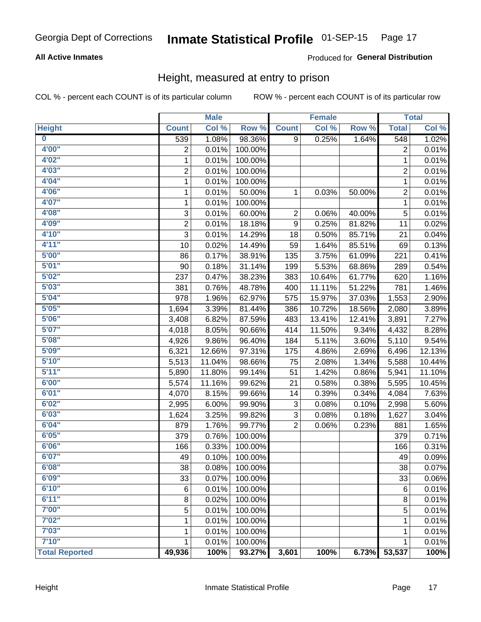### **All Active Inmates**

### Produced for General Distribution

### Height, measured at entry to prison

COL % - percent each COUNT is of its particular column

|                         |                | <b>Male</b>   |                   |                | <b>Female</b> |        |                | <b>Total</b> |
|-------------------------|----------------|---------------|-------------------|----------------|---------------|--------|----------------|--------------|
| <b>Height</b>           | <b>Count</b>   | Col %         | Row %             | <b>Count</b>   | Col %         | Row %  | <b>Total</b>   | Col %        |
| $\overline{\mathbf{0}}$ | 539            | 1.08%         | 98.36%            | 9              | 0.25%         | 1.64%  | 548            | 1.02%        |
| 4'00"                   | $\overline{2}$ | 0.01%         | 100.00%           |                |               |        | 2              | 0.01%        |
| 4'02"                   | $\mathbf 1$    | 0.01%         | 100.00%           |                |               |        | 1              | 0.01%        |
| 4'03"                   | $\overline{2}$ | 0.01%         | 100.00%           |                |               |        | $\overline{c}$ | 0.01%        |
| 4'04"                   | 1              | 0.01%         | 100.00%           |                |               |        | 1              | 0.01%        |
| 4'06"                   | $\mathbf{1}$   | 0.01%         | 50.00%            | 1              | 0.03%         | 50.00% | $\overline{2}$ | 0.01%        |
| 4'07"                   | 1              | 0.01%         | 100.00%           |                |               |        | 1              | 0.01%        |
| 4'08"                   | 3              | 0.01%         | 60.00%            | $\overline{c}$ | 0.06%         | 40.00% | $\mathbf 5$    | 0.01%        |
| 4'09"                   | $\overline{2}$ | 0.01%         | 18.18%            | 9              | 0.25%         | 81.82% | 11             | 0.02%        |
| 4'10"                   | $\overline{3}$ | 0.01%         | 14.29%            | 18             | 0.50%         | 85.71% | 21             | 0.04%        |
| 4'11''                  | 10             | 0.02%         | 14.49%            | 59             | 1.64%         | 85.51% | 69             | 0.13%        |
| 5'00''                  | 86             | 0.17%         | 38.91%            | 135            | 3.75%         | 61.09% | 221            | 0.41%        |
| 5'01''                  | 90             | 0.18%         | 31.14%            | 199            | 5.53%         | 68.86% | 289            | 0.54%        |
| 5'02"                   | 237            | 0.47%         | 38.23%            | 383            | 10.64%        | 61.77% | 620            | 1.16%        |
| 5'03''                  | 381            | 0.76%         | 48.78%            | 400            | 11.11%        | 51.22% | 781            | 1.46%        |
| 5'04"                   | 978            | 1.96%         | 62.97%            | 575            | 15.97%        | 37.03% | 1,553          | 2.90%        |
| 5'05"                   | 1,694          | 3.39%         | 81.44%            | 386            | 10.72%        | 18.56% | 2,080          | 3.89%        |
| 5'06''                  | 3,408          | 6.82%         | 87.59%            | 483            | 13.41%        | 12.41% | 3,891          | 7.27%        |
| 5'07''                  | 4,018          | 8.05%         | 90.66%            | 414            | 11.50%        | 9.34%  | 4,432          | 8.28%        |
| 5'08''                  | 4,926          | 9.86%         | 96.40%            | 184            | 5.11%         | 3.60%  | 5,110          | 9.54%        |
| 5'09''                  | 6,321          | 12.66%        | 97.31%            | 175            | 4.86%         | 2.69%  | 6,496          | 12.13%       |
| 5'10''                  | 5,513          | 11.04%        | 98.66%            | 75             | 2.08%         | 1.34%  | 5,588          | 10.44%       |
| 5'11"                   | 5,890          | 11.80%        | 99.14%            | 51             | 1.42%         | 0.86%  | 5,941          | 11.10%       |
| 6'00''                  | 5,574          | 11.16%        | 99.62%            | 21             | 0.58%         | 0.38%  | 5,595          | 10.45%       |
| 6'01''                  | 4,070          | 8.15%         | 99.66%            | 14             | 0.39%         | 0.34%  | 4,084          | 7.63%        |
| 6'02"                   | 2,995          | 6.00%         | 99.90%            | 3              | 0.08%         | 0.10%  | 2,998          | 5.60%        |
| 6'03''                  | 1,624          | 3.25%         | 99.82%            | 3              | 0.08%         | 0.18%  | 1,627          | 3.04%        |
| 6'04"                   | 879            | 1.76%         | 99.77%            | $\overline{2}$ | 0.06%         | 0.23%  | 881            | 1.65%        |
| 6'05"                   | 379            | 0.76%         | 100.00%           |                |               |        | 379            | 0.71%        |
| 6'06''                  | 166            | 0.33%         | 100.00%           |                |               |        | 166            | 0.31%        |
| 6'07''                  | 49             | 0.10%         | 100.00%           |                |               |        | 49             | 0.09%        |
| 6'08"                   | 38             | 0.08%         | 100.00%           |                |               |        | 38             | 0.07%        |
| 6'09''                  | 33             | 0.07%         | 100.00%           |                |               |        | 33             | 0.06%        |
| 6'10''                  | 6              | 0.01%         | 100.00%           |                |               |        | 6              | 0.01%        |
| 6'11''                  | 8              | 0.02%         | 100.00%           |                |               |        | 8              | 0.01%        |
| 7'00"                   | 5              | 0.01%         | 100.00%           |                |               |        | 5              | 0.01%        |
| 7'02"                   | 1              | 0.01%         | 100.00%           |                |               |        | 1              | 0.01%        |
| 7'03''                  | 1              | 0.01%         | 100.00%           |                |               |        |                | 0.01%        |
| 7'10''                  |                |               |                   |                |               |        | 1              | 0.01%        |
| <b>Total Reported</b>   | 1<br>49,936    | 0.01%<br>100% | 100.00%<br>93.27% | 3,601          | 100%          | 6.73%  | 1<br>53,537    | 100%         |
|                         |                |               |                   |                |               |        |                |              |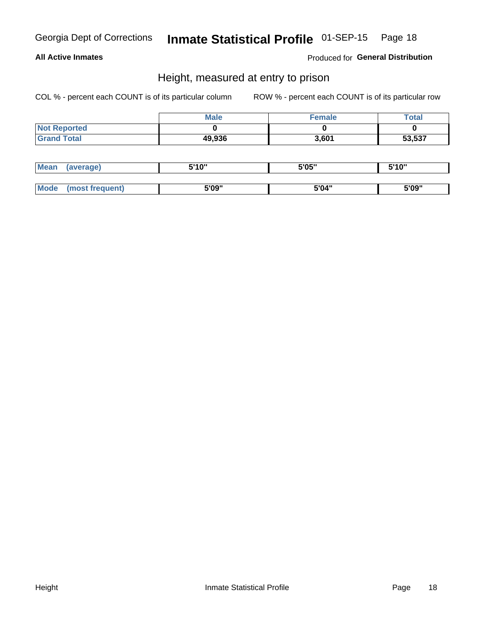### **All Active Inmates**

Produced for General Distribution

### Height, measured at entry to prison

COL % - percent each COUNT is of its particular column

|                     | <b>Male</b> | <b>Female</b> | Total  |
|---------------------|-------------|---------------|--------|
| <b>Not Reported</b> |             |               |        |
| <b>Grand Total</b>  | 49,936      | 3,601         | 53,537 |

| <b>Mean</b> | erage) | 5'10" | 5'05" | <b>CIA AIL</b><br>. . |
|-------------|--------|-------|-------|-----------------------|
|             |        |       |       |                       |
| <b>Mode</b> |        | 5'09" | 5'04" | 5'09"                 |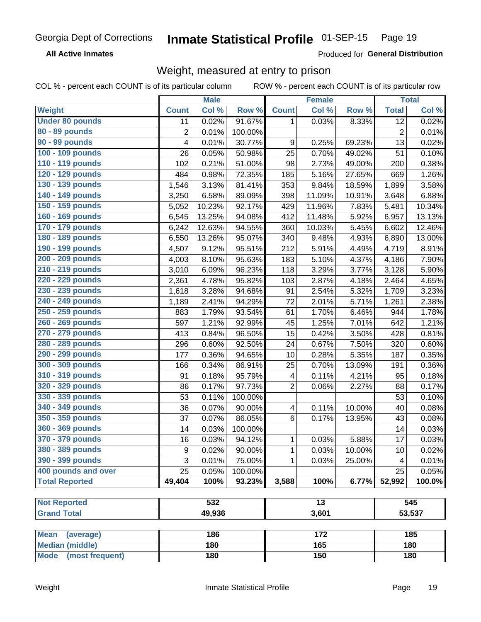**All Active Inmates** 

Produced for General Distribution

### Weight, measured at entry to prison

COL % - percent each COUNT is of its particular column

|                          |                | <b>Male</b> |         |                         | <b>Female</b>   |        |                | <b>Total</b>        |
|--------------------------|----------------|-------------|---------|-------------------------|-----------------|--------|----------------|---------------------|
| Weight                   | <b>Count</b>   | Col %       | Row %   | <b>Count</b>            | Col %           | Row %  | <b>Total</b>   | Col %               |
| <b>Under 80 pounds</b>   | 11             | 0.02%       | 91.67%  | 1                       | 0.03%           | 8.33%  | 12             | 0.02%               |
| 80 - 89 pounds           | $\overline{c}$ | 0.01%       | 100.00% |                         |                 |        | $\overline{2}$ | 0.01%               |
| 90 - 99 pounds           | 4              | 0.01%       | 30.77%  | 9                       | 0.25%           | 69.23% | 13             | 0.02%               |
| 100 - 109 pounds         | 26             | 0.05%       | 50.98%  | 25                      | 0.70%           | 49.02% | 51             | 0.10%               |
| 110 - 119 pounds         | 102            | 0.21%       | 51.00%  | 98                      | 2.73%           | 49.00% | 200            | 0.38%               |
| 120 - 129 pounds         | 484            | 0.98%       | 72.35%  | 185                     | 5.16%           | 27.65% | 669            | 1.26%               |
| 130 - 139 pounds         | 1,546          | 3.13%       | 81.41%  | 353                     | 9.84%           | 18.59% | 1,899          | 3.58%               |
| 140 - 149 pounds         | 3,250          | 6.58%       | 89.09%  | 398                     | 11.09%          | 10.91% | 3,648          | 6.88%               |
| 150 - 159 pounds         | 5,052          | 10.23%      | 92.17%  | 429                     | 11.96%          | 7.83%  | 5,481          | 10.34%              |
| 160 - 169 pounds         | 6,545          | 13.25%      | 94.08%  | 412                     | 11.48%          | 5.92%  | 6,957          | 13.13%              |
| 170 - 179 pounds         | 6,242          | 12.63%      | 94.55%  | 360                     | 10.03%          | 5.45%  | 6,602          | 12.46%              |
| 180 - 189 pounds         | 6,550          | 13.26%      | 95.07%  | 340                     | 9.48%           | 4.93%  | 6,890          | 13.00%              |
| 190 - 199 pounds         | 4,507          | 9.12%       | 95.51%  | 212                     | 5.91%           | 4.49%  | 4,719          | 8.91%               |
| 200 - 209 pounds         | 4,003          | 8.10%       | 95.63%  | 183                     | 5.10%           | 4.37%  | 4,186          | 7.90%               |
| 210 - 219 pounds         | 3,010          | 6.09%       | 96.23%  | 118                     | 3.29%           | 3.77%  | 3,128          | 5.90%               |
| 220 - 229 pounds         | 2,361          | 4.78%       | 95.82%  | 103                     | 2.87%           | 4.18%  | 2,464          | 4.65%               |
| 230 - 239 pounds         | 1,618          | 3.28%       | 94.68%  | 91                      | 2.54%           | 5.32%  | 1,709          | 3.23%               |
| 240 - 249 pounds         | 1,189          | 2.41%       | 94.29%  | 72                      | 2.01%           | 5.71%  | 1,261          | 2.38%               |
| 250 - 259 pounds         | 883            | 1.79%       | 93.54%  | 61                      | 1.70%           | 6.46%  | 944            | 1.78%               |
| 260 - 269 pounds         | 597            | 1.21%       | 92.99%  | 45                      | 1.25%           | 7.01%  | 642            | 1.21%               |
| 270 - 279 pounds         | 413            | 0.84%       | 96.50%  | 15                      | 0.42%           | 3.50%  | 428            | 0.81%               |
| 280 - 289 pounds         | 296            | 0.60%       | 92.50%  | 24                      | 0.67%           | 7.50%  | 320            | 0.60%               |
| 290 - 299 pounds         | 177            | 0.36%       | 94.65%  | 10                      | 0.28%           | 5.35%  | 187            | 0.35%               |
| 300 - 309 pounds         | 166            | 0.34%       | 86.91%  | 25                      | 0.70%           | 13.09% | 191            | 0.36%               |
| 310 - 319 pounds         | 91             | 0.18%       | 95.79%  | 4                       | 0.11%           | 4.21%  | 95             | 0.18%               |
| 320 - 329 pounds         | 86             | 0.17%       | 97.73%  | $\overline{2}$          | 0.06%           | 2.27%  | 88             | 0.17%               |
| 330 - 339 pounds         | 53             | 0.11%       | 100.00% |                         |                 |        | 53             | 0.10%               |
| 340 - 349 pounds         | 36             | 0.07%       | 90.00%  | $\overline{\mathbf{4}}$ | 0.11%           | 10.00% | 40             | $\overline{0.08\%}$ |
| 350 - 359 pounds         | 37             | 0.07%       | 86.05%  | 6                       | 0.17%           | 13.95% | 43             | 0.08%               |
| 360 - 369 pounds         | 14             | 0.03%       | 100.00% |                         |                 |        | 14             | 0.03%               |
| 370 - 379 pounds         | 16             | 0.03%       | 94.12%  | 1                       | 0.03%           | 5.88%  | 17             | 0.03%               |
| 380 - 389 pounds         | 9              | 0.02%       | 90.00%  | 1                       | 0.03%           | 10.00% | 10             | 0.02%               |
| 390 - 399 pounds         | 3              | 0.01%       | 75.00%  | 1                       | 0.03%           | 25.00% | 4              | 0.01%               |
| 400 pounds and over      | 25             | 0.05%       | 100.00% |                         |                 |        | 25             | 0.05%               |
| <b>Total Reported</b>    | 49,404         | 100%        | 93.23%  | 3,588                   | 100%            | 6.77%  | 52,992         | $100.0\%$           |
|                          |                |             |         |                         |                 |        |                |                     |
| <b>Not Reported</b>      |                | 532         |         |                         | $\overline{13}$ |        |                | 545                 |
| <b>Grand Total</b>       |                | 49,936      |         |                         | 3,601           |        |                | 53,537              |
|                          |                |             |         |                         |                 |        |                |                     |
| <b>Mean</b><br>(average) |                | 186         |         |                         | 172             |        |                | 185                 |
| <b>Median (middle)</b>   |                | 180         |         |                         | 165             |        |                | 180                 |
| Mode (most frequent)     |                | 180         |         |                         | 150             |        |                | 180                 |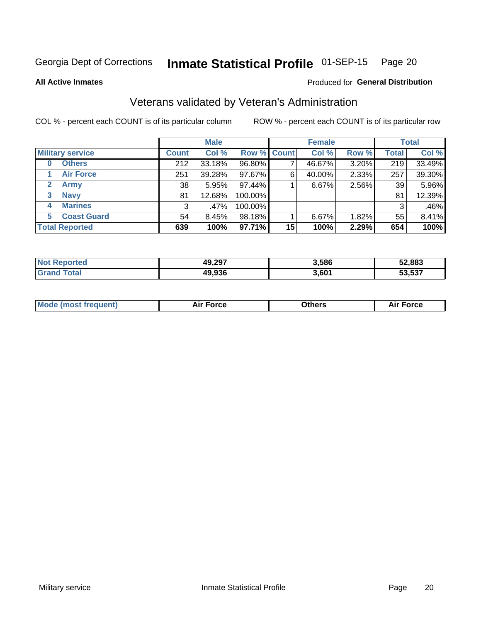#### Inmate Statistical Profile 01-SEP-15 Page 20

**All Active Inmates** 

### Produced for General Distribution

### Veterans validated by Veteran's Administration

COL % - percent each COUNT is of its particular column

|                          |              | <b>Male</b> |             |    | <b>Female</b> |       |              | <b>Total</b> |  |
|--------------------------|--------------|-------------|-------------|----|---------------|-------|--------------|--------------|--|
| <b>Military service</b>  | <b>Count</b> | Col %       | Row % Count |    | Col %         | Row % | <b>Total</b> | Col %        |  |
| <b>Others</b><br>0       | 212          | 33.18%      | 96.80%      |    | 46.67%        | 3.20% | 219          | 33.49%       |  |
| <b>Air Force</b>         | 251          | 39.28%      | 97.67%      | 6  | 40.00%        | 2.33% | 257          | 39.30%       |  |
| 2<br><b>Army</b>         | 38           | 5.95%       | 97.44%      |    | 6.67%         | 2.56% | 39           | 5.96%        |  |
| <b>Navy</b><br>3         | 81           | 12.68%      | 100.00%     |    |               |       | 81           | 12.39%       |  |
| <b>Marines</b><br>4      | 3            | .47%        | 100.00%     |    |               |       | 3            | .46%         |  |
| <b>Coast Guard</b><br>5. | 54           | 8.45%       | 98.18%      |    | 6.67%         | 1.82% | 55           | 8.41%        |  |
| <b>Total Reported</b>    | 639          | 100%        | 97.71%      | 15 | 100%          | 2.29% | 654          | 100%         |  |

| oorted<br>' NOT | 49,297 | 3,586 | 52,883 |
|-----------------|--------|-------|--------|
| īota.           | 49,936 | 3,601 | 53,537 |

|  |  | <b>Mode (most frequent)</b> | <b>Force</b><br>Aır | วthers | orce |
|--|--|-----------------------------|---------------------|--------|------|
|--|--|-----------------------------|---------------------|--------|------|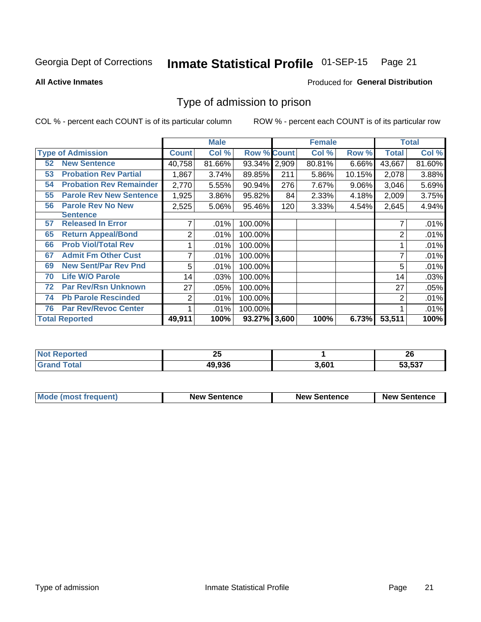#### Inmate Statistical Profile 01-SEP-15 Page 21

**All Active Inmates** 

### **Produced for General Distribution**

### Type of admission to prison

COL % - percent each COUNT is of its particular column

|    |                                |              | <b>Male</b> |                    |     | <b>Female</b> |        |              | <b>Total</b> |
|----|--------------------------------|--------------|-------------|--------------------|-----|---------------|--------|--------------|--------------|
|    | <b>Type of Admission</b>       | <b>Count</b> | Col %       | <b>Row % Count</b> |     | Col %         | Row %  | <b>Total</b> | Col %        |
| 52 | <b>New Sentence</b>            | 40,758       | 81.66%      | 93.34% 2,909       |     | 80.81%        | 6.66%  | 43,667       | 81.60%       |
| 53 | <b>Probation Rev Partial</b>   | 1,867        | 3.74%       | 89.85%             | 211 | 5.86%         | 10.15% | 2,078        | 3.88%        |
| 54 | <b>Probation Rev Remainder</b> | 2,770        | 5.55%       | 90.94%             | 276 | 7.67%         | 9.06%  | 3,046        | 5.69%        |
| 55 | <b>Parole Rev New Sentence</b> | 1,925        | 3.86%       | 95.82%             | 84  | 2.33%         | 4.18%  | 2,009        | 3.75%        |
| 56 | <b>Parole Rev No New</b>       | 2,525        | 5.06%       | 95.46%             | 120 | 3.33%         | 4.54%  | 2,645        | 4.94%        |
|    | <b>Sentence</b>                |              |             |                    |     |               |        |              |              |
| 57 | <b>Released In Error</b>       |              | .01%        | 100.00%            |     |               |        |              | .01%         |
| 65 | <b>Return Appeal/Bond</b>      | 2            | .01%        | 100.00%            |     |               |        | 2            | .01%         |
| 66 | <b>Prob Viol/Total Rev</b>     |              | .01%        | 100.00%            |     |               |        |              | .01%         |
| 67 | <b>Admit Fm Other Cust</b>     | 7            | .01%        | 100.00%            |     |               |        | 7            | .01%         |
| 69 | <b>New Sent/Par Rev Pnd</b>    | 5            | .01%        | 100.00%            |     |               |        | 5            | .01%         |
| 70 | <b>Life W/O Parole</b>         | 14           | .03%        | 100.00%            |     |               |        | 14           | .03%         |
| 72 | <b>Par Rev/Rsn Unknown</b>     | 27           | .05%        | 100.00%            |     |               |        | 27           | .05%         |
| 74 | <b>Pb Parole Rescinded</b>     | 2            | .01%        | 100.00%            |     |               |        | 2            | .01%         |
| 76 | <b>Par Rev/Revoc Center</b>    |              | .01%        | 100.00%            |     |               |        |              | .01%         |
|    | <b>Total Reported</b>          | 49,911       | 100%        | 93.27% 3,600       |     | 100%          | 6.73%  | 53,511       | 100%         |

| - 13 | - -<br>ΔJ |       | …<br>ZU |
|------|-----------|-------|---------|
|      | 49,936    | . 601 | 53,537  |

| Mode (most frequent) | <b>New Sentence</b> | <b>New Sentence</b> | <b>New Sentence</b> |
|----------------------|---------------------|---------------------|---------------------|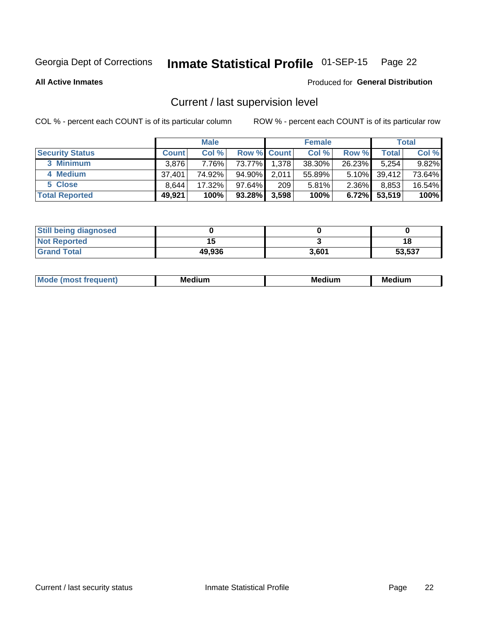# Inmate Statistical Profile 01-SEP-15 Page 22

**All Active Inmates** 

### Produced for General Distribution

### Current / last supervision level

COL % - percent each COUNT is of its particular column

|                        |              | <b>Male</b> |                    |       | <b>Female</b> |          |        | <b>Total</b> |
|------------------------|--------------|-------------|--------------------|-------|---------------|----------|--------|--------------|
| <b>Security Status</b> | <b>Count</b> | Col %       | <b>Row % Count</b> |       | Col %         | Row %    | Total  | Col %        |
| 3 Minimum              | 3.876        | 7.76%       | 73.77%             | 1,378 | 38.30%        | 26.23%   | 5,254  | 9.82%        |
| 4 Medium               | 37.401       | 74.92%      | 94.90%             | 2,011 | 55.89%        | $5.10\%$ | 39,412 | 73.64%       |
| 5 Close                | 8.644        | 17.32%      | $97.64\%$          | 209   | 5.81%         | $2.36\%$ | 8,853  | 16.54%       |
| <b>Total Reported</b>  | 49,921       | 100%        | $93.28\%$          | 3,598 | 100%          | $6.72\%$ | 53,519 | 100%         |

| <b>Still being diagnosed</b> |        |       |        |
|------------------------------|--------|-------|--------|
| <b>Not Reported</b>          |        |       | 1٤     |
| <b>Grand Total</b>           | 49,936 | 3,601 | 53,537 |

| M | . | -- |
|---|---|----|
|   |   |    |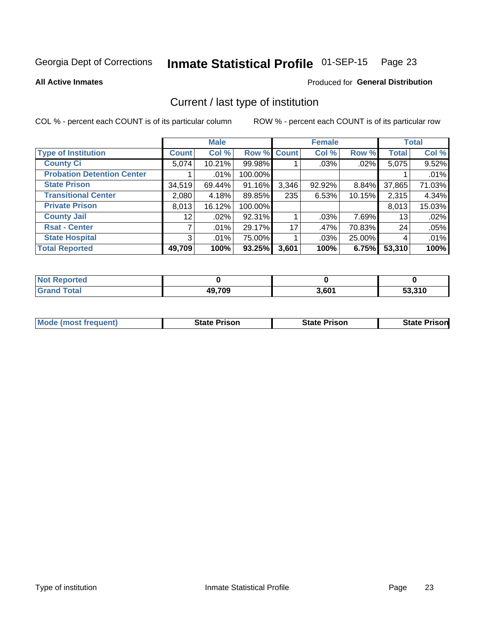#### Inmate Statistical Profile 01-SEP-15 Page 23

**All Active Inmates** 

### Produced for General Distribution

### Current / last type of institution

COL % - percent each COUNT is of its particular column

|                                   |                 | <b>Male</b> |             |       | <b>Female</b> |        |              | <b>Total</b> |
|-----------------------------------|-----------------|-------------|-------------|-------|---------------|--------|--------------|--------------|
| <b>Type of Institution</b>        | <b>Count</b>    | Col %       | Row % Count |       | Col %         | Row %  | <b>Total</b> | Col %        |
| <b>County Ci</b>                  | 5,074           | 10.21%      | 99.98%      |       | $.03\%$       | .02%   | 5,075        | 9.52%        |
| <b>Probation Detention Center</b> |                 | .01%        | 100.00%     |       |               |        |              | .01%         |
| <b>State Prison</b>               | 34,519          | 69.44%      | 91.16%      | 3,346 | 92.92%        | 8.84%  | 37,865       | 71.03%       |
| <b>Transitional Center</b>        | 2,080           | 4.18%       | 89.85%      | 235   | 6.53%         | 10.15% | 2,315        | 4.34%        |
| <b>Private Prison</b>             | 8,013           | 16.12%      | 100.00%     |       |               |        | 8,013        | 15.03%       |
| <b>County Jail</b>                | 12 <sup>°</sup> | .02%        | 92.31%      |       | .03%          | 7.69%  | 13           | .02%         |
| <b>Rsat - Center</b>              |                 | .01%        | 29.17%      | 17    | .47%          | 70.83% | 24           | .05%         |
| <b>State Hospital</b>             | 3 <sup>1</sup>  | $.01\%$     | 75.00%      |       | .03%          | 25.00% | 4            | .01%         |
| <b>Total Reported</b>             | 49,709          | 100%        | 93.25%      | 3,601 | 100%          | 6.75%  | 53,310       | 100%         |

| <b>Not</b><br><b>Reported</b>    |        |       |        |
|----------------------------------|--------|-------|--------|
| <sup>-</sup> otal<br><b>Grat</b> | 49,709 | 3,601 | 53,310 |

| <b>Mode (most frequent)</b> | <b>State Prison</b> | <b>State Prison</b> | <b>State Prisonl</b> |
|-----------------------------|---------------------|---------------------|----------------------|
|                             |                     |                     |                      |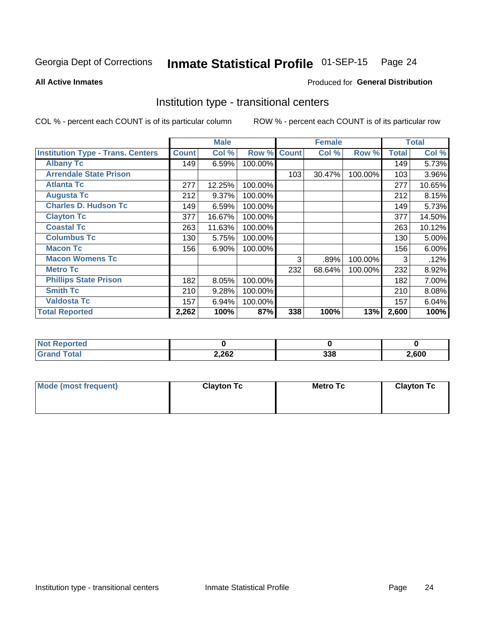#### Inmate Statistical Profile 01-SEP-15 Page 24

Produced for General Distribution

#### **All Active Inmates**

### Institution type - transitional centers

COL % - percent each COUNT is of its particular column

|                                          |              | <b>Male</b> |         |              | <b>Female</b> |         |              | <b>Total</b> |
|------------------------------------------|--------------|-------------|---------|--------------|---------------|---------|--------------|--------------|
| <b>Institution Type - Trans. Centers</b> | <b>Count</b> | Col %       | Row %   | <b>Count</b> | Col %         | Row %   | <b>Total</b> | Col %        |
| <b>Albany Tc</b>                         | 149          | 6.59%       | 100.00% |              |               |         | 149          | 5.73%        |
| <b>Arrendale State Prison</b>            |              |             |         | 103          | 30.47%        | 100.00% | 103          | 3.96%        |
| <b>Atlanta Tc</b>                        | 277          | 12.25%      | 100.00% |              |               |         | 277          | 10.65%       |
| <b>Augusta Tc</b>                        | 212          | 9.37%       | 100.00% |              |               |         | 212          | 8.15%        |
| <b>Charles D. Hudson Tc</b>              | 149          | 6.59%       | 100.00% |              |               |         | 149          | 5.73%        |
| <b>Clayton Tc</b>                        | 377          | 16.67%      | 100.00% |              |               |         | 377          | 14.50%       |
| <b>Coastal Tc</b>                        | 263          | 11.63%      | 100.00% |              |               |         | 263          | 10.12%       |
| <b>Columbus Tc</b>                       | 130          | 5.75%       | 100.00% |              |               |         | 130          | 5.00%        |
| <b>Macon Tc</b>                          | 156          | 6.90%       | 100.00% |              |               |         | 156          | 6.00%        |
| <b>Macon Womens Tc</b>                   |              |             |         | 3            | .89%          | 100.00% | 3            | .12%         |
| <b>Metro Tc</b>                          |              |             |         | 232          | 68.64%        | 100.00% | 232          | 8.92%        |
| <b>Phillips State Prison</b>             | 182          | 8.05%       | 100.00% |              |               |         | 182          | 7.00%        |
| <b>Smith Tc</b>                          | 210          | 9.28%       | 100.00% |              |               |         | 210          | 8.08%        |
| <b>Valdosta Tc</b>                       | 157          | 6.94%       | 100.00% |              |               |         | 157          | 6.04%        |
| <b>Total Reported</b>                    | 2,262        | 100%        | 87%     | 338          | 100%          | 13%     | 2,600        | 100%         |

| <b>Not Reported</b> |       |            |       |
|---------------------|-------|------------|-------|
| <b>ota</b>          | 2,262 | 000<br>ນວດ | 2,600 |

| Mode (most frequent) | <b>Clayton Tc</b> | <b>Metro Tc</b> | <b>Clayton Tc</b> |
|----------------------|-------------------|-----------------|-------------------|
|                      |                   |                 |                   |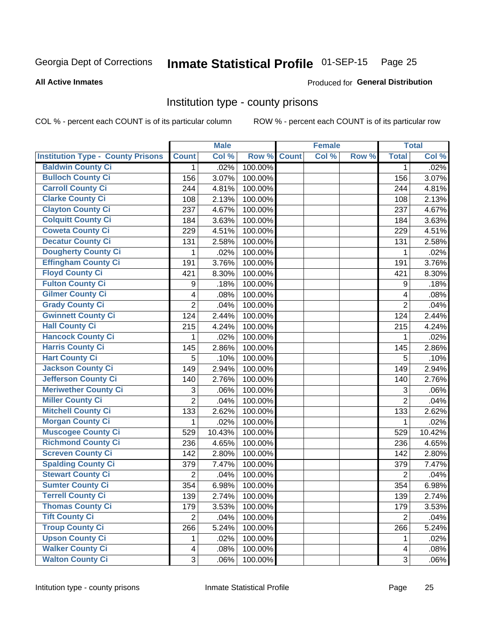# Inmate Statistical Profile 01-SEP-15 Page 25

#### **All Active Inmates**

#### Produced for General Distribution

### Institution type - county prisons

COL % - percent each COUNT is of its particular column

|                                          |                          | <b>Male</b> |         |              | <b>Female</b> |       |                | <b>Total</b> |
|------------------------------------------|--------------------------|-------------|---------|--------------|---------------|-------|----------------|--------------|
| <b>Institution Type - County Prisons</b> | <b>Count</b>             | Col %       | Row %   | <b>Count</b> | Col %         | Row % | <b>Total</b>   | Col %        |
| <b>Baldwin County Ci</b>                 | $\mathbf{1}$             | .02%        | 100.00% |              |               |       | 1              | .02%         |
| <b>Bulloch County Ci</b>                 | 156                      | 3.07%       | 100.00% |              |               |       | 156            | 3.07%        |
| <b>Carroll County Ci</b>                 | 244                      | 4.81%       | 100.00% |              |               |       | 244            | 4.81%        |
| <b>Clarke County Ci</b>                  | 108                      | 2.13%       | 100.00% |              |               |       | 108            | 2.13%        |
| <b>Clayton County Ci</b>                 | 237                      | 4.67%       | 100.00% |              |               |       | 237            | 4.67%        |
| <b>Colquitt County Ci</b>                | 184                      | 3.63%       | 100.00% |              |               |       | 184            | 3.63%        |
| <b>Coweta County Ci</b>                  | 229                      | 4.51%       | 100.00% |              |               |       | 229            | 4.51%        |
| <b>Decatur County Ci</b>                 | 131                      | 2.58%       | 100.00% |              |               |       | 131            | 2.58%        |
| <b>Dougherty County Ci</b>               | 1                        | .02%        | 100.00% |              |               |       | 1              | .02%         |
| <b>Effingham County Ci</b>               | 191                      | 3.76%       | 100.00% |              |               |       | 191            | 3.76%        |
| <b>Floyd County Ci</b>                   | 421                      | 8.30%       | 100.00% |              |               |       | 421            | 8.30%        |
| <b>Fulton County Ci</b>                  | 9                        | .18%        | 100.00% |              |               |       | 9              | .18%         |
| <b>Gilmer County Ci</b>                  | $\overline{\mathbf{4}}$  | .08%        | 100.00% |              |               |       | 4              | .08%         |
| <b>Grady County Ci</b>                   | $\overline{2}$           | .04%        | 100.00% |              |               |       | $\overline{2}$ | .04%         |
| <b>Gwinnett County Ci</b>                | 124                      | 2.44%       | 100.00% |              |               |       | 124            | 2.44%        |
| <b>Hall County Ci</b>                    | 215                      | 4.24%       | 100.00% |              |               |       | 215            | 4.24%        |
| <b>Hancock County Ci</b>                 | 1                        | .02%        | 100.00% |              |               |       | 1              | .02%         |
| <b>Harris County Ci</b>                  | 145                      | 2.86%       | 100.00% |              |               |       | 145            | 2.86%        |
| <b>Hart County Ci</b>                    | 5                        | .10%        | 100.00% |              |               |       | 5              | .10%         |
| <b>Jackson County Ci</b>                 | 149                      | 2.94%       | 100.00% |              |               |       | 149            | 2.94%        |
| <b>Jefferson County Ci</b>               | 140                      | 2.76%       | 100.00% |              |               |       | 140            | 2.76%        |
| <b>Meriwether County Ci</b>              | 3                        | .06%        | 100.00% |              |               |       | 3              | .06%         |
| <b>Miller County Ci</b>                  | $\overline{2}$           | .04%        | 100.00% |              |               |       | $\overline{2}$ | .04%         |
| <b>Mitchell County Ci</b>                | 133                      | 2.62%       | 100.00% |              |               |       | 133            | 2.62%        |
| <b>Morgan County Ci</b>                  | 1                        | .02%        | 100.00% |              |               |       | 1              | .02%         |
| <b>Muscogee County Ci</b>                | 529                      | 10.43%      | 100.00% |              |               |       | 529            | 10.42%       |
| <b>Richmond County Ci</b>                | 236                      | 4.65%       | 100.00% |              |               |       | 236            | 4.65%        |
| <b>Screven County Ci</b>                 | 142                      | 2.80%       | 100.00% |              |               |       | 142            | 2.80%        |
| <b>Spalding County Ci</b>                | 379                      | 7.47%       | 100.00% |              |               |       | 379            | 7.47%        |
| <b>Stewart County Ci</b>                 | $\overline{2}$           | .04%        | 100.00% |              |               |       | $\overline{2}$ | .04%         |
| <b>Sumter County Ci</b>                  | 354                      | 6.98%       | 100.00% |              |               |       | 354            | 6.98%        |
| <b>Terrell County Ci</b>                 | 139                      | 2.74%       | 100.00% |              |               |       | 139            | 2.74%        |
| <b>Thomas County Ci</b>                  | 179                      | 3.53%       | 100.00% |              |               |       | 179            | 3.53%        |
| <b>Tift County Ci</b>                    | $\overline{2}$           | .04%        | 100.00% |              |               |       | $\overline{2}$ | .04%         |
| <b>Troup County Ci</b>                   | 266                      | 5.24%       | 100.00% |              |               |       | 266            | 5.24%        |
| <b>Upson County Ci</b>                   | 1                        | .02%        | 100.00% |              |               |       | 1              | .02%         |
| <b>Walker County Ci</b>                  | $\overline{\mathcal{A}}$ | .08%        | 100.00% |              |               |       | 4              | .08%         |
| <b>Walton County Ci</b>                  | 3                        | .06%        | 100.00% |              |               |       | 3              | .06%         |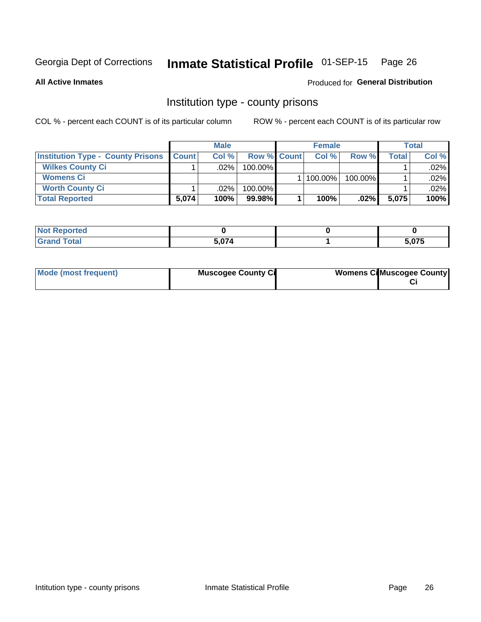# Inmate Statistical Profile 01-SEP-15 Page 26

**All Active Inmates** 

### Produced for General Distribution

### Institution type - county prisons

COL % - percent each COUNT is of its particular column

|                                          | <b>Male</b>  |         |                    | <b>Female</b> | <b>Total</b> |       |         |
|------------------------------------------|--------------|---------|--------------------|---------------|--------------|-------|---------|
| <b>Institution Type - County Prisons</b> | <b>Count</b> | Col%    | <b>Row % Count</b> | Col%          | Row %        | Total | Col %   |
| <b>Wilkes County Ci</b>                  |              | .02%    | 100.00%            |               |              |       | $.02\%$ |
| <b>Womens Ci</b>                         |              |         |                    | 100.00%       | 100.00%      |       | .02%    |
| <b>Worth County Ci</b>                   |              | $.02\%$ | 100.00%            |               |              |       | $.02\%$ |
| <b>Total Reported</b>                    | 5,074        | 100%    | $99.98\%$          | 100%          | $.02\%$      | 5,075 | 100%    |

| --    |      |   |
|-------|------|---|
| _____ | $ -$ | . |

| Mode (most frequent) | <b>Muscogee County Ci</b> | <b>Womens Ci</b> Muscogee County |
|----------------------|---------------------------|----------------------------------|
|----------------------|---------------------------|----------------------------------|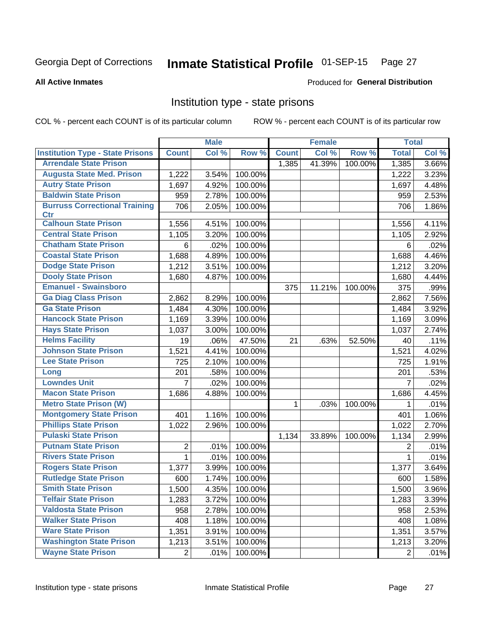#### Inmate Statistical Profile 01-SEP-15 Page 27

#### **All Active Inmates**

#### Produced for General Distribution

### Institution type - state prisons

COL % - percent each COUNT is of its particular column

|                                         |                 | <b>Male</b> |         |              | <b>Female</b> |         | <b>Total</b>   |       |
|-----------------------------------------|-----------------|-------------|---------|--------------|---------------|---------|----------------|-------|
| <b>Institution Type - State Prisons</b> | <b>Count</b>    | Col %       | Row %   | <b>Count</b> | Col %         | Row %   | <b>Total</b>   | Col % |
| <b>Arrendale State Prison</b>           |                 |             |         | 1,385        | 41.39%        | 100.00% | 1,385          | 3.66% |
| <b>Augusta State Med. Prison</b>        | 1,222           | 3.54%       | 100.00% |              |               |         | 1,222          | 3.23% |
| <b>Autry State Prison</b>               | 1,697           | 4.92%       | 100.00% |              |               |         | 1,697          | 4.48% |
| <b>Baldwin State Prison</b>             | 959             | 2.78%       | 100.00% |              |               |         | 959            | 2.53% |
| <b>Burruss Correctional Training</b>    | 706             | 2.05%       | 100.00% |              |               |         | 706            | 1.86% |
| <b>Ctr</b>                              |                 |             |         |              |               |         |                |       |
| <b>Calhoun State Prison</b>             | 1,556           | 4.51%       | 100.00% |              |               |         | 1,556          | 4.11% |
| <b>Central State Prison</b>             | 1,105           | 3.20%       | 100.00% |              |               |         | 1,105          | 2.92% |
| <b>Chatham State Prison</b>             | $6\phantom{1}6$ | .02%        | 100.00% |              |               |         | 6              | .02%  |
| <b>Coastal State Prison</b>             | 1,688           | 4.89%       | 100.00% |              |               |         | 1,688          | 4.46% |
| <b>Dodge State Prison</b>               | 1,212           | 3.51%       | 100.00% |              |               |         | 1,212          | 3.20% |
| <b>Dooly State Prison</b>               | 1,680           | 4.87%       | 100.00% |              |               |         | 1,680          | 4.44% |
| <b>Emanuel - Swainsboro</b>             |                 |             |         | 375          | 11.21%        | 100.00% | 375            | .99%  |
| <b>Ga Diag Class Prison</b>             | 2,862           | 8.29%       | 100.00% |              |               |         | 2,862          | 7.56% |
| <b>Ga State Prison</b>                  | 1,484           | 4.30%       | 100.00% |              |               |         | 1,484          | 3.92% |
| <b>Hancock State Prison</b>             | 1,169           | 3.39%       | 100.00% |              |               |         | 1,169          | 3.09% |
| <b>Hays State Prison</b>                | 1,037           | 3.00%       | 100.00% |              |               |         | 1,037          | 2.74% |
| <b>Helms Facility</b>                   | 19              | .06%        | 47.50%  | 21           | .63%          | 52.50%  | 40             | .11%  |
| <b>Johnson State Prison</b>             | 1,521           | 4.41%       | 100.00% |              |               |         | 1,521          | 4.02% |
| <b>Lee State Prison</b>                 | 725             | 2.10%       | 100.00% |              |               |         | 725            | 1.91% |
| Long                                    | 201             | .58%        | 100.00% |              |               |         | 201            | .53%  |
| <b>Lowndes Unit</b>                     | 7               | .02%        | 100.00% |              |               |         | $\overline{7}$ | .02%  |
| <b>Macon State Prison</b>               | 1,686           | 4.88%       | 100.00% |              |               |         | 1,686          | 4.45% |
| <b>Metro State Prison (W)</b>           |                 |             |         | $\mathbf{1}$ | .03%          | 100.00% | 1              | .01%  |
| <b>Montgomery State Prison</b>          | 401             | 1.16%       | 100.00% |              |               |         | 401            | 1.06% |
| <b>Phillips State Prison</b>            | 1,022           | 2.96%       | 100.00% |              |               |         | 1,022          | 2.70% |
| <b>Pulaski State Prison</b>             |                 |             |         | 1,134        | 33.89%        | 100.00% | 1,134          | 2.99% |
| <b>Putnam State Prison</b>              | 2               | .01%        | 100.00% |              |               |         | 2              | .01%  |
| <b>Rivers State Prison</b>              | $\mathbf{1}$    | .01%        | 100.00% |              |               |         | 1              | .01%  |
| <b>Rogers State Prison</b>              | 1,377           | 3.99%       | 100.00% |              |               |         | 1,377          | 3.64% |
| <b>Rutledge State Prison</b>            | 600             | 1.74%       | 100.00% |              |               |         | 600            | 1.58% |
| <b>Smith State Prison</b>               | 1,500           | 4.35%       | 100.00% |              |               |         | 1,500          | 3.96% |
| <b>Telfair State Prison</b>             | 1,283           | 3.72%       | 100.00% |              |               |         | 1,283          | 3.39% |
| <b>Valdosta State Prison</b>            | 958             | 2.78%       | 100.00% |              |               |         | 958            | 2.53% |
| <b>Walker State Prison</b>              | 408             | 1.18%       | 100.00% |              |               |         | 408            | 1.08% |
| <b>Ware State Prison</b>                | 1,351           | 3.91%       | 100.00% |              |               |         | 1,351          | 3.57% |
| <b>Washington State Prison</b>          | 1,213           | 3.51%       | 100.00% |              |               |         | 1,213          | 3.20% |
| <b>Wayne State Prison</b>               | 2               | .01%        | 100.00% |              |               |         | 2              | .01%  |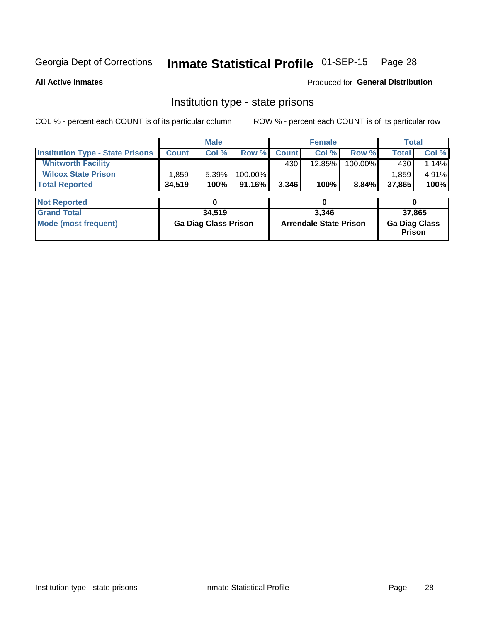# Inmate Statistical Profile 01-SEP-15 Page 28

**All Active Inmates** 

### Produced for General Distribution

### Institution type - state prisons

COL % - percent each COUNT is of its particular column

|                                         |                             | <b>Male</b> |         |                               | <b>Female</b> |          |                                | <b>Total</b> |  |
|-----------------------------------------|-----------------------------|-------------|---------|-------------------------------|---------------|----------|--------------------------------|--------------|--|
| <b>Institution Type - State Prisons</b> | <b>Count</b>                | Col %       | Row %   | <b>Count</b>                  | Col %         | Row %    | <b>Total</b>                   | Col %        |  |
| <b>Whitworth Facility</b>               |                             |             |         | 430                           | 12.85%        | 100.00%  | 430                            | 1.14%        |  |
| <b>Wilcox State Prison</b>              | 1,859                       | 5.39%       | 100.00% |                               |               |          | 1,859                          | 4.91%        |  |
| <b>Total Reported</b>                   | 34,519                      | 100%        | 91.16%  | 3,346                         | 100%          | $8.84\%$ | 37,865                         | 100%         |  |
| <b>Not Reported</b>                     |                             | 0           |         |                               | 0             |          |                                | 0            |  |
| <b>Grand Total</b>                      |                             | 34,519      |         | 3,346                         |               |          | 37,865                         |              |  |
| <b>Mode (most frequent)</b>             | <b>Ga Diag Class Prison</b> |             |         | <b>Arrendale State Prison</b> |               |          | <b>Ga Diag Class</b><br>Prison |              |  |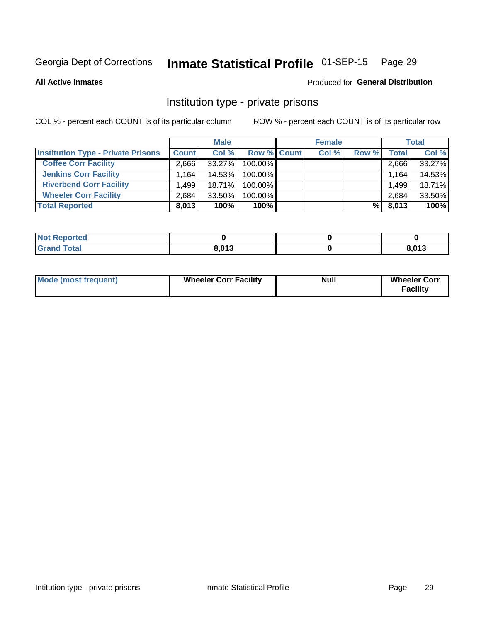# Inmate Statistical Profile 01-SEP-15 Page 29

**All Active Inmates** 

### Produced for General Distribution

### Institution type - private prisons

COL % - percent each COUNT is of its particular column

|                                           | <b>Male</b>  |           |                    | <b>Female</b> |       |       | <b>Total</b>       |        |
|-------------------------------------------|--------------|-----------|--------------------|---------------|-------|-------|--------------------|--------|
| <b>Institution Type - Private Prisons</b> | <b>Count</b> | Col %     | <b>Row % Count</b> |               | Col % | Row % | Total <sub>1</sub> | Col %  |
| <b>Coffee Corr Facility</b>               | 2.666        | 33.27%    | 100.00%            |               |       |       | 2,666              | 33.27% |
| <b>Jenkins Corr Facility</b>              | ' 164، ا     | 14.53%    | $100.00\%$         |               |       |       | 1,164              | 14.53% |
| <b>Riverbend Corr Facility</b>            | .499         | 18.71%    | $100.00\%$         |               |       |       | 1,499              | 18.71% |
| <b>Wheeler Corr Facility</b>              | 2,684        | $33.50\%$ | 100.00%            |               |       |       | 2,684              | 33.50% |
| <b>Total Reported</b>                     | 8,013        | 100%      | 100%               |               |       | %     | 8,013              | 100%   |

| <b>Not</b><br><b>Reported</b> |       |                |
|-------------------------------|-------|----------------|
| <b>Total</b>                  | 8,013 | 0.012<br>טו ט, |

| <b>Mode (most frequent)</b> | <b>Wheeler Corr Facility</b> | <b>Null</b> | <b>Wheeler Corr</b><br><b>Facility</b> |
|-----------------------------|------------------------------|-------------|----------------------------------------|
|-----------------------------|------------------------------|-------------|----------------------------------------|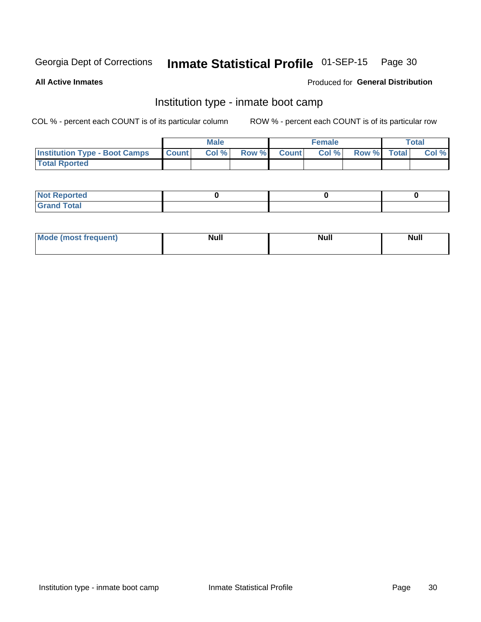#### Inmate Statistical Profile 01-SEP-15 Page 30

**All Active Inmates** 

### Produced for General Distribution

### Institution type - inmate boot camp

COL % - percent each COUNT is of its particular column

|                                      |              | <b>Male</b> |               |              | <b>Female</b> |             | <b>Total</b> |
|--------------------------------------|--------------|-------------|---------------|--------------|---------------|-------------|--------------|
| <b>Institution Type - Boot Camps</b> | <b>Count</b> | Col %       | <b>Row %I</b> | <b>Count</b> | Col %         | Row % Total | Col %        |
| <b>Total Rported</b>                 |              |             |               |              |               |             |              |

| <b>Not Reported</b>            |  |  |
|--------------------------------|--|--|
| <b>Total</b><br>C <sub>r</sub> |  |  |

| Mod<br>uamo | Nul.<br>$- - - - - -$ | <b>Null</b> | . .<br>uu.<br>------ |
|-------------|-----------------------|-------------|----------------------|
|             |                       |             |                      |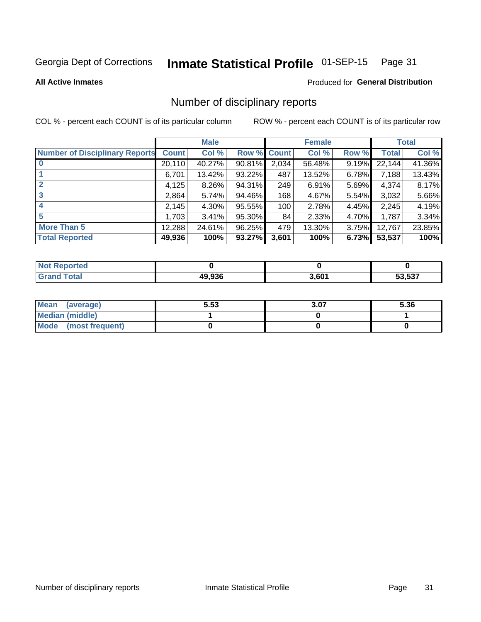#### Inmate Statistical Profile 01-SEP-15 Page 31

**All Active Inmates** 

### **Produced for General Distribution**

### Number of disciplinary reports

COL % - percent each COUNT is of its particular column

|                                       |              | <b>Male</b> |             |       | <b>Female</b> |       |        | <b>Total</b> |
|---------------------------------------|--------------|-------------|-------------|-------|---------------|-------|--------|--------------|
| <b>Number of Disciplinary Reports</b> | <b>Count</b> | Col %       | Row % Count |       | Col %         | Row % | Total  | Col %        |
|                                       | 20,110       | 40.27%      | $90.81\%$   | 2,034 | 56.48%        | 9.19% | 22,144 | 41.36%       |
|                                       | 6,701        | 13.42%      | 93.22%      | 487   | 13.52%        | 6.78% | 7,188  | 13.43%       |
|                                       | 4,125        | 8.26%       | 94.31%      | 249   | 6.91%         | 5.69% | 4,374  | 8.17%        |
| 3                                     | 2,864        | 5.74%       | 94.46%      | 168   | 4.67%         | 5.54% | 3,032  | 5.66%        |
|                                       | 2,145        | 4.30%       | 95.55%      | 100   | 2.78%         | 4.45% | 2,245  | 4.19%        |
| 5                                     | 1.7031       | 3.41%       | 95.30%      | 84    | 2.33%         | 4.70% | 1,787  | 3.34%        |
| <b>More Than 5</b>                    | 12,288       | 24.61%      | 96.25%      | 479   | 13.30%        | 3.75% | 12,767 | 23.85%       |
| <b>Total Reported</b>                 | 49,936       | 100%        | 93.27%      | 3,601 | 100%          | 6.73% | 53,537 | 100%         |

| orted<br>NO |        |       |        |
|-------------|--------|-------|--------|
| Total       | 49.936 | 3,601 | 53.537 |

| Mean (average)         | 5.53 | 3.07 | 5.36 |
|------------------------|------|------|------|
| <b>Median (middle)</b> |      |      |      |
| Mode (most frequent)   |      |      |      |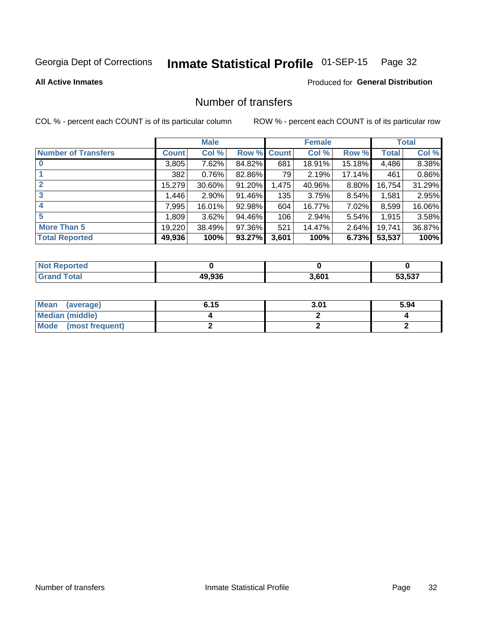# Inmate Statistical Profile 01-SEP-15 Page 32

### **All Active Inmates**

### **Produced for General Distribution**

### Number of transfers

COL % - percent each COUNT is of its particular column

|                            |         | <b>Male</b> |        |              | <b>Female</b> |          |              | <b>Total</b> |
|----------------------------|---------|-------------|--------|--------------|---------------|----------|--------------|--------------|
| <b>Number of Transfers</b> | Count l | Col %       | Row %  | <b>Count</b> | Col %         | Row %    | <b>Total</b> | Col %        |
|                            | 3,805   | 7.62%       | 84.82% | 681          | 18.91%        | 15.18%   | 4,486        | 8.38%        |
|                            | 382     | 0.76%       | 82.86% | 79           | 2.19%         | 17.14%   | 461          | 0.86%        |
| $\mathbf{2}$               | 15,279  | 30.60%      | 91.20% | 1,475        | 40.96%        | 8.80%    | 16,754       | 31.29%       |
| 3                          | 1,446   | $2.90\%$    | 91.46% | 135          | 3.75%         | 8.54%    | 1,581        | 2.95%        |
| 4                          | 7,995   | 16.01%      | 92.98% | 604          | 16.77%        | 7.02%    | 8,599        | 16.06%       |
| 5                          | 1,809   | 3.62%       | 94.46% | 106          | 2.94%         | 5.54%    | 1,915        | 3.58%        |
| <b>More Than 5</b>         | 19,220  | 38.49%      | 97.36% | 521          | 14.47%        | $2.64\%$ | 19.741       | 36.87%       |
| <b>Total Reported</b>      | 49,936  | 100%        | 93.27% | 3,601        | 100%          | 6.73%    | 53,537       | 100%         |

| <b>Not Reported</b> |        |       |        |
|---------------------|--------|-------|--------|
| <b>Grand Total</b>  | 49.936 | 3,601 | 53.537 |

| Mean (average)       | 6.15 | 3.01 | 5.94 |
|----------------------|------|------|------|
| Median (middle)      |      |      |      |
| Mode (most frequent) |      |      |      |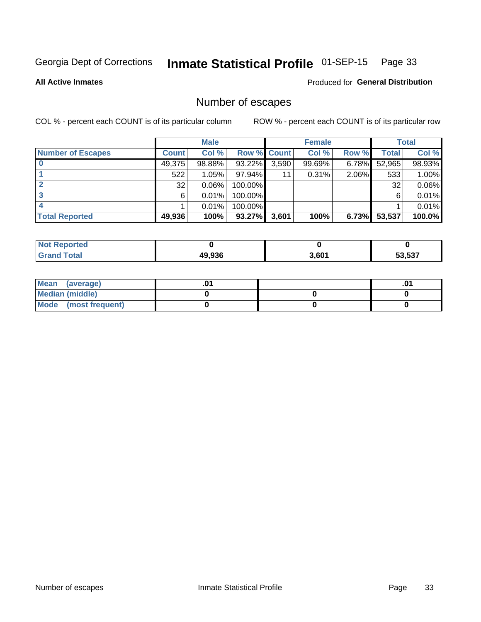# Inmate Statistical Profile 01-SEP-15 Page 33

**All Active Inmates** 

Produced for General Distribution

### Number of escapes

COL % - percent each COUNT is of its particular column

|                          |              | <b>Male</b> |             |       | <b>Female</b> |       |        | <b>Total</b> |
|--------------------------|--------------|-------------|-------------|-------|---------------|-------|--------|--------------|
| <b>Number of Escapes</b> | <b>Count</b> | Col %       | Row % Count |       | Col %         | Row % | Total  | Col %        |
|                          | 49,375       | 98.88%      | 93.22%      | 3,590 | 99.69%        | 6.78% | 52,965 | 98.93%       |
|                          | 522          | 1.05%       | 97.94%      | 11    | 0.31%         | 2.06% | 533    | 1.00%        |
|                          | 32           | 0.06%       | 100.00%     |       |               |       | 32     | 0.06%        |
|                          | 6            | 0.01%       | 100.00%     |       |               |       | 6      | 0.01%        |
|                          |              | 0.01%       | 100.00%     |       |               |       |        | 0.01%        |
| <b>Total Reported</b>    | 49,936       | 100%        | $93.27\%$   | 3,601 | 100%          | 6.73% | 53,537 | 100.0%       |

| <b>Not Reported</b> |        |       |        |
|---------------------|--------|-------|--------|
| <b>Grand Total</b>  | 49.936 | 3,601 | 53.537 |

| Mean<br>(average)    |  | .0 |
|----------------------|--|----|
| Median (middle)      |  |    |
| Mode (most frequent) |  |    |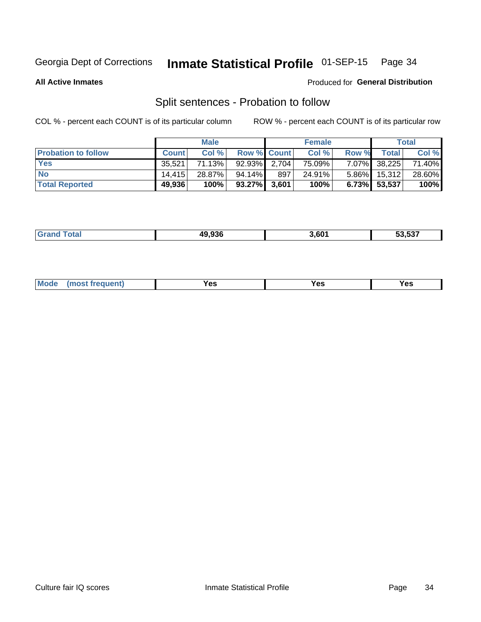#### Inmate Statistical Profile 01-SEP-15 Page 34

**All Active Inmates** 

### Produced for General Distribution

### Split sentences - Probation to follow

COL % - percent each COUNT is of its particular column

|                            | <b>Male</b>  |        |                    | <b>Female</b> |        |          | <b>Total</b>      |        |
|----------------------------|--------------|--------|--------------------|---------------|--------|----------|-------------------|--------|
| <b>Probation to follow</b> | <b>Count</b> | Col%   | <b>Row % Count</b> |               | Col %  | Row %    | Total             | Col %  |
| <b>Yes</b>                 | 35.521       | 71.13% | 92.93% 2.704       |               | 75.09% |          | 7.07% 38,225      | 71.40% |
| <b>No</b>                  | 14.415       | 28.87% | $94.14\%$          | 897           | 24.91% |          | $5.86\%$   15,312 | 28.60% |
| <b>Total Reported</b>      | 49,936       | 100%   | $93.27\%$ 3,601    |               | 100%   | $6.73\%$ | 53,537            | 100%   |

| _______ | 49.936 | 601ء | $F^{\prime}$ $F^{\prime}$<br>ວວ.ວວາ |
|---------|--------|------|-------------------------------------|
|         |        |      |                                     |

| <b>Mode</b><br>reauent)<br>Yes<br>v^c<br>0٥<br>.<br>. .<br>$\sim$ |
|-------------------------------------------------------------------|
|-------------------------------------------------------------------|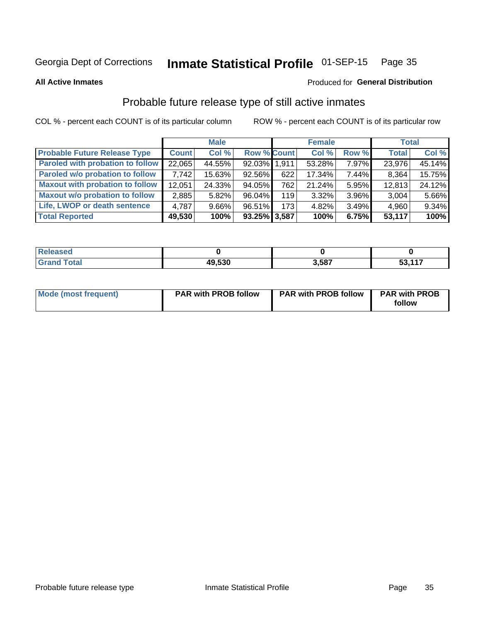#### Inmate Statistical Profile 01-SEP-15 Page 35

**All Active Inmates** 

### Produced for General Distribution

### Probable future release type of still active inmates

COL % - percent each COUNT is of its particular column

|                                         |              | <b>Male</b> |                    |     | <b>Female</b> |       | <b>Total</b> |        |
|-----------------------------------------|--------------|-------------|--------------------|-----|---------------|-------|--------------|--------|
| <b>Probable Future Release Type</b>     | <b>Count</b> | Col %       | <b>Row % Count</b> |     | Col %         | Row % | <b>Total</b> | Col %  |
| <b>Paroled with probation to follow</b> | 22,065       | 44.55%      | 92.03% 1,911       |     | 53.28%        | 7.97% | 23,976       | 45.14% |
| Paroled w/o probation to follow         | 7,742        | 15.63%      | 92.56%             | 622 | 17.34%        | 7.44% | 8,364        | 15.75% |
| <b>Maxout with probation to follow</b>  | 12,051       | 24.33%      | 94.05%             | 762 | 21.24%        | 5.95% | 12,813       | 24.12% |
| <b>Maxout w/o probation to follow</b>   | 2,885        | 5.82%       | 96.04%             | 119 | 3.32%         | 3.96% | 3,004        | 5.66%  |
| Life, LWOP or death sentence            | 4,787        | $9.66\%$    | 96.51%             | 173 | 4.82%         | 3.49% | 4,960        | 9.34%  |
| <b>Total Reported</b>                   | 49,530       | 100%        | $93.25\%$ 3,587    |     | 100%          | 6.75% | 53,117       | 100%   |

| otal | 49,530<br><b>A</b> | .587 | <b>EQ 447</b><br>ິບປ |
|------|--------------------|------|----------------------|

| <b>Mode (most frequent)</b> | <b>PAR with PROB follow</b> | <b>PAR with PROB follow</b> | <b>PAR with PROB</b> |
|-----------------------------|-----------------------------|-----------------------------|----------------------|
|                             |                             |                             | follow               |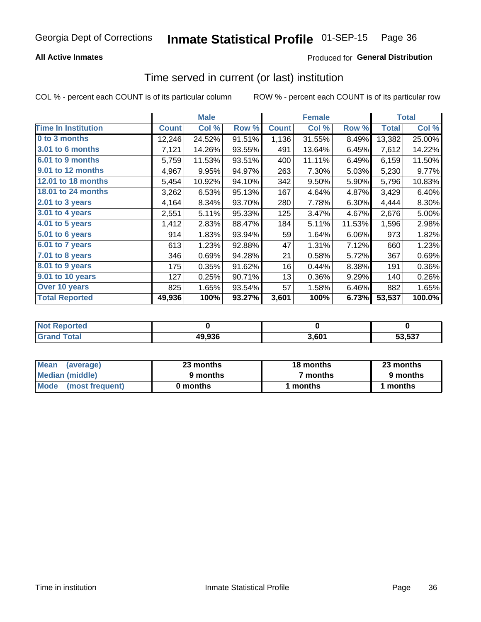### **All Active Inmates**

### **Produced for General Distribution**

### Time served in current (or last) institution

COL % - percent each COUNT is of its particular column

|                            |              | <b>Male</b> |        |              | <b>Female</b> |        |              | <b>Total</b> |
|----------------------------|--------------|-------------|--------|--------------|---------------|--------|--------------|--------------|
| <b>Time In Institution</b> | <b>Count</b> | Col %       | Row %  | <b>Count</b> | Col %         | Row %  | <b>Total</b> | Col %        |
| 0 to 3 months              | 12,246       | 24.52%      | 91.51% | 1,136        | 31.55%        | 8.49%  | 13,382       | 25.00%       |
| <b>3.01 to 6 months</b>    | 7,121        | 14.26%      | 93.55% | 491          | 13.64%        | 6.45%  | 7,612        | 14.22%       |
| 6.01 to 9 months           | 5,759        | 11.53%      | 93.51% | 400          | 11.11%        | 6.49%  | 6,159        | 11.50%       |
| 9.01 to 12 months          | 4,967        | 9.95%       | 94.97% | 263          | 7.30%         | 5.03%  | 5,230        | 9.77%        |
| 12.01 to 18 months         | 5,454        | 10.92%      | 94.10% | 342          | 9.50%         | 5.90%  | 5,796        | 10.83%       |
| <b>18.01 to 24 months</b>  | 3,262        | 6.53%       | 95.13% | 167          | 4.64%         | 4.87%  | 3,429        | 6.40%        |
| $2.01$ to 3 years          | 4,164        | 8.34%       | 93.70% | 280          | 7.78%         | 6.30%  | 4,444        | 8.30%        |
| $3.01$ to 4 years          | 2,551        | 5.11%       | 95.33% | 125          | 3.47%         | 4.67%  | 2,676        | 5.00%        |
| 4.01 to 5 years            | 1,412        | 2.83%       | 88.47% | 184          | 5.11%         | 11.53% | 1,596        | 2.98%        |
| 5.01 to 6 years            | 914          | 1.83%       | 93.94% | 59           | 1.64%         | 6.06%  | 973          | 1.82%        |
| $6.01$ to 7 years          | 613          | 1.23%       | 92.88% | 47           | 1.31%         | 7.12%  | 660          | 1.23%        |
| 7.01 to 8 years            | 346          | 0.69%       | 94.28% | 21           | 0.58%         | 5.72%  | 367          | 0.69%        |
| $8.01$ to 9 years          | 175          | 0.35%       | 91.62% | 16           | 0.44%         | 8.38%  | 191          | 0.36%        |
| 9.01 to 10 years           | 127          | 0.25%       | 90.71% | 13           | 0.36%         | 9.29%  | 140          | 0.26%        |
| Over 10 years              | 825          | 1.65%       | 93.54% | 57           | 1.58%         | 6.46%  | 882          | 1.65%        |
| <b>Total Reported</b>      | 49,936       | 100%        | 93.27% | 3,601        | 100%          | 6.73%  | 53,537       | 100.0%       |

| orted<br><b>Not</b> |        |      |        |
|---------------------|--------|------|--------|
| <b>ntal</b>         | 49,936 | .601 | 53.537 |

| <b>Mean</b><br>(average) | 23 months | 18 months | 23 months |  |
|--------------------------|-----------|-----------|-----------|--|
| Median (middle)          | 9 months  | 7 months  | 9 months  |  |
| Mode<br>(most frequent)  | 0 months  | months    | ∖ months  |  |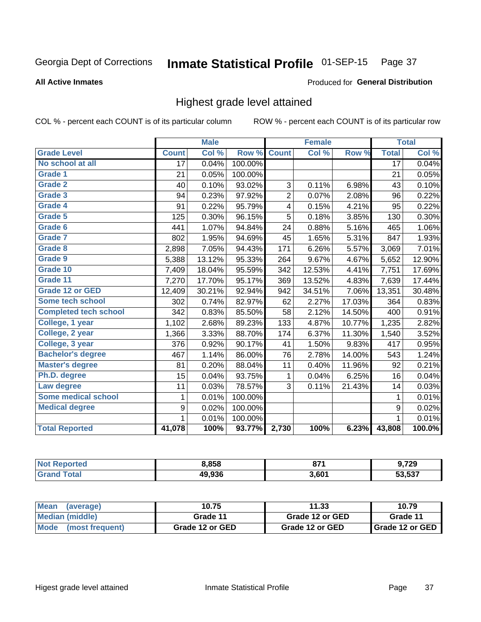#### Inmate Statistical Profile 01-SEP-15 Page 37

#### **All Active Inmates**

#### Produced for General Distribution

### Highest grade level attained

COL % - percent each COUNT is of its particular column

|                              |                  | <b>Male</b> |         |                | <b>Female</b> |        |                 | <b>Total</b> |
|------------------------------|------------------|-------------|---------|----------------|---------------|--------|-----------------|--------------|
| <b>Grade Level</b>           | <b>Count</b>     | Col %       | Row %   | <b>Count</b>   | Col %         | Row %  | <b>Total</b>    | Col %        |
| No school at all             | $\overline{17}$  | 0.04%       | 100.00% |                |               |        | $\overline{17}$ | 0.04%        |
| <b>Grade 1</b>               | 21               | 0.05%       | 100.00% |                |               |        | 21              | 0.05%        |
| <b>Grade 2</b>               | 40               | 0.10%       | 93.02%  | 3              | 0.11%         | 6.98%  | 43              | 0.10%        |
| Grade 3                      | 94               | 0.23%       | 97.92%  | $\overline{2}$ | 0.07%         | 2.08%  | 96              | 0.22%        |
| <b>Grade 4</b>               | 91               | 0.22%       | 95.79%  | 4              | 0.15%         | 4.21%  | 95              | 0.22%        |
| Grade 5                      | 125              | 0.30%       | 96.15%  | 5              | 0.18%         | 3.85%  | 130             | 0.30%        |
| Grade 6                      | 441              | 1.07%       | 94.84%  | 24             | 0.88%         | 5.16%  | 465             | 1.06%        |
| <b>Grade 7</b>               | 802              | 1.95%       | 94.69%  | 45             | 1.65%         | 5.31%  | 847             | 1.93%        |
| Grade 8                      | 2,898            | 7.05%       | 94.43%  | 171            | 6.26%         | 5.57%  | 3,069           | 7.01%        |
| Grade 9                      | 5,388            | 13.12%      | 95.33%  | 264            | 9.67%         | 4.67%  | 5,652           | 12.90%       |
| Grade 10                     | 7,409            | 18.04%      | 95.59%  | 342            | 12.53%        | 4.41%  | 7,751           | 17.69%       |
| Grade 11                     | 7,270            | 17.70%      | 95.17%  | 369            | 13.52%        | 4.83%  | 7,639           | 17.44%       |
| <b>Grade 12 or GED</b>       | 12,409           | 30.21%      | 92.94%  | 942            | 34.51%        | 7.06%  | 13,351          | 30.48%       |
| <b>Some tech school</b>      | 302              | 0.74%       | 82.97%  | 62             | 2.27%         | 17.03% | 364             | 0.83%        |
| <b>Completed tech school</b> | 342              | 0.83%       | 85.50%  | 58             | 2.12%         | 14.50% | 400             | 0.91%        |
| College, 1 year              | 1,102            | 2.68%       | 89.23%  | 133            | 4.87%         | 10.77% | 1,235           | 2.82%        |
| College, 2 year              | 1,366            | 3.33%       | 88.70%  | 174            | 6.37%         | 11.30% | 1,540           | 3.52%        |
| College, 3 year              | 376              | 0.92%       | 90.17%  | 41             | 1.50%         | 9.83%  | 417             | 0.95%        |
| <b>Bachelor's degree</b>     | 467              | 1.14%       | 86.00%  | 76             | 2.78%         | 14.00% | 543             | 1.24%        |
| <b>Master's degree</b>       | 81               | 0.20%       | 88.04%  | 11             | 0.40%         | 11.96% | 92              | 0.21%        |
| Ph.D. degree                 | 15               | 0.04%       | 93.75%  | 1              | 0.04%         | 6.25%  | 16              | 0.04%        |
| Law degree                   | 11               | 0.03%       | 78.57%  | 3              | 0.11%         | 21.43% | 14              | 0.03%        |
| <b>Some medical school</b>   | 1                | 0.01%       | 100.00% |                |               |        | 1               | 0.01%        |
| <b>Medical degree</b>        | $\boldsymbol{9}$ | 0.02%       | 100.00% |                |               |        | 9               | 0.02%        |
|                              | 1.               | 0.01%       | 100.00% |                |               |        | 1               | 0.01%        |
| <b>Total Reported</b>        | 41,078           | 100%        | 93.77%  | 2,730          | 100%          | 6.23%  | 43,808          | 100.0%       |

| 8,858  | 074<br>vı. | 9,729                     |
|--------|------------|---------------------------|
| 19.936 | 3,601      | $F^{\alpha}$ $F^{\alpha}$ |

| Mean<br>(average)       | 10.75           | 11.33           | 10.79           |
|-------------------------|-----------------|-----------------|-----------------|
| Median (middle)         | Grade 11        | Grade 12 or GED | Grade 11        |
| Mode<br>(most frequent) | Grade 12 or GED | Grade 12 or GED | Grade 12 or GED |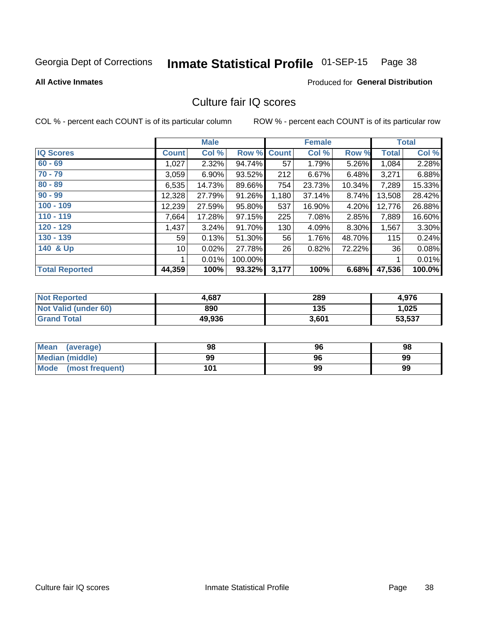# Inmate Statistical Profile 01-SEP-15 Page 38

#### **All Active Inmates**

### **Produced for General Distribution**

## Culture fair IQ scores

COL % - percent each COUNT is of its particular column

|                       |                 | <b>Male</b> |         |              | <b>Female</b> |        |              | <b>Total</b> |
|-----------------------|-----------------|-------------|---------|--------------|---------------|--------|--------------|--------------|
| <b>IQ Scores</b>      | <b>Count</b>    | Col %       | Row %   | <b>Count</b> | Col %         | Row %  | <b>Total</b> | Col %        |
| $60 - 69$             | 1,027           | 2.32%       | 94.74%  | 57           | 1.79%         | 5.26%  | 1,084        | 2.28%        |
| $70 - 79$             | 3,059           | 6.90%       | 93.52%  | 212          | 6.67%         | 6.48%  | 3,271        | 6.88%        |
| $80 - 89$             | 6,535           | 14.73%      | 89.66%  | 754          | 23.73%        | 10.34% | 7,289        | 15.33%       |
| $90 - 99$             | 12,328          | 27.79%      | 91.26%  | 1,180        | 37.14%        | 8.74%  | 13,508       | 28.42%       |
| $100 - 109$           | 12,239          | 27.59%      | 95.80%  | 537          | 16.90%        | 4.20%  | 12,776       | 26.88%       |
| $110 - 119$           | 7,664           | 17.28%      | 97.15%  | 225          | 7.08%         | 2.85%  | 7,889        | 16.60%       |
| 120 - 129             | 1,437           | 3.24%       | 91.70%  | 130          | 4.09%         | 8.30%  | 1,567        | 3.30%        |
| 130 - 139             | 59 <sub>1</sub> | 0.13%       | 51.30%  | 56           | 1.76%         | 48.70% | 115          | 0.24%        |
| 140 & Up              | 10 <sup>1</sup> | 0.02%       | 27.78%  | 26           | 0.82%         | 72.22% | 36           | 0.08%        |
|                       |                 | 0.01%       | 100.00% |              |               |        | 1            | 0.01%        |
| <b>Total Reported</b> | 44,359          | 100%        | 93.32%  | 3,177        | 100%          | 6.68%  | 47,536       | 100.0%       |

| <b>Not Reported</b>  | 4,687  | 289   | 4,976  |
|----------------------|--------|-------|--------|
| Not Valid (under 60) | 890    | 135   | 1,025  |
| <b>Grand Total</b>   | 49,936 | 3,601 | 53,537 |

| Mean<br>(average)      | 98  | 96 | 98 |
|------------------------|-----|----|----|
| <b>Median (middle)</b> | 99  | 96 | 99 |
| Mode (most frequent)   | 101 | 99 | 99 |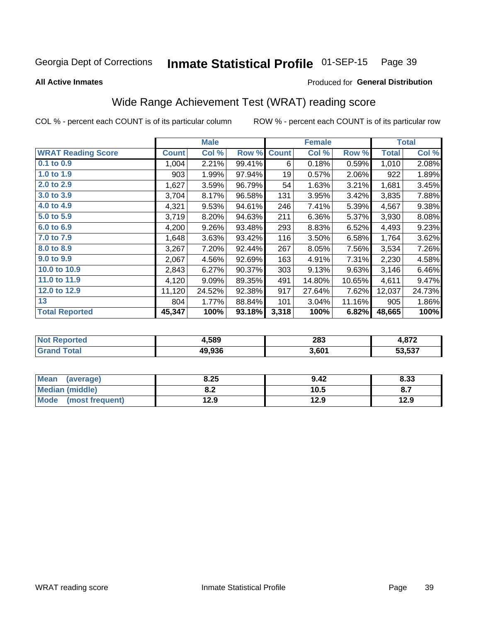#### Inmate Statistical Profile 01-SEP-15 Page 39

**All Active Inmates** 

#### Produced for General Distribution

## Wide Range Achievement Test (WRAT) reading score

COL % - percent each COUNT is of its particular column

|                           |              | <b>Male</b> |        |              | <b>Female</b> |        |              | <b>Total</b> |
|---------------------------|--------------|-------------|--------|--------------|---------------|--------|--------------|--------------|
| <b>WRAT Reading Score</b> | <b>Count</b> | Col %       | Row %  | <b>Count</b> | Col %         | Row %  | <b>Total</b> | Col %        |
| $0.1$ to $0.9$            | 1,004        | 2.21%       | 99.41% | 6            | 0.18%         | 0.59%  | 1,010        | 2.08%        |
| 1.0 to 1.9                | 903          | 1.99%       | 97.94% | 19           | 0.57%         | 2.06%  | 922          | 1.89%        |
| 2.0 to 2.9                | 1,627        | 3.59%       | 96.79% | 54           | 1.63%         | 3.21%  | 1,681        | 3.45%        |
| 3.0 to 3.9                | 3,704        | 8.17%       | 96.58% | 131          | 3.95%         | 3.42%  | 3,835        | 7.88%        |
| 4.0 to 4.9                | 4,321        | 9.53%       | 94.61% | 246          | 7.41%         | 5.39%  | 4,567        | 9.38%        |
| 5.0 to 5.9                | 3,719        | 8.20%       | 94.63% | 211          | 6.36%         | 5.37%  | 3,930        | 8.08%        |
| 6.0 to 6.9                | 4,200        | 9.26%       | 93.48% | 293          | 8.83%         | 6.52%  | 4,493        | 9.23%        |
| 7.0 to 7.9                | 1,648        | 3.63%       | 93.42% | 116          | 3.50%         | 6.58%  | 1,764        | 3.62%        |
| 8.0 to 8.9                | 3,267        | 7.20%       | 92.44% | 267          | 8.05%         | 7.56%  | 3,534        | 7.26%        |
| 9.0 to 9.9                | 2,067        | 4.56%       | 92.69% | 163          | 4.91%         | 7.31%  | 2,230        | 4.58%        |
| 10.0 to 10.9              | 2,843        | 6.27%       | 90.37% | 303          | 9.13%         | 9.63%  | 3,146        | 6.46%        |
| 11.0 to 11.9              | 4,120        | 9.09%       | 89.35% | 491          | 14.80%        | 10.65% | 4,611        | 9.47%        |
| 12.0 to 12.9              | 11,120       | 24.52%      | 92.38% | 917          | 27.64%        | 7.62%  | 12,037       | 24.73%       |
| 13                        | 804          | 1.77%       | 88.84% | 101          | 3.04%         | 11.16% | 905          | 1.86%        |
| <b>Total Reported</b>     | 45,347       | 100%        | 93.18% | 3,318        | 100%          | 6.82%  | 48,665       | 100%         |

| NG | +,589  | 283   | 070    |
|----|--------|-------|--------|
|    | 49.936 | 3,601 | 53,537 |

| Mean<br>(average)       | 8.25       | 9.42 | 8.33 |
|-------------------------|------------|------|------|
| <b>Median (middle)</b>  | י ה<br>0.Z | 10.5 | о.,  |
| Mode<br>(most frequent) | 12.9       | 12.9 | 12.9 |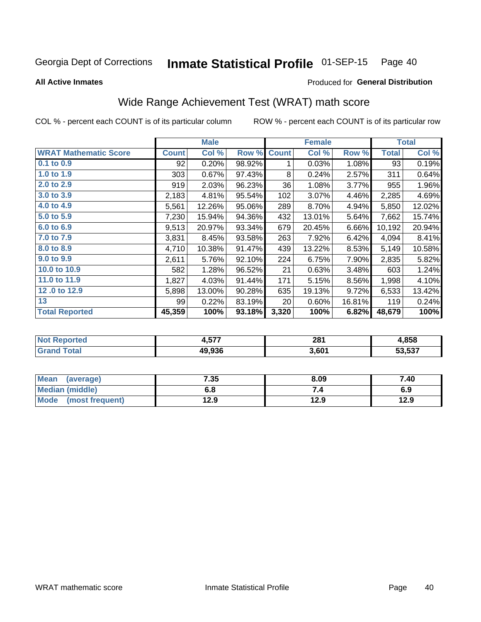#### Inmate Statistical Profile 01-SEP-15 Page 40

**All Active Inmates** 

### **Produced for General Distribution**

## Wide Range Achievement Test (WRAT) math score

COL % - percent each COUNT is of its particular column

|                              |              | <b>Male</b> |        |              | <b>Female</b> |        |              | <b>Total</b> |
|------------------------------|--------------|-------------|--------|--------------|---------------|--------|--------------|--------------|
| <b>WRAT Mathematic Score</b> | <b>Count</b> | Col %       | Row %  | <b>Count</b> | Col %         | Row %  | <b>Total</b> | Col %        |
| $0.1$ to $0.9$               | 92           | 0.20%       | 98.92% | 1            | 0.03%         | 1.08%  | 93           | 0.19%        |
| 1.0 to 1.9                   | 303          | 0.67%       | 97.43% | 8            | 0.24%         | 2.57%  | 311          | 0.64%        |
| 2.0 to 2.9                   | 919          | 2.03%       | 96.23% | 36           | 1.08%         | 3.77%  | 955          | 1.96%        |
| 3.0 to 3.9                   | 2,183        | 4.81%       | 95.54% | 102          | 3.07%         | 4.46%  | 2,285        | 4.69%        |
| 4.0 to 4.9                   | 5,561        | 12.26%      | 95.06% | 289          | 8.70%         | 4.94%  | 5,850        | 12.02%       |
| 5.0 to 5.9                   | 7,230        | 15.94%      | 94.36% | 432          | 13.01%        | 5.64%  | 7,662        | 15.74%       |
| 6.0 to 6.9                   | 9,513        | 20.97%      | 93.34% | 679          | 20.45%        | 6.66%  | 10,192       | 20.94%       |
| 7.0 to 7.9                   | 3,831        | 8.45%       | 93.58% | 263          | 7.92%         | 6.42%  | 4,094        | 8.41%        |
| 8.0 to 8.9                   | 4,710        | 10.38%      | 91.47% | 439          | 13.22%        | 8.53%  | 5,149        | 10.58%       |
| 9.0 to 9.9                   | 2,611        | 5.76%       | 92.10% | 224          | 6.75%         | 7.90%  | 2,835        | 5.82%        |
| 10.0 to 10.9                 | 582          | 1.28%       | 96.52% | 21           | 0.63%         | 3.48%  | 603          | 1.24%        |
| 11.0 to 11.9                 | 1,827        | 4.03%       | 91.44% | 171          | 5.15%         | 8.56%  | 1,998        | 4.10%        |
| 12.0 to 12.9                 | 5,898        | 13.00%      | 90.28% | 635          | 19.13%        | 9.72%  | 6,533        | 13.42%       |
| 13                           | 99           | 0.22%       | 83.19% | 20           | 0.60%         | 16.81% | 119          | 0.24%        |
| <b>Total Reported</b>        | 45,359       | 100%        | 93.18% | 3,320        | 100%          | 6.82%  | 48,679       | 100%         |

| <b>eported</b> | <b>677</b><br>J | 281   | .858   |
|----------------|-----------------|-------|--------|
| <b>ota</b>     | 49.936          | 3,601 | 53.537 |

| <b>Mean</b><br>(average)       | 7.35 | 8.09 | 7.40 |
|--------------------------------|------|------|------|
| Median (middle)                | o.o  |      | 6.9  |
| <b>Mode</b><br>(most frequent) | l2.9 | 12.9 | 12.9 |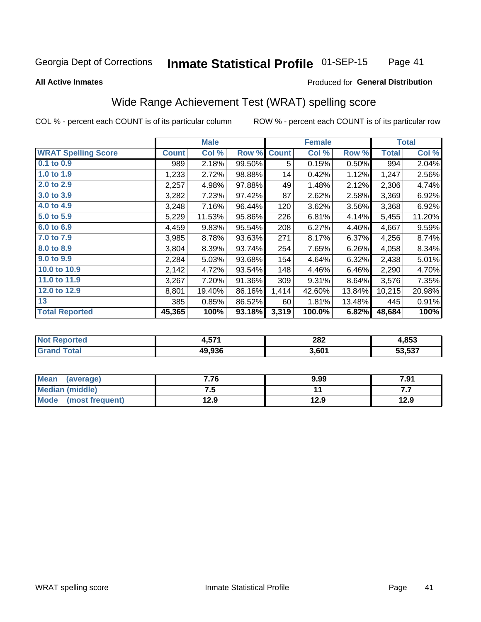#### **Inmate Statistical Profile 01-SEP-15** Page 41

#### **All Active Inmates**

### Produced for General Distribution

## Wide Range Achievement Test (WRAT) spelling score

COL % - percent each COUNT is of its particular column

|                            |              | <b>Male</b> |        |              | <b>Female</b> |        |              | <b>Total</b> |
|----------------------------|--------------|-------------|--------|--------------|---------------|--------|--------------|--------------|
| <b>WRAT Spelling Score</b> | <b>Count</b> | Col %       | Row %  | <b>Count</b> | Col %         | Row %  | <b>Total</b> | Col %        |
| $0.1$ to $0.9$             | 989          | 2.18%       | 99.50% | 5            | 0.15%         | 0.50%  | 994          | 2.04%        |
| 1.0 to 1.9                 | 1,233        | 2.72%       | 98.88% | 14           | 0.42%         | 1.12%  | 1,247        | 2.56%        |
| 2.0 to 2.9                 | 2,257        | 4.98%       | 97.88% | 49           | 1.48%         | 2.12%  | 2,306        | 4.74%        |
| 3.0 to 3.9                 | 3,282        | 7.23%       | 97.42% | 87           | 2.62%         | 2.58%  | 3,369        | 6.92%        |
| 4.0 to 4.9                 | 3,248        | 7.16%       | 96.44% | 120          | 3.62%         | 3.56%  | 3,368        | 6.92%        |
| 5.0 to 5.9                 | 5,229        | 11.53%      | 95.86% | 226          | 6.81%         | 4.14%  | 5,455        | 11.20%       |
| 6.0 to 6.9                 | 4,459        | 9.83%       | 95.54% | 208          | 6.27%         | 4.46%  | 4,667        | 9.59%        |
| 7.0 to 7.9                 | 3,985        | 8.78%       | 93.63% | 271          | 8.17%         | 6.37%  | 4,256        | 8.74%        |
| 8.0 to 8.9                 | 3,804        | 8.39%       | 93.74% | 254          | 7.65%         | 6.26%  | 4,058        | 8.34%        |
| 9.0 to 9.9                 | 2,284        | 5.03%       | 93.68% | 154          | 4.64%         | 6.32%  | 2,438        | 5.01%        |
| 10.0 to 10.9               | 2,142        | 4.72%       | 93.54% | 148          | 4.46%         | 6.46%  | 2,290        | 4.70%        |
| 11.0 to 11.9               | 3,267        | 7.20%       | 91.36% | 309          | 9.31%         | 8.64%  | 3,576        | 7.35%        |
| 12.0 to 12.9               | 8,801        | 19.40%      | 86.16% | 1,414        | 42.60%        | 13.84% | 10,215       | 20.98%       |
| 13                         | 385          | 0.85%       | 86.52% | 60           | 1.81%         | 13.48% | 445          | 0.91%        |
| <b>Total Reported</b>      | 45,365       | 100%        | 93.18% | 3,319        | 100.0%        | 6.82%  | 48,684       | 100%         |

| NO | 4,57 <sup>4</sup> | 282<br>___ | 1,853  |
|----|-------------------|------------|--------|
|    | 49.936            | 3,601      | 53,537 |

| <b>Mean</b><br>(average) | 7.76 | 9.99 | 7.91 |
|--------------------------|------|------|------|
| <b>Median (middle)</b>   | ن. ا |      | .    |
| Mode (most frequent)     | 12.9 | 12.9 | 12.9 |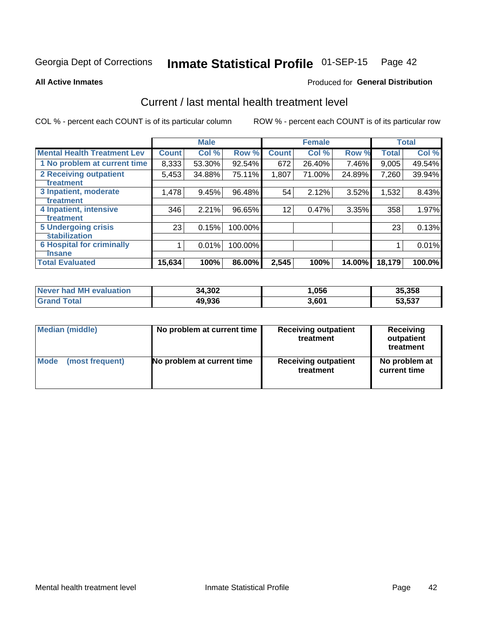# Inmate Statistical Profile 01-SEP-15 Page 42

**All Active Inmates** 

#### **Produced for General Distribution**

## Current / last mental health treatment level

COL % - percent each COUNT is of its particular column

|                                    |              | <b>Male</b> |         |              | <b>Female</b> |        |              | <b>Total</b> |
|------------------------------------|--------------|-------------|---------|--------------|---------------|--------|--------------|--------------|
| <b>Mental Health Treatment Lev</b> | <b>Count</b> | Col%        | Row %   | <b>Count</b> | Col %         | Row %  | <b>Total</b> | Col %        |
| 1 No problem at current time       | 8,333        | 53.30%      | 92.54%  | 672          | 26.40%        | 7.46%  | 9,005        | 49.54%       |
| 2 Receiving outpatient             | 5,453        | 34.88%      | 75.11%  | 1,807        | 71.00%        | 24.89% | 7,260        | 39.94%       |
| <b>Treatment</b>                   |              |             |         |              |               |        |              |              |
| 3 Inpatient, moderate              | 1,478        | 9.45%       | 96.48%  | 54           | 2.12%         | 3.52%  | 1,532        | 8.43%        |
| Treatment                          |              |             |         |              |               |        |              |              |
| 4 Inpatient, intensive             | 346          | 2.21%       | 96.65%  | 12           | 0.47%         | 3.35%  | 358          | 1.97%        |
| <b>Treatment</b>                   |              |             |         |              |               |        |              |              |
| 5 Undergoing crisis                | 23           | 0.15%       | 100.00% |              |               |        | 23           | 0.13%        |
| <b>stabilization</b>               |              |             |         |              |               |        |              |              |
| <b>6 Hospital for criminally</b>   |              | 0.01%       | 100.00% |              |               |        |              | 0.01%        |
| <b>Tinsane</b>                     |              |             |         |              |               |        |              |              |
| <b>Total Evaluated</b>             | 15,634       | 100%        | 86.00%  | 2,545        | 100%          | 14.00% | 18,179       | 100.0%       |

| Never had MH evaluation | 34,302 | ,056  | 35,358 |
|-------------------------|--------|-------|--------|
| <b>Grand Total</b>      | 49,936 | 3,601 | 53,537 |

| Median (middle) | No problem at current time | <b>Receiving outpatient</b><br>treatment | <b>Receiving</b><br>outpatient<br>treatment |  |
|-----------------|----------------------------|------------------------------------------|---------------------------------------------|--|
| <b>Mode</b>     | No problem at current time | <b>Receiving outpatient</b>              | No problem at                               |  |
| (most frequent) |                            | treatment                                | current time                                |  |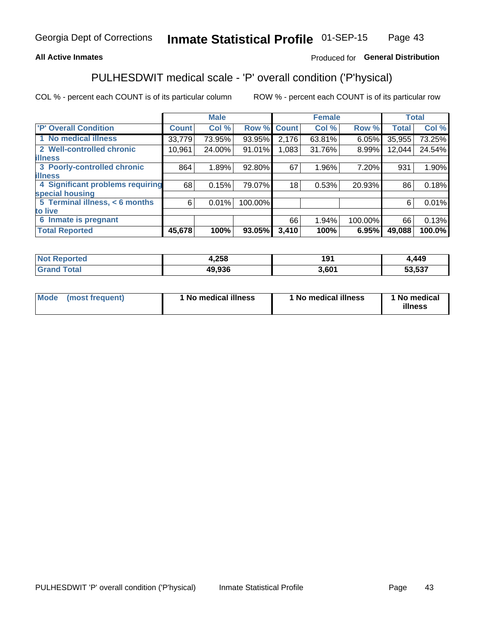### **All Active Inmates**

### Produced for General Distribution

## PULHESDWIT medical scale - 'P' overall condition ('P'hysical)

COL % - percent each COUNT is of its particular column

|                                  |              | <b>Male</b> |         |              | <b>Female</b> |         |              | <b>Total</b> |
|----------------------------------|--------------|-------------|---------|--------------|---------------|---------|--------------|--------------|
| 'P' Overall Condition            | <b>Count</b> | Col %       | Row %   | <b>Count</b> | Col %         | Row %   | <b>Total</b> | Col %        |
| 1 No medical illness             | 33,779       | 73.95%      | 93.95%  | 2,176        | 63.81%        | 6.05%   | 35,955       | 73.25%       |
| 2 Well-controlled chronic        | 10,961       | 24.00%      | 91.01%  | 1,083        | 31.76%        | 8.99%   | 12,044       | 24.54%       |
| <b>illness</b>                   |              |             |         |              |               |         |              |              |
| 3 Poorly-controlled chronic      | 864          | 1.89%       | 92.80%  | 67           | 1.96%         | 7.20%   | 931          | 1.90%        |
| <b>illness</b>                   |              |             |         |              |               |         |              |              |
| 4 Significant problems requiring | 68           | 0.15%       | 79.07%  | 18           | 0.53%         | 20.93%  | 86           | 0.18%        |
| special housing                  |              |             |         |              |               |         |              |              |
| 5 Terminal illness, < 6 months   | 6            | 0.01%       | 100.00% |              |               |         | 6            | 0.01%        |
| to live                          |              |             |         |              |               |         |              |              |
| 6 Inmate is pregnant             |              |             |         | 66           | 1.94%         | 100.00% | 66           | 0.13%        |
| <b>Total Reported</b>            | 45,678       | 100%        | 93.05%  | 3,410        | 100%          | 6.95%   | 49,088       | 100.0%       |

| тео | 4,258              | ۰۵۰<br>. . | 449    |
|-----|--------------------|------------|--------|
|     | ימה הו<br>$\cdots$ | .601       | 53.537 |

| Mode | (most frequent) | 1 No medical illness | 1 No medical illness | 1 No medical<br>illness |
|------|-----------------|----------------------|----------------------|-------------------------|
|------|-----------------|----------------------|----------------------|-------------------------|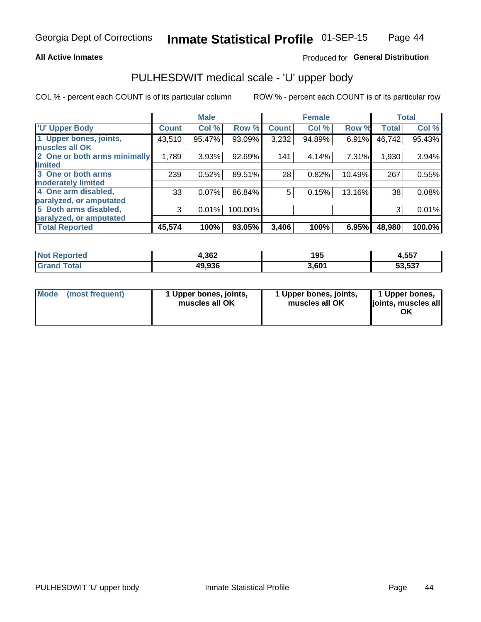### **All Active Inmates**

### Produced for General Distribution

# PULHESDWIT medical scale - 'U' upper body

COL % - percent each COUNT is of its particular column

|                              |              | <b>Male</b> |         |              | <b>Female</b> |        |              | <b>Total</b> |
|------------------------------|--------------|-------------|---------|--------------|---------------|--------|--------------|--------------|
| <b>U' Upper Body</b>         | <b>Count</b> | Col %       | Row %   | <b>Count</b> | Col %         | Row %  | <b>Total</b> | Col %        |
| 1 Upper bones, joints,       | 43,510       | 95.47%      | 93.09%  | 3,232        | 94.89%        | 6.91%  | 46,742       | 95.43%       |
| muscles all OK               |              |             |         |              |               |        |              |              |
| 2 One or both arms minimally | 1,789        | 3.93%       | 92.69%  | 141          | 4.14%         | 7.31%  | 1,930        | 3.94%        |
| limited                      |              |             |         |              |               |        |              |              |
| 3 One or both arms           | 239          | 0.52%       | 89.51%  | 28           | 0.82%         | 10.49% | 267          | 0.55%        |
| <b>moderately limited</b>    |              |             |         |              |               |        |              |              |
| 4 One arm disabled,          | 33           | 0.07%       | 86.84%  | 5            | 0.15%         | 13.16% | 38           | 0.08%        |
| paralyzed, or amputated      |              |             |         |              |               |        |              |              |
| 5 Both arms disabled,        | 3            | 0.01%       | 100.00% |              |               |        | 3            | 0.01%        |
| paralyzed, or amputated      |              |             |         |              |               |        |              |              |
| <b>Total Reported</b>        | 45,574       | 100%        | 93.05%  | 3,406        | 100%          | 6.95%  | 48,980       | 100.0%       |

| <b>Not Reported</b>   | 4,362  | 195   | 4,557  |
|-----------------------|--------|-------|--------|
| <b>Total</b><br>Grand | 49,936 | 3,601 | 53,537 |

| Mode (most frequent) | 1 Upper bones, joints,<br>muscles all OK | 1 Upper bones, joints,<br>muscles all OK | 1 Upper bones,<br>joints, muscles all<br>ΟK |
|----------------------|------------------------------------------|------------------------------------------|---------------------------------------------|
|----------------------|------------------------------------------|------------------------------------------|---------------------------------------------|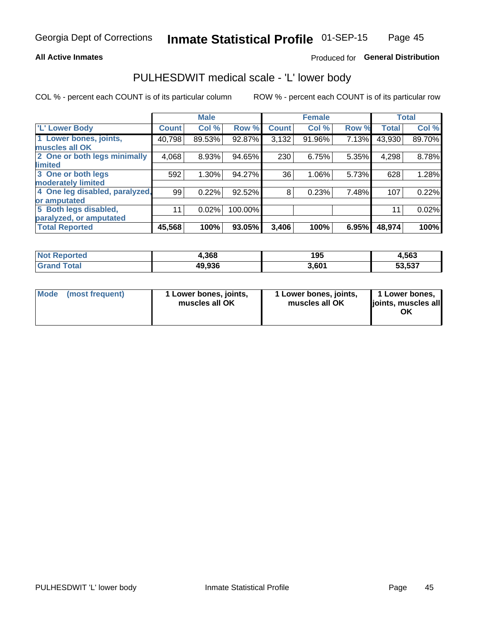### **All Active Inmates**

### Produced for General Distribution

## PULHESDWIT medical scale - 'L' lower body

COL % - percent each COUNT is of its particular column

|                                |              | <b>Male</b> |         |              | <b>Female</b> |       |              | <b>Total</b> |
|--------------------------------|--------------|-------------|---------|--------------|---------------|-------|--------------|--------------|
| 'L' Lower Body                 | <b>Count</b> | Col %       | Row %   | <b>Count</b> | Col %         | Row % | <b>Total</b> | Col %        |
| 1 Lower bones, joints,         | 40,798       | 89.53%      | 92.87%  | 3,132        | 91.96%        | 7.13% | 43,930       | 89.70%       |
| muscles all OK                 |              |             |         |              |               |       |              |              |
| 2 One or both legs minimally   | 4,068        | 8.93%       | 94.65%  | 230          | 6.75%         | 5.35% | 4,298        | 8.78%        |
| limited                        |              |             |         |              |               |       |              |              |
| 3 One or both legs             | 592          | 1.30%       | 94.27%  | 36           | 1.06%         | 5.73% | 628          | 1.28%        |
| moderately limited             |              |             |         |              |               |       |              |              |
| 4 One leg disabled, paralyzed, | 99           | 0.22%       | 92.52%  | 8            | 0.23%         | 7.48% | 107          | 0.22%        |
| or amputated                   |              |             |         |              |               |       |              |              |
| 5 Both legs disabled,          | 11           | 0.02%       | 100.00% |              |               |       | 11           | 0.02%        |
| paralyzed, or amputated        |              |             |         |              |               |       |              |              |
| <b>Total Reported</b>          | 45,568       | 100%        | 93.05%  | 3,406        | 100%          | 6.95% | 48,974       | 100%         |

| <b>Not Reported</b>   | 1,368  | 195   | 4,563  |
|-----------------------|--------|-------|--------|
| <b>Total</b><br>Grand | 49,936 | 3,601 | 53,537 |

| Mode | (most frequent) | 1 Lower bones, joints,<br>muscles all OK | 1 Lower bones, joints,<br>muscles all OK | 1 Lower bones,<br>joints, muscles all<br>ΟK |
|------|-----------------|------------------------------------------|------------------------------------------|---------------------------------------------|
|------|-----------------|------------------------------------------|------------------------------------------|---------------------------------------------|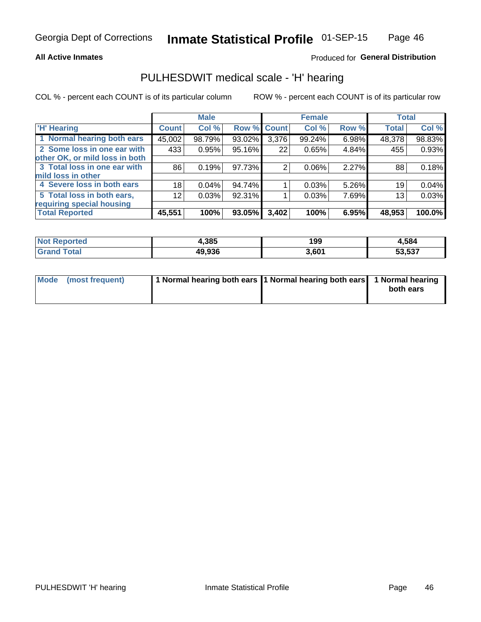### **All Active Inmates**

### Produced for General Distribution

### PULHESDWIT medical scale - 'H' hearing

COL % - percent each COUNT is of its particular column

|                                |                 | <b>Male</b> |                    |       | <b>Female</b> |       | <b>Total</b> |          |
|--------------------------------|-----------------|-------------|--------------------|-------|---------------|-------|--------------|----------|
| <b>'H' Hearing</b>             | <b>Count</b>    | Col %       | <b>Row % Count</b> |       | Col %         | Row % | <b>Total</b> | Col %    |
| 1 Normal hearing both ears     | 45,002          | 98.79%      | 93.02%             | 3,376 | 99.24%        | 6.98% | 48,378       | 98.83%   |
| 2 Some loss in one ear with    | 433             | 0.95%       | 95.16%             | 22    | 0.65%         | 4.84% | 455          | 0.93%    |
| other OK, or mild loss in both |                 |             |                    |       |               |       |              |          |
| 3 Total loss in one ear with   | 86              | 0.19%       | 97.73%             | 2     | $0.06\%$      | 2.27% | 88           | 0.18%    |
| mild loss in other             |                 |             |                    |       |               |       |              |          |
| 4 Severe loss in both ears     | 18              | 0.04%       | 94.74%             |       | 0.03%         | 5.26% | 19           | $0.04\%$ |
| 5 Total loss in both ears,     | 12 <sub>1</sub> | 0.03%       | 92.31%             |       | 0.03%         | 7.69% | 13           | 0.03%    |
| requiring special housing      |                 |             |                    |       |               |       |              |          |
| <b>Total Reported</b>          | 45,551          | 100%        | 93.05%             | 3,402 | 100%          | 6.95% | 48,953       | 100.0%   |

| <b>Not Reno</b><br>ాorted | 1,385  | 199   | 584،   |
|---------------------------|--------|-------|--------|
| Total                     | 49,936 | 3,601 | 53,537 |

| Mode (most frequent) | 1 Normal hearing both ears 11 Normal hearing both ears 1 Normal hearing | both ears |
|----------------------|-------------------------------------------------------------------------|-----------|
|                      |                                                                         |           |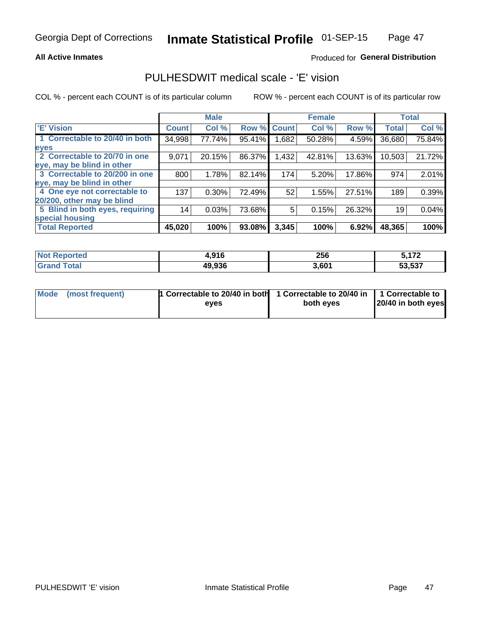### **All Active Inmates**

### Produced for General Distribution

## PULHESDWIT medical scale - 'E' vision

COL % - percent each COUNT is of its particular column

|                                 |              | <b>Male</b> |        |              | <b>Female</b> |        |              | <b>Total</b> |
|---------------------------------|--------------|-------------|--------|--------------|---------------|--------|--------------|--------------|
| 'E' Vision                      | <b>Count</b> | Col %       | Row %  | <b>Count</b> | Col %         | Row %  | <b>Total</b> | Col %        |
| 1 Correctable to 20/40 in both  | 34,998       | 77.74%      | 95.41% | .682         | 50.28%        | 4.59%  | 36,680       | 75.84%       |
| eyes                            |              |             |        |              |               |        |              |              |
| 2 Correctable to 20/70 in one   | 9,071        | 20.15%      | 86.37% | 1,432        | 42.81%        | 13.63% | 10,503       | 21.72%       |
| eye, may be blind in other      |              |             |        |              |               |        |              |              |
| 3 Correctable to 20/200 in one  | 800          | 1.78%       | 82.14% | 174          | 5.20%         | 17.86% | 974          | 2.01%        |
| eye, may be blind in other      |              |             |        |              |               |        |              |              |
| 4 One eye not correctable to    | 137          | 0.30%       | 72.49% | 52           | 1.55%         | 27.51% | 189          | 0.39%        |
| 20/200, other may be blind      |              |             |        |              |               |        |              |              |
| 5 Blind in both eyes, requiring | 14           | 0.03%       | 73.68% | 5            | 0.15%         | 26.32% | 19           | 0.04%        |
| special housing                 |              |             |        |              |               |        |              |              |
| <b>Total Reported</b>           | 45,020       | 100%        | 93.08% | 3,345        | 100%          | 6.92%  | 48,365       | 100%         |

| <b>Not Reported</b> | 4,916  | 256   | - 470  |
|---------------------|--------|-------|--------|
| <b>Total</b>        | 49,936 | 3,601 | 53,537 |

| Mode (most frequent) | 1 Correctable to 20/40 in both<br>eves | 1 Correctable to 20/40 in   1 Correctable to  <br>both eves | 20/40 in both eyes |
|----------------------|----------------------------------------|-------------------------------------------------------------|--------------------|
|                      |                                        |                                                             |                    |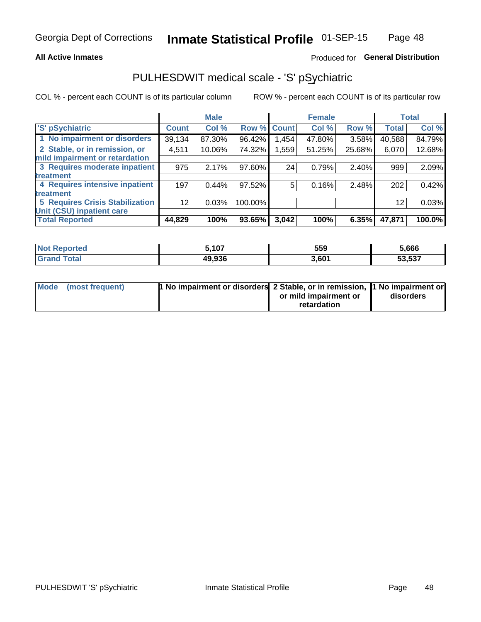### **All Active Inmates**

### Produced for General Distribution

## PULHESDWIT medical scale - 'S' pSychiatric

COL % - percent each COUNT is of its particular column

|                                        |                 | <b>Male</b> |           |              | <b>Female</b> |        |              | <b>Total</b> |
|----------------------------------------|-----------------|-------------|-----------|--------------|---------------|--------|--------------|--------------|
| 'S' pSychiatric                        | <b>Count</b>    | Col %       | Row %     | <b>Count</b> | Col %         | Row %  | <b>Total</b> | Col %        |
| 1 No impairment or disorders           | 39,134          | 87.30%      | 96.42%    | .454         | 47.80%        | 3.58%  | 40,588       | 84.79%       |
| 2 Stable, or in remission, or          | 4,511           | 10.06%      | 74.32%    | ,559         | 51.25%        | 25.68% | 6,070        | 12.68%       |
| mild impairment or retardation         |                 |             |           |              |               |        |              |              |
| 3 Requires moderate inpatient          | 975             | 2.17%       | 97.60%    | 24           | 0.79%         | 2.40%  | 999          | 2.09%        |
| treatment                              |                 |             |           |              |               |        |              |              |
| 4 Requires intensive inpatient         | 197             | 0.44%       | $97.52\%$ | 5            | 0.16%         | 2.48%  | 202          | 0.42%        |
| treatment                              |                 |             |           |              |               |        |              |              |
| <b>5 Requires Crisis Stabilization</b> | 12 <sup>2</sup> | 0.03%       | 100.00%   |              |               |        | 12           | 0.03%        |
| Unit (CSU) inpatient care              |                 |             |           |              |               |        |              |              |
| <b>Total Reported</b>                  | 44,829          | 100%        | 93.65%    | 3,042        | 100%          | 6.35%  | 47,871       | 100.0%       |

| <b>Not Reported</b>    | ,107   | 559   | 5,666  |
|------------------------|--------|-------|--------|
| $\tau$ otal<br>' Grand | 49,936 | 3,601 | 53,537 |

| Mode (most frequent) | <b>1 No impairment or disorders 2 Stable, or in remission, 1 No impairment or</b> |                       |           |
|----------------------|-----------------------------------------------------------------------------------|-----------------------|-----------|
|                      |                                                                                   | or mild impairment or | disorders |
|                      |                                                                                   | retardation           |           |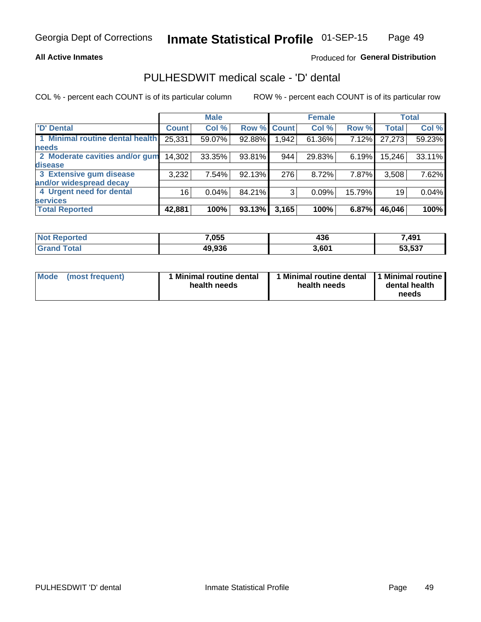### **All Active Inmates**

### Produced for General Distribution

## PULHESDWIT medical scale - 'D' dental

COL % - percent each COUNT is of its particular column

|                                 |              | <b>Male</b> |        |             | <b>Female</b> |          |              | <b>Total</b> |
|---------------------------------|--------------|-------------|--------|-------------|---------------|----------|--------------|--------------|
| <b>D'</b> Dental                | <b>Count</b> | Col %       |        | Row % Count | Col %         | Row %    | <b>Total</b> | Col %        |
| 1 Minimal routine dental health | 25,331       | 59.07%      | 92.88% | 1,942       | 61.36%        | $7.12\%$ | 27,273       | 59.23%       |
| <b>needs</b>                    |              |             |        |             |               |          |              |              |
| 2 Moderate cavities and/or gum  | 14,302       | 33.35%      | 93.81% | 944         | 29.83%        | $6.19\%$ | 15,246       | 33.11%       |
| disease                         |              |             |        |             |               |          |              |              |
| 3 Extensive gum disease         | 3,232        | 7.54%       | 92.13% | 276         | 8.72%         | 7.87%    | 3,508        | 7.62%        |
| and/or widespread decay         |              |             |        |             |               |          |              |              |
| 4 Urgent need for dental        | 16           | 0.04%       | 84.21% | 3           | 0.09%         | 15.79%   | 19           | 0.04%        |
| <b>services</b>                 |              |             |        |             |               |          |              |              |
| <b>Total Reported</b>           | 42,881       | 100%        | 93.13% | 3,165       | 100%          | 6.87%    | 46,046       | 100%         |

| <b>Not Renc</b><br><b>orted</b> | 7,055  | 436   | 491,   |
|---------------------------------|--------|-------|--------|
| <b>Total</b>                    | 49,936 | 3,601 | 53,537 |

| <b>Mode</b> | (most frequent) | <b>Minimal routine dental</b><br>health needs | 1 Minimal routine dental   1 Minimal routine  <br>health needs | dental health<br>needs |
|-------------|-----------------|-----------------------------------------------|----------------------------------------------------------------|------------------------|
|-------------|-----------------|-----------------------------------------------|----------------------------------------------------------------|------------------------|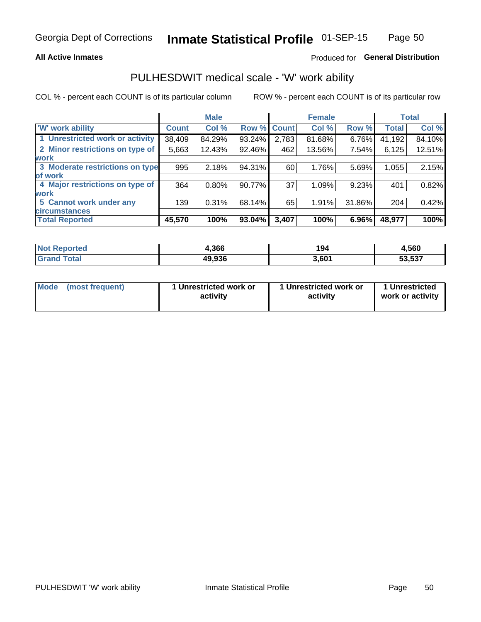### **All Active Inmates**

### Produced for General Distribution

## PULHESDWIT medical scale - 'W' work ability

COL % - percent each COUNT is of its particular column

|                                 |                    | <b>Male</b> |        |             | <b>Female</b> |        |              | <b>Total</b> |
|---------------------------------|--------------------|-------------|--------|-------------|---------------|--------|--------------|--------------|
| 'W' work ability                | Count <sup>1</sup> | Col %       |        | Row % Count | Col %         | Row %  | <b>Total</b> | Col %        |
| 1 Unrestricted work or activity | 38,409             | 84.29%      | 93.24% | 2,783       | 81.68%        | 6.76%  | 41,192       | 84.10%       |
| 2 Minor restrictions on type of | 5,663              | 12.43%      | 92.46% | 462         | 13.56%        | 7.54%  | 6,125        | 12.51%       |
| <b>work</b>                     |                    |             |        |             |               |        |              |              |
| 3 Moderate restrictions on type | 995                | 2.18%       | 94.31% | 60          | 1.76%         | 5.69%  | 1,055        | 2.15%        |
| lof work                        |                    |             |        |             |               |        |              |              |
| 4 Major restrictions on type of | 364                | $0.80\%$    | 90.77% | 37          | 1.09%         | 9.23%  | 401          | 0.82%        |
| <b>work</b>                     |                    |             |        |             |               |        |              |              |
| 5 Cannot work under any         | 139                | 0.31%       | 68.14% | 65          | 1.91%         | 31.86% | 204          | 0.42%        |
| <b>circumstances</b>            |                    |             |        |             |               |        |              |              |
| <b>Total Reported</b>           | 45,570             | 100%        | 93.04% | 3,407       | 100%          | 6.96%  | 48,977       | 100%         |

| <b>Not Reported</b>          | 4,366  | 194   | 4,560  |
|------------------------------|--------|-------|--------|
| <b>Total</b><br><b>Grand</b> | 49,936 | 3,601 | 53,537 |

| Mode            | 1 Unrestricted work or | 1 Unrestricted work or | 1 Unrestricted   |
|-----------------|------------------------|------------------------|------------------|
| (most frequent) | activity               | activity               | work or activity |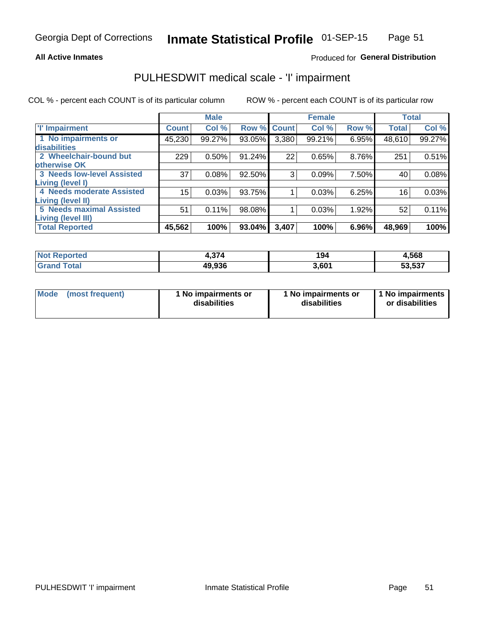### **All Active Inmates**

### Produced for General Distribution

## PULHESDWIT medical scale - 'I' impairment

COL % - percent each COUNT is of its particular column

|                                                    |              | <b>Male</b> |        |             | <b>Female</b> |       | <b>Total</b> |        |
|----------------------------------------------------|--------------|-------------|--------|-------------|---------------|-------|--------------|--------|
| <b>T' Impairment</b>                               | <b>Count</b> | Col %       |        | Row % Count | Col %         | Row % | <b>Total</b> | Col %  |
| 1 No impairments or<br>disabilities                | 45,230       | 99.27%      | 93.05% | 3,380       | 99.21%        | 6.95% | 48,610       | 99.27% |
| 2 Wheelchair-bound but                             | 229          | 0.50%       | 91.24% | 22          | 0.65%         | 8.76% | 251          | 0.51%  |
| otherwise OK<br><b>3 Needs low-level Assisted</b>  | 37           | 0.08%       | 92.50% | 3           | 0.09%         | 7.50% | 40           | 0.08%  |
| Living (level I)                                   |              |             |        |             |               |       |              |        |
| 4 Needs moderate Assisted<br>Living (level II)     | 15           | 0.03%       | 93.75% |             | 0.03%         | 6.25% | 16           | 0.03%  |
| <b>5 Needs maximal Assisted</b>                    | 51           | 0.11%       | 98.08% |             | 0.03%         | 1.92% | 52           | 0.11%  |
| <b>Living (level III)</b><br><b>Total Reported</b> | 45,562       | 100%        | 93.04% | 3,407       | 100%          | 6.96% | 48,969       | 100%   |

| <b>ported</b>     | $\sim$ | 194               | 4,568                                       |
|-------------------|--------|-------------------|---------------------------------------------|
| <sup>™</sup> ota⊾ | 49.936 | 3,60 <sup>4</sup> | $F^{\alpha}$ $F^{\alpha}$<br>ວວ.ວວ <i>ເ</i> |

| Mode | (most frequent) | 1 No impairments or<br>disabilities | 1 No impairments or<br>disabilities | 1 No impairments<br>or disabilities |
|------|-----------------|-------------------------------------|-------------------------------------|-------------------------------------|
|------|-----------------|-------------------------------------|-------------------------------------|-------------------------------------|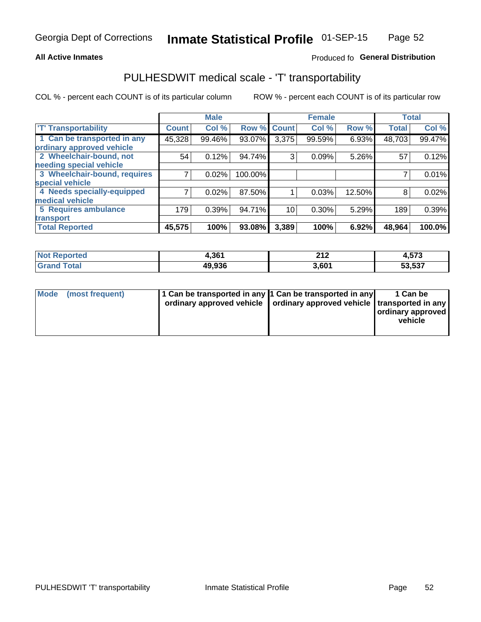### **All Active Inmates**

### Produced fo General Distribution

## PULHESDWIT medical scale - 'T' transportability

COL % - percent each COUNT is of its particular column

|                              |              | <b>Male</b> |         |              | <b>Female</b> |        |              | <b>Total</b> |
|------------------------------|--------------|-------------|---------|--------------|---------------|--------|--------------|--------------|
| <b>T' Transportability</b>   | <b>Count</b> | Col %       | Row %   | <b>Count</b> | Col %         | Row %  | <b>Total</b> | Col %        |
| 1 Can be transported in any  | 45,328       | 99.46%      | 93.07%  | 3,375        | 99.59%        | 6.93%  | 48,703       | 99.47%       |
| ordinary approved vehicle    |              |             |         |              |               |        |              |              |
| 2 Wheelchair-bound, not      | 54           | 0.12%       | 94.74%  | 3            | 0.09%         | 5.26%  | 57           | 0.12%        |
| needing special vehicle      |              |             |         |              |               |        |              |              |
| 3 Wheelchair-bound, requires |              | 0.02%       | 100.00% |              |               |        |              | 0.01%        |
| special vehicle              |              |             |         |              |               |        |              |              |
| 4 Needs specially-equipped   |              | 0.02%       | 87.50%  |              | 0.03%         | 12.50% | 8            | 0.02%        |
| medical vehicle              |              |             |         |              |               |        |              |              |
| <b>5 Requires ambulance</b>  | 179          | 0.39%       | 94.71%  | 10           | 0.30%         | 5.29%  | 189          | 0.39%        |
| transport                    |              |             |         |              |               |        |              |              |
| <b>Total Reported</b>        | 45,575       | 100%        | 93.08%  | 3,389        | 100%          | 6.92%  | 48,964       | 100.0%       |

| Reported<br>NOI | Ⅰ.361  | ົາ 4 ິ<br>4 I A   | 4,573  |
|-----------------|--------|-------------------|--------|
| ™otai           | 49,936 | 3,60 <sup>4</sup> | 53,537 |

|  | Mode (most frequent) | 1 Can be transported in any 1 Can be transported in any<br>ordinary approved vehicle   ordinary approved vehicle   transported in any |  | 1 Can be<br>  ordinary approved  <br>vehicle |
|--|----------------------|---------------------------------------------------------------------------------------------------------------------------------------|--|----------------------------------------------|
|--|----------------------|---------------------------------------------------------------------------------------------------------------------------------------|--|----------------------------------------------|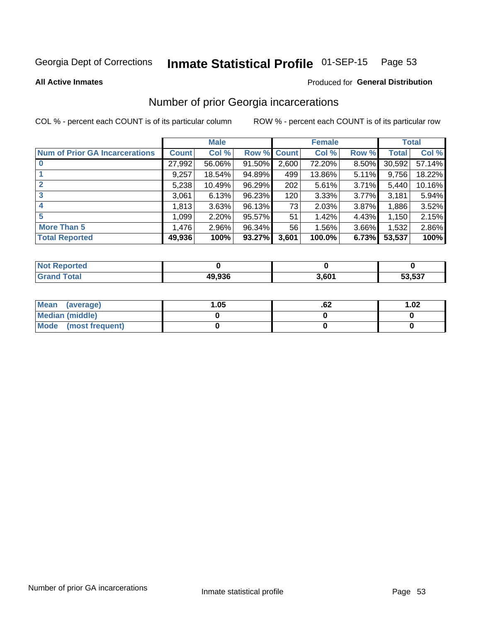#### Inmate Statistical Profile 01-SEP-15 Page 53

**All Active Inmates** 

#### Produced for General Distribution

### Number of prior Georgia incarcerations

COL % - percent each COUNT is of its particular column

|                                       |              | <b>Male</b> |             |       | <b>Female</b> |          |        | <b>Total</b> |
|---------------------------------------|--------------|-------------|-------------|-------|---------------|----------|--------|--------------|
| <b>Num of Prior GA Incarcerations</b> | <b>Count</b> | Col %       | Row % Count |       | Col %         | Row %    | Total  | Col %        |
|                                       | 27,992       | 56.06%      | 91.50%      | 2,600 | 72.20%        | 8.50%    | 30,592 | 57.14%       |
|                                       | 9,257        | 18.54%      | 94.89%      | 499   | 13.86%        | 5.11%    | 9,756  | 18.22%       |
| $\overline{2}$                        | 5,238        | 10.49%      | 96.29%      | 202   | 5.61%         | 3.71%    | 5,440  | 10.16%       |
| 3                                     | 3,061        | 6.13%       | 96.23%      | 120   | 3.33%         | 3.77%    | 3,181  | 5.94%        |
| $\boldsymbol{4}$                      | 1,813        | 3.63%       | 96.13%      | 73    | 2.03%         | 3.87%    | 1,886  | 3.52%        |
| 5                                     | 1,099        | 2.20%       | 95.57%      | 51    | 1.42%         | 4.43%    | 1,150  | 2.15%        |
| <b>More Than 5</b>                    | 1,476        | 2.96%       | 96.34%      | 56    | 1.56%         | $3.66\%$ | 1,532  | 2.86%        |
| <b>Total Reported</b>                 | 49,936       | 100%        | 93.27%      | 3,601 | 100.0%        | 6.73%    | 53,537 | 100%         |

| Reported<br>∣N∩f        |        |       |        |
|-------------------------|--------|-------|--------|
| Total<br><b>'</b> Gran∟ | 49,936 | 3,601 | 53,537 |

| Mean (average)       | .05 | .oz | 1.02 |
|----------------------|-----|-----|------|
| Median (middle)      |     |     |      |
| Mode (most frequent) |     |     |      |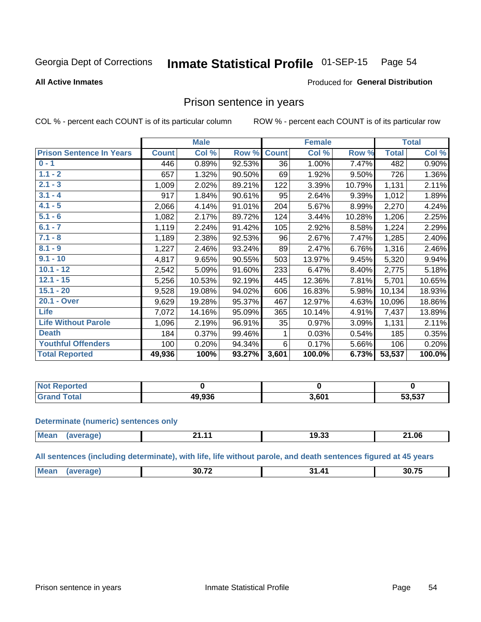#### Inmate Statistical Profile 01-SEP-15 Page 54

#### **All Active Inmates**

#### Produced for General Distribution

### Prison sentence in years

COL % - percent each COUNT is of its particular column

ROW % - percent each COUNT is of its particular row

|                                 |              | <b>Male</b> |        |              | <b>Female</b> |        |              | <b>Total</b> |
|---------------------------------|--------------|-------------|--------|--------------|---------------|--------|--------------|--------------|
| <b>Prison Sentence In Years</b> | <b>Count</b> | Col %       | Row %  | <b>Count</b> | Col %         | Row %  | <b>Total</b> | Col %        |
| $0 - 1$                         | 446          | 0.89%       | 92.53% | 36           | 1.00%         | 7.47%  | 482          | 0.90%        |
| $1.1 - 2$                       | 657          | 1.32%       | 90.50% | 69           | 1.92%         | 9.50%  | 726          | 1.36%        |
| $2.1 - 3$                       | 1,009        | 2.02%       | 89.21% | 122          | 3.39%         | 10.79% | 1,131        | 2.11%        |
| $3.1 - 4$                       | 917          | 1.84%       | 90.61% | 95           | 2.64%         | 9.39%  | 1,012        | 1.89%        |
| $4.1 - 5$                       | 2,066        | 4.14%       | 91.01% | 204          | 5.67%         | 8.99%  | 2,270        | 4.24%        |
| $5.1 - 6$                       | 1,082        | 2.17%       | 89.72% | 124          | 3.44%         | 10.28% | 1,206        | 2.25%        |
| $6.1 - 7$                       | 1,119        | 2.24%       | 91.42% | 105          | 2.92%         | 8.58%  | 1,224        | 2.29%        |
| $7.1 - 8$                       | 1,189        | 2.38%       | 92.53% | 96           | 2.67%         | 7.47%  | 1,285        | 2.40%        |
| $8.1 - 9$                       | 1,227        | 2.46%       | 93.24% | 89           | 2.47%         | 6.76%  | 1,316        | 2.46%        |
| $9.1 - 10$                      | 4,817        | 9.65%       | 90.55% | 503          | 13.97%        | 9.45%  | 5,320        | 9.94%        |
| $10.1 - 12$                     | 2,542        | 5.09%       | 91.60% | 233          | 6.47%         | 8.40%  | 2,775        | 5.18%        |
| $12.1 - 15$                     | 5,256        | 10.53%      | 92.19% | 445          | 12.36%        | 7.81%  | 5,701        | 10.65%       |
| $15.1 - 20$                     | 9,528        | 19.08%      | 94.02% | 606          | 16.83%        | 5.98%  | 10,134       | 18.93%       |
| 20.1 - Over                     | 9,629        | 19.28%      | 95.37% | 467          | 12.97%        | 4.63%  | 10,096       | 18.86%       |
| <b>Life</b>                     | 7,072        | 14.16%      | 95.09% | 365          | 10.14%        | 4.91%  | 7,437        | 13.89%       |
| <b>Life Without Parole</b>      | 1,096        | 2.19%       | 96.91% | 35           | 0.97%         | 3.09%  | 1,131        | 2.11%        |
| <b>Death</b>                    | 184          | 0.37%       | 99.46% |              | 0.03%         | 0.54%  | 185          | 0.35%        |
| <b>Youthful Offenders</b>       | 100          | 0.20%       | 94.34% | 6            | 0.17%         | 5.66%  | 106          | 0.20%        |
| <b>Total Reported</b>           | 49,936       | 100%        | 93.27% | 3,601        | 100.0%        | 6.73%  | 53,537       | 100.0%       |

| portea<br><b>NOT</b> |           |       |        |
|----------------------|-----------|-------|--------|
|                      | <br>סכפ פ | 3,601 | 53,537 |

#### **Determinate (numeric) sentences only**

| <b>Mear</b> |  | 19.33 | 21.06 |
|-------------|--|-------|-------|
|             |  |       |       |

All sentences (including determinate), with life, life without parole, and death sentences figured at 45 years

| $\sim \sim \sim$<br>30.72<br>Me<br>"<br><u>та</u><br>30<br>$ -$ |  |  |  |
|-----------------------------------------------------------------|--|--|--|
|                                                                 |  |  |  |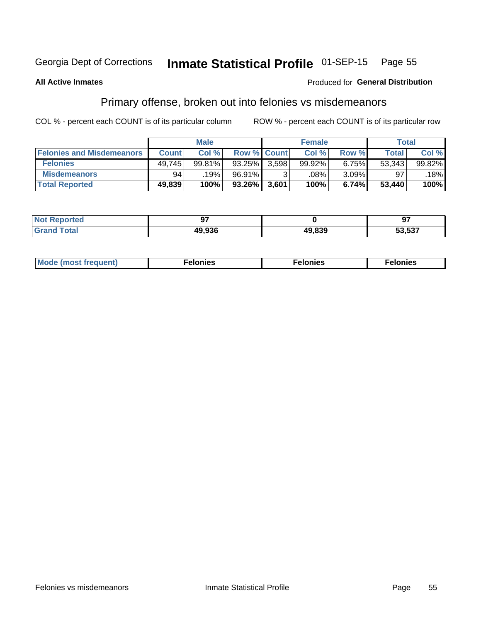#### Inmate Statistical Profile 01-SEP-15 Page 55

#### **All Active Inmates**

### Produced for General Distribution

## Primary offense, broken out into felonies vs misdemeanors

COL % - percent each COUNT is of its particular column

|                                  |              | <b>Male</b> |                    |       | <b>Female</b> |          | Total        |        |
|----------------------------------|--------------|-------------|--------------------|-------|---------------|----------|--------------|--------|
| <b>Felonies and Misdemeanors</b> | <b>Count</b> | Col %       | <b>Row % Count</b> |       | Col %         | Row %    | <b>Total</b> | Col %  |
| <b>Felonies</b>                  | 49,745       | 99.81%      | $93.25\%$          | 3.598 | 99.92%        | 6.75%    | 53,343       | 99.82% |
| <b>Misdemeanors</b>              | 94           | 19%         | 96.91%             |       | .08%          | $3.09\%$ | 97           | 18%    |
| <b>Total Reported</b>            | 49,839       | 100%        | 93.26%             | 3,601 | 100%          | 6.74%    | 53,440       | 100%   |

| <b>Not</b><br>Reported |        |        | --               |
|------------------------|--------|--------|------------------|
| ™otal<br><b>Granc</b>  | 10 Q3F | 49.839 | こつ につつ<br>33.337 |

| M      | .    | nes | onies |
|--------|------|-----|-------|
| nuenti | ____ | .   | .     |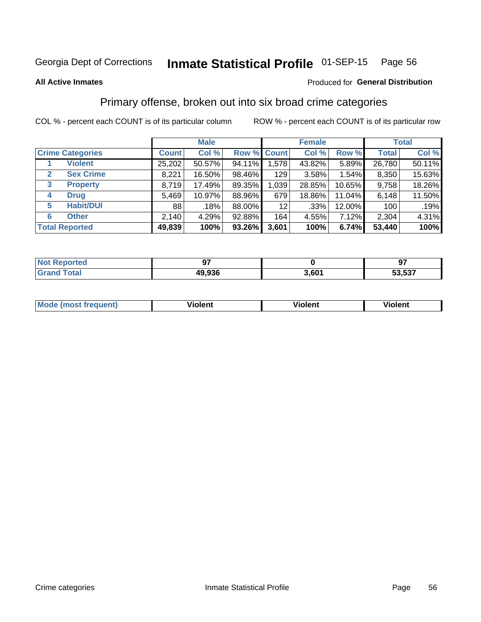#### Inmate Statistical Profile 01-SEP-15 Page 56

#### **All Active Inmates**

### **Produced for General Distribution**

## Primary offense, broken out into six broad crime categories

COL % - percent each COUNT is of its particular column

|                         |              | <b>Male</b> |           |             | <b>Female</b> |        |              | <b>Total</b> |
|-------------------------|--------------|-------------|-----------|-------------|---------------|--------|--------------|--------------|
| <b>Crime Categories</b> | <b>Count</b> | Col %       |           | Row % Count | Col %         | Row %  | <b>Total</b> | Col %        |
| <b>Violent</b>          | 25,202       | 50.57%      | 94.11%    | 1,578       | 43.82%        | 5.89%  | 26,780       | 50.11%       |
| <b>Sex Crime</b><br>2   | 8,221        | 16.50%      | 98.46%    | 129         | 3.58%         | 1.54%  | 8,350        | 15.63%       |
| 3<br><b>Property</b>    | 8,719        | 17.49%      | 89.35%    | 1,039       | 28.85%        | 10.65% | 9,758        | 18.26%       |
| <b>Drug</b><br>4        | 5,469        | 10.97%      | 88.96%    | 679         | 18.86%        | 11.04% | 6,148        | 11.50%       |
| <b>Habit/DUI</b><br>5   | 88           | .18%        | 88.00%    | 12          | .33%          | 12.00% | 100          | .19%         |
| <b>Other</b><br>6       | 2,140        | 4.29%       | 92.88%    | 164         | 4.55%         | 7.12%  | 2,304        | 4.31%        |
| <b>Total Reported</b>   | 49,839       | 100%        | $93.26\%$ | 3,601       | 100%          | 6.74%  | 53,440       | 100%         |

| rted<br>NO | ~-     |                  | כח     |
|------------|--------|------------------|--------|
|            | 49.936 | .60 <sub>1</sub> | 53.537 |

| Mc | .<br>$\cdots$ | VIOIEM |
|----|---------------|--------|
|    |               |        |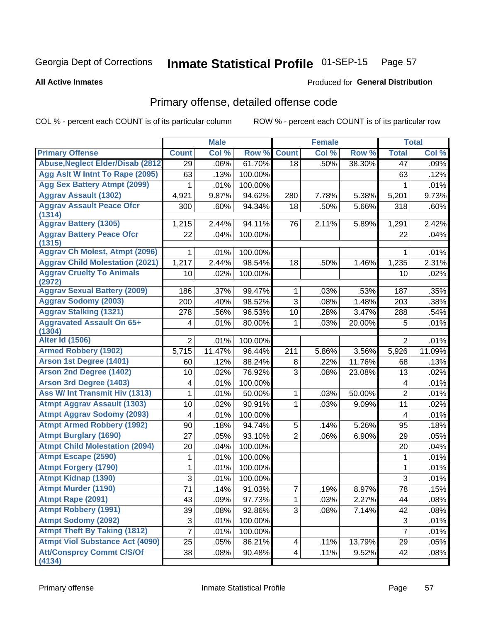# Inmate Statistical Profile 01-SEP-15 Page 57

**All Active Inmates** 

#### Produced for General Distribution

## Primary offense, detailed offense code

COL % - percent each COUNT is of its particular column

|                                            |                 | <b>Male</b> |         |                | <b>Female</b> |        |                 | <b>Total</b> |
|--------------------------------------------|-----------------|-------------|---------|----------------|---------------|--------|-----------------|--------------|
| <b>Primary Offense</b>                     | <b>Count</b>    | Col %       | Row %   | <b>Count</b>   | Col %         | Row %  | <b>Total</b>    | Col %        |
| <b>Abuse, Neglect Elder/Disab (2812)</b>   | 29              | .06%        | 61.70%  | 18             | .50%          | 38.30% | 47              | .09%         |
| Agg Aslt W Intnt To Rape (2095)            | 63              | .13%        | 100.00% |                |               |        | 63              | .12%         |
| <b>Agg Sex Battery Atmpt (2099)</b>        | 1               | .01%        | 100.00% |                |               |        | 1               | .01%         |
| <b>Aggrav Assault (1302)</b>               | 4,921           | 9.87%       | 94.62%  | 280            | 7.78%         | 5.38%  | 5,201           | 9.73%        |
| <b>Aggrav Assault Peace Ofcr</b>           | 300             | .60%        | 94.34%  | 18             | .50%          | 5.66%  | 318             | .60%         |
| (1314)                                     |                 |             |         |                |               |        |                 |              |
| <b>Aggrav Battery (1305)</b>               | 1,215           | 2.44%       | 94.11%  | 76             | 2.11%         | 5.89%  | 1,291           | 2.42%        |
| <b>Aggrav Battery Peace Ofcr</b><br>(1315) | 22              | .04%        | 100.00% |                |               |        | 22              | .04%         |
| <b>Aggrav Ch Molest, Atmpt (2096)</b>      | 1               | .01%        | 100.00% |                |               |        | 1               | .01%         |
| <b>Aggrav Child Molestation (2021)</b>     | 1,217           | 2.44%       | 98.54%  | 18             | .50%          | 1.46%  | 1,235           | 2.31%        |
| <b>Aggrav Cruelty To Animals</b>           | 10              | .02%        | 100.00% |                |               |        | 10              | .02%         |
| (2972)                                     |                 |             |         |                |               |        |                 |              |
| <b>Aggrav Sexual Battery (2009)</b>        | 186             | .37%        | 99.47%  | $\mathbf{1}$   | .03%          | .53%   | 187             | .35%         |
| <b>Aggrav Sodomy (2003)</b>                | 200             | .40%        | 98.52%  | 3              | .08%          | 1.48%  | 203             | .38%         |
| <b>Aggrav Stalking (1321)</b>              | 278             | .56%        | 96.53%  | 10             | .28%          | 3.47%  | 288             | .54%         |
| <b>Aggravated Assault On 65+</b>           | 4               | .01%        | 80.00%  | 1              | .03%          | 20.00% | 5               | .01%         |
| (1304)<br><b>Alter Id (1506)</b>           | $\overline{2}$  | .01%        | 100.00% |                |               |        | $\overline{2}$  | .01%         |
| <b>Armed Robbery (1902)</b>                | 5,715           | 11.47%      | 96.44%  | 211            | 5.86%         | 3.56%  | 5,926           | 11.09%       |
| Arson 1st Degree (1401)                    | 60              | .12%        | 88.24%  | 8              | .22%          | 11.76% | 68              | .13%         |
| <b>Arson 2nd Degree (1402)</b>             | 10              | .02%        | 76.92%  | 3              | .08%          | 23.08% | 13              | .02%         |
| <b>Arson 3rd Degree (1403)</b>             | 4               | .01%        | 100.00% |                |               |        | 4               | .01%         |
| Ass W/ Int Transmit Hiv (1313)             | 1               | .01%        | 50.00%  | $\mathbf{1}$   | .03%          | 50.00% | $\overline{2}$  | .01%         |
| <b>Atmpt Aggrav Assault (1303)</b>         | 10              | .02%        | 90.91%  | $\mathbf{1}$   | .03%          | 9.09%  | 11              | .02%         |
| <b>Atmpt Aggrav Sodomy (2093)</b>          | 4               | .01%        | 100.00% |                |               |        | 4               | .01%         |
| <b>Atmpt Armed Robbery (1992)</b>          | 90              | .18%        | 94.74%  | 5              | .14%          | 5.26%  | 95              | .18%         |
| <b>Atmpt Burglary (1690)</b>               | 27              | .05%        | 93.10%  | $\overline{2}$ | .06%          | 6.90%  | 29              | .05%         |
| <b>Atmpt Child Molestation (2094)</b>      | 20              | .04%        | 100.00% |                |               |        | 20              | .04%         |
| <b>Atmpt Escape (2590)</b>                 | 1               | .01%        | 100.00% |                |               |        | 1               | .01%         |
| <b>Atmpt Forgery (1790)</b>                | 1               | .01%        | 100.00% |                |               |        | $\mathbf{1}$    | .01%         |
| <b>Atmpt Kidnap (1390)</b>                 | 3               | .01%        | 100.00% |                |               |        | 3               | .01%         |
| <b>Atmpt Murder (1190)</b>                 | $\overline{71}$ | .14%        | 91.03%  | $\overline{7}$ | .19%          | 8.97%  | $\overline{78}$ | .15%         |
| Atmpt Rape (2091)                          | 43              | .09%        | 97.73%  | 1              | .03%          | 2.27%  | 44              | .08%         |
| <b>Atmpt Robbery (1991)</b>                | 39              | .08%        | 92.86%  | 3 <sup>1</sup> | .08%          | 7.14%  | 42              | .08%         |
| <b>Atmpt Sodomy (2092)</b>                 | 3               | .01%        | 100.00% |                |               |        | $\mathfrak{S}$  | .01%         |
| <b>Atmpt Theft By Taking (1812)</b>        | 7               | .01%        | 100.00% |                |               |        | $\overline{7}$  | .01%         |
| <b>Atmpt Viol Substance Act (4090)</b>     | 25              | .05%        | 86.21%  | 4              | .11%          | 13.79% | 29              | .05%         |
| <b>Att/Consprcy Commt C/S/Of</b>           | 38              | .08%        | 90.48%  | 4 <sup>1</sup> | .11%          | 9.52%  | 42              | .08%         |
| (4134)                                     |                 |             |         |                |               |        |                 |              |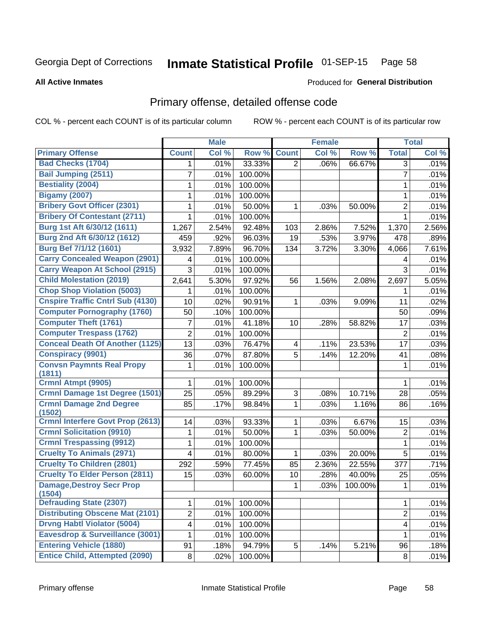# Inmate Statistical Profile 01-SEP-15 Page 58

**All Active Inmates** 

#### Produced for General Distribution

## Primary offense, detailed offense code

COL % - percent each COUNT is of its particular column

|                                                                         |                | <b>Male</b> |         |                         | <b>Female</b> |         |                         | <b>Total</b> |
|-------------------------------------------------------------------------|----------------|-------------|---------|-------------------------|---------------|---------|-------------------------|--------------|
| <b>Primary Offense</b>                                                  | <b>Count</b>   | Col %       | Row %   | <b>Count</b>            | Col %         | Row %   | <b>Total</b>            | Col %        |
| <b>Bad Checks (1704)</b>                                                | 1.             | .01%        | 33.33%  | $\overline{2}$          | .06%          | 66.67%  | 3                       | .01%         |
| <b>Bail Jumping (2511)</b>                                              | 7              | .01%        | 100.00% |                         |               |         | $\overline{7}$          | .01%         |
| <b>Bestiality (2004)</b>                                                | 1              | .01%        | 100.00% |                         |               |         | 1                       | .01%         |
| <b>Bigamy (2007)</b>                                                    | 1              | .01%        | 100.00% |                         |               |         | 1                       | .01%         |
| <b>Bribery Govt Officer (2301)</b>                                      | 1              | .01%        | 50.00%  | 1                       | .03%          | 50.00%  | $\overline{2}$          | .01%         |
| <b>Bribery Of Contestant (2711)</b>                                     | 1              | .01%        | 100.00% |                         |               |         | 1                       | .01%         |
| Burg 1st Aft 6/30/12 (1611)                                             | 1,267          | 2.54%       | 92.48%  | 103                     | 2.86%         | 7.52%   | 1,370                   | 2.56%        |
| Burg 2nd Aft 6/30/12 (1612)                                             | 459            | .92%        | 96.03%  | 19                      | .53%          | 3.97%   | 478                     | .89%         |
| <b>Burg Bef 7/1/12 (1601)</b>                                           | 3,932          | 7.89%       | 96.70%  | 134                     | 3.72%         | 3.30%   | 4,066                   | 7.61%        |
| <b>Carry Concealed Weapon (2901)</b>                                    | 4              | .01%        | 100.00% |                         |               |         | 4                       | .01%         |
| <b>Carry Weapon At School (2915)</b>                                    | 3              | .01%        | 100.00% |                         |               |         | 3                       | .01%         |
| <b>Child Molestation (2019)</b>                                         | 2,641          | 5.30%       | 97.92%  | 56                      | 1.56%         | 2.08%   | 2,697                   | 5.05%        |
| <b>Chop Shop Violation (5003)</b>                                       | 1              | .01%        | 100.00% |                         |               |         | 1                       | .01%         |
| <b>Cnspire Traffic Cntrl Sub (4130)</b>                                 | 10             | .02%        | 90.91%  | 1                       | .03%          | 9.09%   | 11                      | .02%         |
| <b>Computer Pornography (1760)</b>                                      | 50             | .10%        | 100.00% |                         |               |         | 50                      | .09%         |
| <b>Computer Theft (1761)</b>                                            | 7              | .01%        | 41.18%  | 10                      | .28%          | 58.82%  | 17                      | .03%         |
| <b>Computer Trespass (1762)</b>                                         | $\overline{2}$ | .01%        | 100.00% |                         |               |         | $\overline{2}$          | .01%         |
| <b>Conceal Death Of Another (1125)</b>                                  | 13             | .03%        | 76.47%  | $\overline{\mathbf{4}}$ | .11%          | 23.53%  | 17                      | .03%         |
| <b>Conspiracy (9901)</b>                                                | 36             | .07%        | 87.80%  | 5                       | .14%          | 12.20%  | 41                      | .08%         |
| <b>Convsn Paymnts Real Propy</b>                                        | 1              | .01%        | 100.00% |                         |               |         | $\mathbf 1$             | .01%         |
| (1811)<br><b>Crmnl Atmpt (9905)</b>                                     |                |             |         |                         |               |         |                         |              |
|                                                                         | 1              | .01%        | 100.00% |                         |               |         | 1                       | .01%         |
| <b>Crmnl Damage 1st Degree (1501)</b><br><b>Crmnl Damage 2nd Degree</b> | 25             | .05%        | 89.29%  | 3                       | .08%          | 10.71%  | 28                      | .05%         |
| (1502)                                                                  | 85             | .17%        | 98.84%  | 1                       | .03%          | 1.16%   | 86                      | .16%         |
| <b>Crmnl Interfere Govt Prop (2613)</b>                                 | 14             | .03%        | 93.33%  | 1                       | .03%          | 6.67%   | 15                      | .03%         |
| <b>Crmnl Solicitation (9910)</b>                                        | 1              | .01%        | 50.00%  | 1                       | .03%          | 50.00%  | $\overline{2}$          | .01%         |
| <b>Crmnl Trespassing (9912)</b>                                         | 1              | .01%        | 100.00% |                         |               |         | 1                       | .01%         |
| <b>Cruelty To Animals (2971)</b>                                        | 4              | .01%        | 80.00%  | 1                       | .03%          | 20.00%  | 5                       | .01%         |
| <b>Cruelty To Children (2801)</b>                                       | 292            | .59%        | 77.45%  | 85                      | 2.36%         | 22.55%  | 377                     | .71%         |
| <b>Cruelty To Elder Person (2811)</b>                                   | 15             | .03%        | 60.00%  | 10                      | .28%          | 40.00%  | 25                      | .05%         |
| <b>Damage, Destroy Secr Prop</b>                                        |                |             |         | 1                       | .03%          | 100.00% | $\mathbf{1}$            | .01%         |
| (1504)                                                                  |                |             |         |                         |               |         |                         |              |
| <b>Defrauding State (2307)</b>                                          | 1              | .01%        | 100.00% |                         |               |         | 1                       | .01%         |
| <b>Distributing Obscene Mat (2101)</b>                                  | $\overline{2}$ | .01%        | 100.00% |                         |               |         | $\overline{2}$          | .01%         |
| <b>Drvng Habtl Violator (5004)</b>                                      | 4              | .01%        | 100.00% |                         |               |         | $\overline{\mathbf{4}}$ | .01%         |
| Eavesdrop & Surveillance (3001)                                         | 1              | .01%        | 100.00% |                         |               |         | 1.                      | .01%         |
| <b>Entering Vehicle (1880)</b>                                          | 91             | .18%        | 94.79%  | 5                       | .14%          | 5.21%   | 96                      | .18%         |
| <b>Entice Child, Attempted (2090)</b>                                   | 8              | .02%        | 100.00% |                         |               |         | 8                       | .01%         |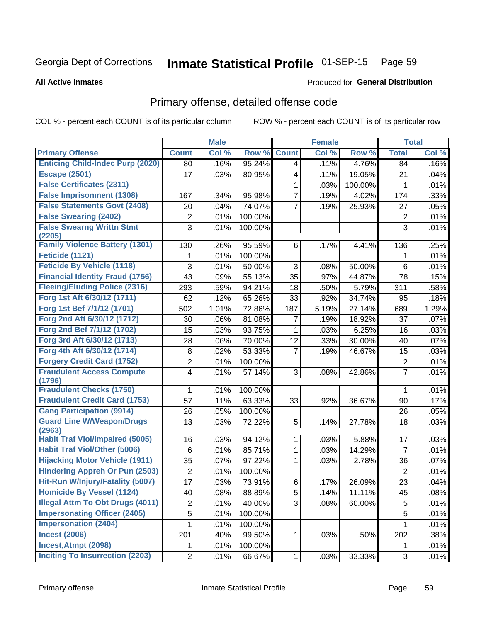#### Inmate Statistical Profile 01-SEP-15 Page 59

**Produced for General Distribution** 

#### **All Active Inmates**

# Primary offense, detailed offense code

COL % - percent each COUNT is of its particular column

|                                            |                 | <b>Male</b> |         |              | <b>Female</b> |         |                  | <b>Total</b> |
|--------------------------------------------|-----------------|-------------|---------|--------------|---------------|---------|------------------|--------------|
| <b>Primary Offense</b>                     | <b>Count</b>    | Col %       | Row %   | <b>Count</b> | Col %         | Row %   | <b>Total</b>     | Col %        |
| <b>Enticing Child-Indec Purp (2020)</b>    | 80              | .16%        | 95.24%  | 4            | .11%          | 4.76%   | 84               | .16%         |
| <b>Escape (2501)</b>                       | 17              | .03%        | 80.95%  | 4            | .11%          | 19.05%  | 21               | .04%         |
| <b>False Certificates (2311)</b>           |                 |             |         | 1            | .03%          | 100.00% | 1                | .01%         |
| <b>False Imprisonment (1308)</b>           | 167             | .34%        | 95.98%  | 7            | .19%          | 4.02%   | 174              | .33%         |
| <b>False Statements Govt (2408)</b>        | 20              | .04%        | 74.07%  | 7            | .19%          | 25.93%  | 27               | .05%         |
| <b>False Swearing (2402)</b>               | 2               | .01%        | 100.00% |              |               |         | $\boldsymbol{2}$ | .01%         |
| <b>False Swearng Writtn Stmt</b><br>(2205) | 3               | .01%        | 100.00% |              |               |         | 3                | .01%         |
| <b>Family Violence Battery (1301)</b>      | 130             | .26%        | 95.59%  | 6            | .17%          | 4.41%   | 136              | .25%         |
| Feticide (1121)                            | 1               | .01%        | 100.00% |              |               |         | 1                | .01%         |
| <b>Feticide By Vehicle (1118)</b>          | 3               | .01%        | 50.00%  | 3            | .08%          | 50.00%  | $6\phantom{1}6$  | .01%         |
| <b>Financial Identity Fraud (1756)</b>     | 43              | .09%        | 55.13%  | 35           | .97%          | 44.87%  | 78               | .15%         |
| <b>Fleeing/Eluding Police (2316)</b>       | 293             | .59%        | 94.21%  | 18           | .50%          | 5.79%   | 311              | .58%         |
| Forg 1st Aft 6/30/12 (1711)                | 62              | .12%        | 65.26%  | 33           | .92%          | 34.74%  | 95               | .18%         |
| Forg 1st Bef 7/1/12 (1701)                 | 502             | 1.01%       | 72.86%  | 187          | 5.19%         | 27.14%  | 689              | 1.29%        |
| Forg 2nd Aft 6/30/12 (1712)                | 30              | .06%        | 81.08%  | 7            | .19%          | 18.92%  | 37               | $.07\%$      |
| Forg 2nd Bef 7/1/12 (1702)                 | 15              | .03%        | 93.75%  | 1            | .03%          | 6.25%   | 16               | .03%         |
| Forg 3rd Aft 6/30/12 (1713)                | 28              | .06%        | 70.00%  | 12           | .33%          | 30.00%  | 40               | .07%         |
| Forg 4th Aft 6/30/12 (1714)                | $\bf 8$         | .02%        | 53.33%  | 7            | .19%          | 46.67%  | 15               | .03%         |
| <b>Forgery Credit Card (1752)</b>          | $\overline{2}$  | .01%        | 100.00% |              |               |         | $\mathbf 2$      | .01%         |
| <b>Fraudulent Access Compute</b><br>(1796) | 4               | .01%        | 57.14%  | 3            | .08%          | 42.86%  | $\overline{7}$   | .01%         |
| <b>Fraudulent Checks (1750)</b>            | 1               | .01%        | 100.00% |              |               |         | 1                | .01%         |
| <b>Fraudulent Credit Card (1753)</b>       | 57              | .11%        | 63.33%  | 33           | .92%          | 36.67%  | 90               | .17%         |
| <b>Gang Participation (9914)</b>           | 26              | .05%        | 100.00% |              |               |         | 26               | .05%         |
| <b>Guard Line W/Weapon/Drugs</b><br>(2963) | 13              | .03%        | 72.22%  | 5            | .14%          | 27.78%  | 18               | .03%         |
| <b>Habit Traf Viol/Impaired (5005)</b>     | 16              | .03%        | 94.12%  | 1            | .03%          | 5.88%   | 17               | .03%         |
| <b>Habit Traf Viol/Other (5006)</b>        | $6\phantom{1}6$ | .01%        | 85.71%  | 1            | .03%          | 14.29%  | $\overline{7}$   | .01%         |
| <b>Hijacking Motor Vehicle (1911)</b>      | 35              | .07%        | 97.22%  | 1            | .03%          | 2.78%   | 36               | .07%         |
| <b>Hindering Appreh Or Pun (2503)</b>      | $\overline{2}$  | .01%        | 100.00% |              |               |         | $\overline{2}$   | .01%         |
| Hit-Run W/Injury/Fatality (5007)           | 17              | .03%        | 73.91%  | 6            | .17%          | 26.09%  | 23               | .04%         |
| <b>Homicide By Vessel (1124)</b>           | 40              | .08%        | 88.89%  | 5            | .14%          | 11.11%  | 45               | .08%         |
| <b>Illegal Attm To Obt Drugs (4011)</b>    | 2               | .01%        | 40.00%  | 3            | .08%          | 60.00%  | 5                | .01%         |
| <b>Impersonating Officer (2405)</b>        | 5               | .01%        | 100.00% |              |               |         | 5                | .01%         |
| <b>Impersonation (2404)</b>                | 1               | .01%        | 100.00% |              |               |         | 1                | .01%         |
| <b>Incest (2006)</b>                       | 201             | .40%        | 99.50%  | 1            | .03%          | .50%    | 202              | .38%         |
| <b>Incest, Atmpt (2098)</b>                | 1.              | .01%        | 100.00% |              |               |         |                  | .01%         |
| <b>Inciting To Insurrection (2203)</b>     | $\overline{c}$  | .01%        | 66.67%  | 1            | .03%          | 33.33%  | 3                | .01%         |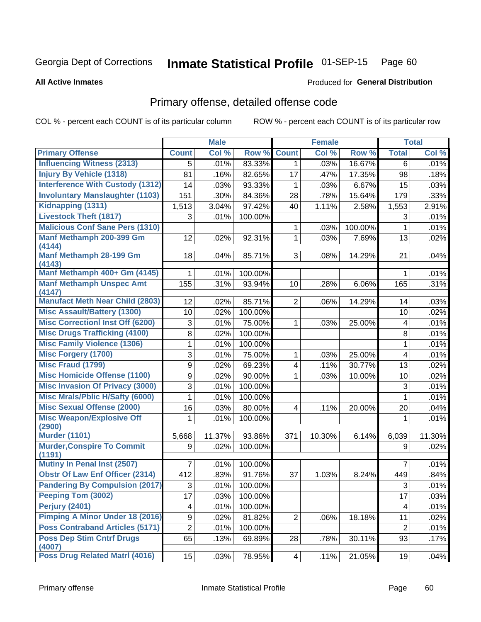#### Inmate Statistical Profile 01-SEP-15 Page 60

**All Active Inmates** 

#### Produced for General Distribution

## Primary offense, detailed offense code

COL % - percent each COUNT is of its particular column

|                                             |                  | <b>Male</b> |         |                | <b>Female</b> |         |                | <b>Total</b> |
|---------------------------------------------|------------------|-------------|---------|----------------|---------------|---------|----------------|--------------|
| <b>Primary Offense</b>                      | <b>Count</b>     | Col %       | Row %   | <b>Count</b>   | Col %         | Row %   | <b>Total</b>   | Col %        |
| <b>Influencing Witness (2313)</b>           | 5                | .01%        | 83.33%  | $\mathbf 1$    | .03%          | 16.67%  | 6              | .01%         |
| <b>Injury By Vehicle (1318)</b>             | 81               | .16%        | 82.65%  | 17             | .47%          | 17.35%  | 98             | .18%         |
| <b>Interference With Custody (1312)</b>     | 14               | .03%        | 93.33%  | 1              | .03%          | 6.67%   | 15             | .03%         |
| <b>Involuntary Manslaughter (1103)</b>      | 151              | .30%        | 84.36%  | 28             | .78%          | 15.64%  | 179            | .33%         |
| Kidnapping (1311)                           | 1,513            | 3.04%       | 97.42%  | 40             | 1.11%         | 2.58%   | 1,553          | 2.91%        |
| <b>Livestock Theft (1817)</b>               | 3                | .01%        | 100.00% |                |               |         | 3              | .01%         |
| <b>Malicious Conf Sane Pers (1310)</b>      |                  |             |         | 1              | .03%          | 100.00% | 1              | .01%         |
| Manf Methamph 200-399 Gm<br>(4144)          | 12               | .02%        | 92.31%  | 1              | .03%          | 7.69%   | 13             | .02%         |
| Manf Methamph 28-199 Gm<br>(4143)           | 18               | .04%        | 85.71%  | 3              | .08%          | 14.29%  | 21             | .04%         |
| Manf Methamph 400+ Gm (4145)                |                  | .01%        | 100.00% |                |               |         | 1              | .01%         |
| <b>Manf Methamph Unspec Amt</b><br>(4147)   | 155              | .31%        | 93.94%  | 10             | .28%          | 6.06%   | 165            | .31%         |
| <b>Manufact Meth Near Child (2803)</b>      | 12               | .02%        | 85.71%  | 2              | .06%          | 14.29%  | 14             | .03%         |
| <b>Misc Assault/Battery (1300)</b>          | 10               | .02%        | 100.00% |                |               |         | 10             | .02%         |
| <b>Misc Correctionl Inst Off (6200)</b>     | 3                | .01%        | 75.00%  | 1              | .03%          | 25.00%  | 4              | .01%         |
| <b>Misc Drugs Trafficking (4100)</b>        | 8                | .02%        | 100.00% |                |               |         | 8              | .01%         |
| <b>Misc Family Violence (1306)</b>          | 1                | .01%        | 100.00% |                |               |         | 1              | .01%         |
| <b>Misc Forgery (1700)</b>                  | 3                | .01%        | 75.00%  | 1              | .03%          | 25.00%  | 4              | .01%         |
| <b>Misc Fraud (1799)</b>                    | $\boldsymbol{9}$ | .02%        | 69.23%  | 4              | .11%          | 30.77%  | 13             | .02%         |
| <b>Misc Homicide Offense (1100)</b>         | $\mathsf g$      | .02%        | 90.00%  | 1              | .03%          | 10.00%  | 10             | .02%         |
| <b>Misc Invasion Of Privacy (3000)</b>      | 3                | .01%        | 100.00% |                |               |         | 3              | .01%         |
| <b>Misc Mrals/Pblic H/Safty (6000)</b>      | 1                | .01%        | 100.00% |                |               |         | 1              | .01%         |
| <b>Misc Sexual Offense (2000)</b>           | 16               | .03%        | 80.00%  | 4              | .11%          | 20.00%  | 20             | .04%         |
| <b>Misc Weapon/Explosive Off</b><br>(2900)  | 1                | .01%        | 100.00% |                |               |         | 1              | .01%         |
| <b>Murder (1101)</b>                        | 5,668            | 11.37%      | 93.86%  | 371            | 10.30%        | 6.14%   | 6,039          | 11.30%       |
| <b>Murder, Conspire To Commit</b><br>(1191) | 9                | .02%        | 100.00% |                |               |         | 9              | .02%         |
| <b>Mutiny In Penal Inst (2507)</b>          | 7                | .01%        | 100.00% |                |               |         | 7              | .01%         |
| <b>Obstr Of Law Enf Officer (2314)</b>      | 412              | .83%        | 91.76%  | 37             | 1.03%         | 8.24%   | 449            | .84%         |
| <b>Pandering By Compulsion (2017)</b>       | 3                | .01%        | 100.00% |                |               |         | 3              | .01%         |
| Peeping Tom (3002)                          | 17               | .03%        | 100.00% |                |               |         | 17             | .03%         |
| <b>Perjury (2401)</b>                       | 4                | .01%        | 100.00% |                |               |         | 4              | .01%         |
| Pimping A Minor Under 18 (2016)             | 9                | .02%        | 81.82%  | $\overline{2}$ | .06%          | 18.18%  | 11             | .02%         |
| <b>Poss Contraband Articles (5171)</b>      | $\overline{2}$   | .01%        | 100.00% |                |               |         | $\overline{2}$ | .01%         |
| <b>Poss Dep Stim Cntrf Drugs</b><br>(4007)  | 65               | .13%        | 69.89%  | 28             | .78%          | 30.11%  | 93             | .17%         |
| Poss Drug Related Matrl (4016)              | 15               | .03%        | 78.95%  | 4 <sup>1</sup> | .11%          | 21.05%  | 19             | .04%         |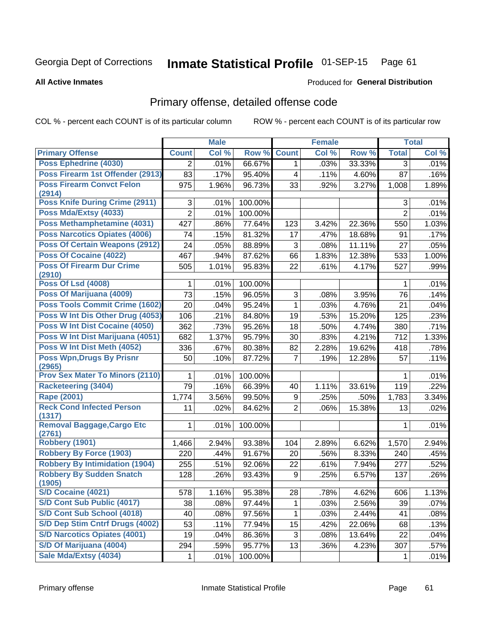#### Inmate Statistical Profile 01-SEP-15 Page 61

#### **All Active Inmates**

### Produced for General Distribution

## Primary offense, detailed offense code

COL % - percent each COUNT is of its particular column

|                                             |                | <b>Male</b> |         |                         | <b>Female</b> |        |                | <b>Total</b> |
|---------------------------------------------|----------------|-------------|---------|-------------------------|---------------|--------|----------------|--------------|
| <b>Primary Offense</b>                      | <b>Count</b>   | Col %       | Row %   | <b>Count</b>            | Col %         | Row %  | <b>Total</b>   | Col %        |
| <b>Poss Ephedrine (4030)</b>                | $\overline{2}$ | .01%        | 66.67%  | $\mathbf{1}$            | .03%          | 33.33% | 3              | .01%         |
| Poss Firearm 1st Offender (2913)            | 83             | .17%        | 95.40%  | $\overline{\mathbf{4}}$ | .11%          | 4.60%  | 87             | .16%         |
| <b>Poss Firearm Convct Felon</b>            | 975            | 1.96%       | 96.73%  | 33                      | .92%          | 3.27%  | 1,008          | 1.89%        |
| (2914)                                      |                |             |         |                         |               |        |                |              |
| <b>Poss Knife During Crime (2911)</b>       | 3              | .01%        | 100.00% |                         |               |        | 3              | .01%         |
| Poss Mda/Extsy (4033)                       | $\overline{2}$ | .01%        | 100.00% |                         |               |        | $\overline{2}$ | .01%         |
| Poss Methamphetamine (4031)                 | 427            | .86%        | 77.64%  | 123                     | 3.42%         | 22.36% | 550            | 1.03%        |
| <b>Poss Narcotics Opiates (4006)</b>        | 74             | .15%        | 81.32%  | 17                      | .47%          | 18.68% | 91             | .17%         |
| <b>Poss Of Certain Weapons (2912)</b>       | 24             | .05%        | 88.89%  | 3                       | .08%          | 11.11% | 27             | .05%         |
| Poss Of Cocaine (4022)                      | 467            | .94%        | 87.62%  | 66                      | 1.83%         | 12.38% | 533            | 1.00%        |
| <b>Poss Of Firearm Dur Crime</b><br>(2910)  | 505            | 1.01%       | 95.83%  | 22                      | .61%          | 4.17%  | 527            | .99%         |
| <b>Poss Of Lsd (4008)</b>                   | 1              | .01%        | 100.00% |                         |               |        | 1              | .01%         |
| Poss Of Marijuana (4009)                    | 73             | .15%        | 96.05%  | 3                       | .08%          | 3.95%  | 76             | .14%         |
| Poss Tools Commit Crime (1602)              | 20             | .04%        | 95.24%  | $\mathbf{1}$            | .03%          | 4.76%  | 21             | .04%         |
| Poss W Int Dis Other Drug (4053)            | 106            | .21%        | 84.80%  | 19                      | .53%          | 15.20% | 125            | .23%         |
| <b>Poss W Int Dist Cocaine (4050)</b>       | 362            | .73%        | 95.26%  | 18                      | .50%          | 4.74%  | 380            | .71%         |
| Poss W Int Dist Marijuana (4051)            | 682            | 1.37%       | 95.79%  | 30                      | .83%          | 4.21%  | 712            | 1.33%        |
| Poss W Int Dist Meth (4052)                 | 336            | .67%        | 80.38%  | 82                      | 2.28%         | 19.62% | 418            | .78%         |
| <b>Poss Wpn, Drugs By Prisnr</b><br>(2965)  | 50             | .10%        | 87.72%  | $\overline{7}$          | .19%          | 12.28% | 57             | .11%         |
| <b>Prov Sex Mater To Minors (2110)</b>      | 1              | .01%        | 100.00% |                         |               |        | $\mathbf 1$    | .01%         |
| <b>Racketeering (3404)</b>                  | 79             | .16%        | 66.39%  | 40                      | 1.11%         | 33.61% | 119            | .22%         |
| <b>Rape (2001)</b>                          | 1,774          | 3.56%       | 99.50%  | 9                       | .25%          | .50%   | 1,783          | 3.34%        |
| <b>Reck Cond Infected Person</b><br>(1317)  | 11             | .02%        | 84.62%  | $\overline{2}$          | .06%          | 15.38% | 13             | .02%         |
| <b>Removal Baggage, Cargo Etc</b><br>(2761) | $\mathbf{1}$   | .01%        | 100.00% |                         |               |        | 1              | .01%         |
| <b>Robbery (1901)</b>                       | 1,466          | 2.94%       | 93.38%  | 104                     | 2.89%         | 6.62%  | 1,570          | 2.94%        |
| <b>Robbery By Force (1903)</b>              | 220            | .44%        | 91.67%  | 20                      | .56%          | 8.33%  | 240            | .45%         |
| <b>Robbery By Intimidation (1904)</b>       | 255            | .51%        | 92.06%  | 22                      | .61%          | 7.94%  | 277            | .52%         |
| <b>Robbery By Sudden Snatch</b><br>(1905)   | 128            | .26%        | 93.43%  | 9                       | .25%          | 6.57%  | 137            | .26%         |
| <b>S/D Cocaine (4021)</b>                   | 578            | 1.16%       | 95.38%  | 28                      | .78%          | 4.62%  | 606            | 1.13%        |
| S/D Cont Sub Public (4017)                  | 38             | .08%        | 97.44%  | 1                       | .03%          | 2.56%  | 39             | .07%         |
| S/D Cont Sub School (4018)                  | 40             | .08%        | 97.56%  | 1                       | .03%          | 2.44%  | 41             | .08%         |
| S/D Dep Stim Cntrf Drugs (4002)             | 53             | .11%        | 77.94%  | 15                      | .42%          | 22.06% | 68             | .13%         |
| <b>S/D Narcotics Opiates (4001)</b>         | 19             | .04%        | 86.36%  | 3                       | .08%          | 13.64% | 22             | .04%         |
| S/D Of Marijuana (4004)                     | 294            | .59%        | 95.77%  | 13                      | .36%          | 4.23%  | 307            | .57%         |
| Sale Mda/Extsy (4034)                       | 1              | .01%        | 100.00% |                         |               |        | 1              | .01%         |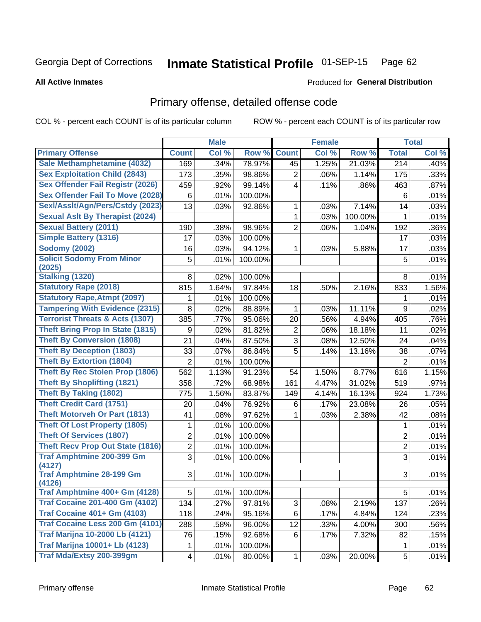#### Inmate Statistical Profile 01-SEP-15 Page 62

**All Active Inmates** 

### **Produced for General Distribution**

### Primary offense, detailed offense code

COL % - percent each COUNT is of its particular column

|                                            | <b>Male</b>    |       |         | <b>Female</b>  | <b>Total</b> |         |                  |       |
|--------------------------------------------|----------------|-------|---------|----------------|--------------|---------|------------------|-------|
| <b>Primary Offense</b>                     | <b>Count</b>   | Col % | Row %   | <b>Count</b>   | Col %        | Row %   | <b>Total</b>     | Col % |
| Sale Methamphetamine (4032)                | 169            | .34%  | 78.97%  | 45             | 1.25%        | 21.03%  | 214              | .40%  |
| <b>Sex Exploitation Child (2843)</b>       | 173            | .35%  | 98.86%  | $\overline{2}$ | .06%         | 1.14%   | 175              | .33%  |
| <b>Sex Offender Fail Registr (2026)</b>    | 459            | .92%  | 99.14%  | $\overline{4}$ | .11%         | .86%    | 463              | .87%  |
| <b>Sex Offender Fail To Move (2028)</b>    | 6              | .01%  | 100.00% |                |              |         | 6                | .01%  |
| Sexl/Asslt/Agn/Pers/Cstdy (2023)           | 13             | .03%  | 92.86%  | $\mathbf{1}$   | .03%         | 7.14%   | 14               | .03%  |
| <b>Sexual Aslt By Therapist (2024)</b>     |                |       |         | 1              | .03%         | 100.00% | 1                | .01%  |
| <b>Sexual Battery (2011)</b>               | 190            | .38%  | 98.96%  | $\overline{2}$ | .06%         | 1.04%   | 192              | .36%  |
| <b>Simple Battery (1316)</b>               | 17             | .03%  | 100.00% |                |              |         | 17               | .03%  |
| <b>Sodomy (2002)</b>                       | 16             | .03%  | 94.12%  | 1              | .03%         | 5.88%   | 17               | .03%  |
| <b>Solicit Sodomy From Minor</b>           | 5              | .01%  | 100.00% |                |              |         | 5                | .01%  |
| (2025)                                     |                |       |         |                |              |         |                  |       |
| Stalking (1320)                            | 8              | .02%  | 100.00% |                |              |         | 8                | .01%  |
| <b>Statutory Rape (2018)</b>               | 815            | 1.64% | 97.84%  | 18             | .50%         | 2.16%   | 833              | 1.56% |
| <b>Statutory Rape, Atmpt (2097)</b>        | 1              | .01%  | 100.00% |                |              |         | 1                | .01%  |
| <b>Tampering With Evidence (2315)</b>      | 8              | .02%  | 88.89%  | 1              | .03%         | 11.11%  | $9\,$            | .02%  |
| <b>Terrorist Threats &amp; Acts (1307)</b> | 385            | .77%  | 95.06%  | 20             | .56%         | 4.94%   | 405              | .76%  |
| <b>Theft Bring Prop In State (1815)</b>    | 9              | .02%  | 81.82%  | $\overline{c}$ | .06%         | 18.18%  | 11               | .02%  |
| <b>Theft By Conversion (1808)</b>          | 21             | .04%  | 87.50%  | $\overline{3}$ | .08%         | 12.50%  | 24               | .04%  |
| <b>Theft By Deception (1803)</b>           | 33             | .07%  | 86.84%  | 5              | .14%         | 13.16%  | 38               | .07%  |
| <b>Theft By Extortion (1804)</b>           | $\overline{2}$ | .01%  | 100.00% |                |              |         | $\overline{2}$   | .01%  |
| <b>Theft By Rec Stolen Prop (1806)</b>     | 562            | 1.13% | 91.23%  | 54             | 1.50%        | 8.77%   | 616              | 1.15% |
| <b>Theft By Shoplifting (1821)</b>         | 358            | .72%  | 68.98%  | 161            | 4.47%        | 31.02%  | 519              | .97%  |
| <b>Theft By Taking (1802)</b>              | 775            | 1.56% | 83.87%  | 149            | 4.14%        | 16.13%  | 924              | 1.73% |
| <b>Theft Credit Card (1751)</b>            | 20             | .04%  | 76.92%  | 6              | .17%         | 23.08%  | 26               | .05%  |
| Theft Motorveh Or Part (1813)              | 41             | .08%  | 97.62%  | $\mathbf 1$    | .03%         | 2.38%   | 42               | .08%  |
| <b>Theft Of Lost Property (1805)</b>       | 1              | .01%  | 100.00% |                |              |         | 1                | .01%  |
| <b>Theft Of Services (1807)</b>            | $\overline{c}$ | .01%  | 100.00% |                |              |         | $\boldsymbol{2}$ | .01%  |
| <b>Theft Recv Prop Out State (1816)</b>    | $\overline{2}$ | .01%  | 100.00% |                |              |         | $\overline{2}$   | .01%  |
| <b>Traf Amphtmine 200-399 Gm</b>           | $\overline{3}$ | .01%  | 100.00% |                |              |         | $\overline{3}$   | .01%  |
| (4127)                                     |                |       |         |                |              |         |                  |       |
| <b>Traf Amphtmine 28-199 Gm</b>            | 3              | .01%  | 100.00% |                |              |         | 3                | .01%  |
| (4126)<br>Traf Amphtmine 400+ Gm (4128)    | 5              | .01%  | 100.00% |                |              |         | 5                | .01%  |
| <b>Traf Cocaine 201-400 Gm (4102)</b>      | 134            | .27%  | 97.81%  | 3 <sup>1</sup> | .08%         | 2.19%   | 137              | .26%  |
| <b>Traf Cocaine 401+ Gm (4103)</b>         | 118            | .24%  | 95.16%  | 6              | .17%         | 4.84%   | 124              | .23%  |
| Traf Cocaine Less 200 Gm (4101)            | 288            | .58%  | 96.00%  | 12             | .33%         | 4.00%   | 300              | .56%  |
| <b>Traf Marijna 10-2000 Lb (4121)</b>      | 76             | .15%  | 92.68%  | 6              | .17%         | 7.32%   | 82               | .15%  |
| <b>Traf Marijna 10001+ Lb (4123)</b>       |                |       | 100.00% |                |              |         |                  |       |
| Traf Mda/Extsy 200-399gm                   | 1              | .01%  |         |                |              |         | 1                | .01%  |
|                                            | 4              | .01%  | 80.00%  | $\mathbf 1$    | .03%         | 20.00%  | 5                | .01%  |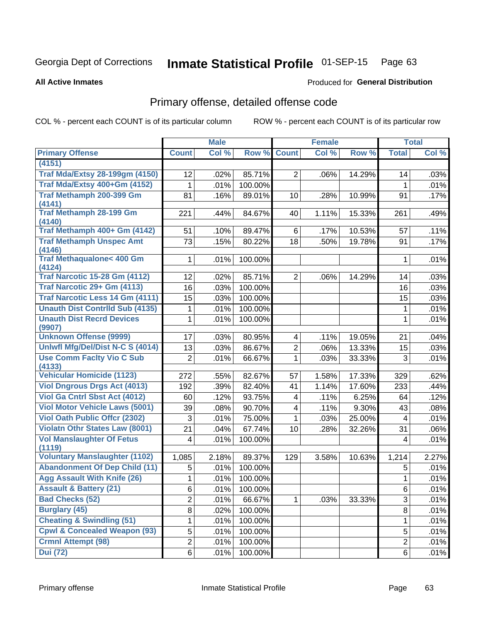#### Inmate Statistical Profile 01-SEP-15 Page 63

**All Active Inmates** 

### **Produced for General Distribution**

## Primary offense, detailed offense code

COL % - percent each COUNT is of its particular column

| Col %<br>Row %<br>Col %<br>Row %<br>Col %<br><b>Primary Offense</b><br><b>Count</b><br><b>Count</b><br><b>Total</b><br>(4151)<br><b>Traf Mda/Extsy 28-199gm (4150)</b><br>85.71%<br>$\overline{2}$<br>14.29%<br>12<br>.02%<br>.06%<br>.03%<br>14<br>Traf Mda/Extsy 400+Gm (4152)<br>.01%<br>100.00%<br>.01%<br>1<br>1<br>Traf Methamph 200-399 Gm<br>81<br>.16%<br>89.01%<br>.28%<br>10.99%<br>.17%<br>10<br>91<br>(4141)<br><b>Traf Methamph 28-199 Gm</b><br>.44%<br>84.67%<br>1.11%<br>15.33%<br>.49%<br>221<br>40<br>261<br>(4140)<br>Traf Methamph 400+ Gm (4142)<br>89.47%<br>10.53%<br>.11%<br>51<br>.10%<br>6<br>.17%<br>57<br><b>Traf Methamph Unspec Amt</b><br>73<br>80.22%<br>18<br>.15%<br>.50%<br>19.78%<br>.17%<br>91<br>(4146)<br><b>Traf Methaqualone&lt; 400 Gm</b><br>.01%<br>100.00%<br>.01%<br>1<br>1<br>(4124)<br><b>Traf Narcotic 15-28 Gm (4112)</b><br>.02%<br>85.71%<br>.03%<br>12<br>$\overline{2}$<br>.06%<br>14.29%<br>14<br>Traf Narcotic 29+ Gm (4113)<br>16<br>.03%<br>100.00%<br>16<br>.03%<br><b>Traf Narcotic Less 14 Gm (4111)</b><br>15<br>100.00%<br>.03%<br>15<br>.03%<br><b>Unauth Dist Contrild Sub (4135)</b><br>.01%<br>100.00%<br>.01%<br>1<br>1<br><b>Unauth Dist Recrd Devices</b><br>.01%<br>100.00%<br>.01%<br>1<br>1<br>(9907)<br><b>Unknown Offense (9999)</b><br>80.95%<br>17<br>.03%<br>.11%<br>19.05%<br>.04%<br>4<br>21<br>Uniwfl Mfg/Del/Dist N-C S (4014)<br>86.67%<br>$\overline{2}$<br>13.33%<br>13<br>.03%<br>.06%<br>15<br>.03%<br><b>Use Comm Facity Vio C Sub</b><br>$\overline{2}$<br>66.67%<br>$\mathbf{1}$<br>33.33%<br>.01%<br>.03%<br>3<br>.01%<br>(4133)<br><b>Vehicular Homicide (1123)</b><br>.55%<br>82.67%<br>57<br>1.58%<br>17.33%<br>.62%<br>272<br>329<br><b>Viol Dngrous Drgs Act (4013)</b><br>.39%<br>192<br>82.40%<br>1.14%<br>17.60%<br>41<br>233<br>.44%<br><b>Viol Ga Cntrl Sbst Act (4012)</b><br>.12%<br>93.75%<br>.11%<br>60<br>6.25%<br>.12%<br>4<br>64<br><b>Viol Motor Vehicle Laws (5001)</b><br>90.70%<br>9.30%<br>39<br>.08%<br>.11%<br>.08%<br>4<br>43<br><b>Viol Oath Public Offcr (2302)</b><br>75.00%<br>25.00%<br>3<br>.01%<br>.03%<br>.01%<br>$\mathbf 1$<br>$\overline{4}$<br><b>Violatn Othr States Law (8001)</b><br>21<br>67.74%<br>.04%<br>10<br>.28%<br>32.26%<br>31<br>.06%<br><b>Vol Manslaughter Of Fetus</b><br>100.00%<br>4<br>.01%<br>.01%<br>4<br>(1119)<br><b>Voluntary Manslaughter (1102)</b><br>2.18%<br>89.37%<br>2.27%<br>1,085<br>129<br>3.58%<br>10.63%<br>1,214<br><b>Abandonment Of Dep Child (11)</b><br>100.00%<br>5<br>.01%<br>5<br>.01%<br><b>Agg Assault With Knife (26)</b><br>.01%<br>100.00%<br>.01%<br>1<br>1<br><b>Assault &amp; Battery (21)</b><br>.01%<br>100.00%<br>6<br>.01%<br>6<br><b>Bad Checks (52)</b><br>$\overline{2}$<br>.03%<br>33.33%<br>3<br>.01%<br>66.67%<br>$\mathbf 1$<br>.01%<br><b>Burglary (45)</b><br>8<br>.02%<br>100.00%<br>8<br>.01%<br><b>Cheating &amp; Swindling (51)</b><br>.01%<br>100.00%<br>.01%<br>1<br>1<br><b>Cpwl &amp; Concealed Weapon (93)</b><br>5<br>5<br>.01%<br>100.00%<br>.01%<br><b>Crmnl Attempt (98)</b><br>$\overline{2}$<br>$\overline{2}$<br>.01%<br>100.00%<br>.01% |                 |   | <b>Male</b> |         | <b>Female</b> |   | <b>Total</b> |
|------------------------------------------------------------------------------------------------------------------------------------------------------------------------------------------------------------------------------------------------------------------------------------------------------------------------------------------------------------------------------------------------------------------------------------------------------------------------------------------------------------------------------------------------------------------------------------------------------------------------------------------------------------------------------------------------------------------------------------------------------------------------------------------------------------------------------------------------------------------------------------------------------------------------------------------------------------------------------------------------------------------------------------------------------------------------------------------------------------------------------------------------------------------------------------------------------------------------------------------------------------------------------------------------------------------------------------------------------------------------------------------------------------------------------------------------------------------------------------------------------------------------------------------------------------------------------------------------------------------------------------------------------------------------------------------------------------------------------------------------------------------------------------------------------------------------------------------------------------------------------------------------------------------------------------------------------------------------------------------------------------------------------------------------------------------------------------------------------------------------------------------------------------------------------------------------------------------------------------------------------------------------------------------------------------------------------------------------------------------------------------------------------------------------------------------------------------------------------------------------------------------------------------------------------------------------------------------------------------------------------------------------------------------------------------------------------------------------------------------------------------------------------------------------------------------------------------------------------------------------------------------------------------------------------------------------------------------------------------------------------------------------------------------------------------------------------------------------------------------------------------------------------------|-----------------|---|-------------|---------|---------------|---|--------------|
|                                                                                                                                                                                                                                                                                                                                                                                                                                                                                                                                                                                                                                                                                                                                                                                                                                                                                                                                                                                                                                                                                                                                                                                                                                                                                                                                                                                                                                                                                                                                                                                                                                                                                                                                                                                                                                                                                                                                                                                                                                                                                                                                                                                                                                                                                                                                                                                                                                                                                                                                                                                                                                                                                                                                                                                                                                                                                                                                                                                                                                                                                                                                                            |                 |   |             |         |               |   |              |
|                                                                                                                                                                                                                                                                                                                                                                                                                                                                                                                                                                                                                                                                                                                                                                                                                                                                                                                                                                                                                                                                                                                                                                                                                                                                                                                                                                                                                                                                                                                                                                                                                                                                                                                                                                                                                                                                                                                                                                                                                                                                                                                                                                                                                                                                                                                                                                                                                                                                                                                                                                                                                                                                                                                                                                                                                                                                                                                                                                                                                                                                                                                                                            |                 |   |             |         |               |   |              |
|                                                                                                                                                                                                                                                                                                                                                                                                                                                                                                                                                                                                                                                                                                                                                                                                                                                                                                                                                                                                                                                                                                                                                                                                                                                                                                                                                                                                                                                                                                                                                                                                                                                                                                                                                                                                                                                                                                                                                                                                                                                                                                                                                                                                                                                                                                                                                                                                                                                                                                                                                                                                                                                                                                                                                                                                                                                                                                                                                                                                                                                                                                                                                            |                 |   |             |         |               |   |              |
|                                                                                                                                                                                                                                                                                                                                                                                                                                                                                                                                                                                                                                                                                                                                                                                                                                                                                                                                                                                                                                                                                                                                                                                                                                                                                                                                                                                                                                                                                                                                                                                                                                                                                                                                                                                                                                                                                                                                                                                                                                                                                                                                                                                                                                                                                                                                                                                                                                                                                                                                                                                                                                                                                                                                                                                                                                                                                                                                                                                                                                                                                                                                                            |                 |   |             |         |               |   |              |
|                                                                                                                                                                                                                                                                                                                                                                                                                                                                                                                                                                                                                                                                                                                                                                                                                                                                                                                                                                                                                                                                                                                                                                                                                                                                                                                                                                                                                                                                                                                                                                                                                                                                                                                                                                                                                                                                                                                                                                                                                                                                                                                                                                                                                                                                                                                                                                                                                                                                                                                                                                                                                                                                                                                                                                                                                                                                                                                                                                                                                                                                                                                                                            |                 |   |             |         |               |   |              |
|                                                                                                                                                                                                                                                                                                                                                                                                                                                                                                                                                                                                                                                                                                                                                                                                                                                                                                                                                                                                                                                                                                                                                                                                                                                                                                                                                                                                                                                                                                                                                                                                                                                                                                                                                                                                                                                                                                                                                                                                                                                                                                                                                                                                                                                                                                                                                                                                                                                                                                                                                                                                                                                                                                                                                                                                                                                                                                                                                                                                                                                                                                                                                            |                 |   |             |         |               |   |              |
|                                                                                                                                                                                                                                                                                                                                                                                                                                                                                                                                                                                                                                                                                                                                                                                                                                                                                                                                                                                                                                                                                                                                                                                                                                                                                                                                                                                                                                                                                                                                                                                                                                                                                                                                                                                                                                                                                                                                                                                                                                                                                                                                                                                                                                                                                                                                                                                                                                                                                                                                                                                                                                                                                                                                                                                                                                                                                                                                                                                                                                                                                                                                                            |                 |   |             |         |               |   |              |
|                                                                                                                                                                                                                                                                                                                                                                                                                                                                                                                                                                                                                                                                                                                                                                                                                                                                                                                                                                                                                                                                                                                                                                                                                                                                                                                                                                                                                                                                                                                                                                                                                                                                                                                                                                                                                                                                                                                                                                                                                                                                                                                                                                                                                                                                                                                                                                                                                                                                                                                                                                                                                                                                                                                                                                                                                                                                                                                                                                                                                                                                                                                                                            |                 |   |             |         |               |   |              |
|                                                                                                                                                                                                                                                                                                                                                                                                                                                                                                                                                                                                                                                                                                                                                                                                                                                                                                                                                                                                                                                                                                                                                                                                                                                                                                                                                                                                                                                                                                                                                                                                                                                                                                                                                                                                                                                                                                                                                                                                                                                                                                                                                                                                                                                                                                                                                                                                                                                                                                                                                                                                                                                                                                                                                                                                                                                                                                                                                                                                                                                                                                                                                            |                 |   |             |         |               |   |              |
|                                                                                                                                                                                                                                                                                                                                                                                                                                                                                                                                                                                                                                                                                                                                                                                                                                                                                                                                                                                                                                                                                                                                                                                                                                                                                                                                                                                                                                                                                                                                                                                                                                                                                                                                                                                                                                                                                                                                                                                                                                                                                                                                                                                                                                                                                                                                                                                                                                                                                                                                                                                                                                                                                                                                                                                                                                                                                                                                                                                                                                                                                                                                                            |                 |   |             |         |               |   |              |
|                                                                                                                                                                                                                                                                                                                                                                                                                                                                                                                                                                                                                                                                                                                                                                                                                                                                                                                                                                                                                                                                                                                                                                                                                                                                                                                                                                                                                                                                                                                                                                                                                                                                                                                                                                                                                                                                                                                                                                                                                                                                                                                                                                                                                                                                                                                                                                                                                                                                                                                                                                                                                                                                                                                                                                                                                                                                                                                                                                                                                                                                                                                                                            |                 |   |             |         |               |   |              |
|                                                                                                                                                                                                                                                                                                                                                                                                                                                                                                                                                                                                                                                                                                                                                                                                                                                                                                                                                                                                                                                                                                                                                                                                                                                                                                                                                                                                                                                                                                                                                                                                                                                                                                                                                                                                                                                                                                                                                                                                                                                                                                                                                                                                                                                                                                                                                                                                                                                                                                                                                                                                                                                                                                                                                                                                                                                                                                                                                                                                                                                                                                                                                            |                 |   |             |         |               |   |              |
|                                                                                                                                                                                                                                                                                                                                                                                                                                                                                                                                                                                                                                                                                                                                                                                                                                                                                                                                                                                                                                                                                                                                                                                                                                                                                                                                                                                                                                                                                                                                                                                                                                                                                                                                                                                                                                                                                                                                                                                                                                                                                                                                                                                                                                                                                                                                                                                                                                                                                                                                                                                                                                                                                                                                                                                                                                                                                                                                                                                                                                                                                                                                                            |                 |   |             |         |               |   |              |
|                                                                                                                                                                                                                                                                                                                                                                                                                                                                                                                                                                                                                                                                                                                                                                                                                                                                                                                                                                                                                                                                                                                                                                                                                                                                                                                                                                                                                                                                                                                                                                                                                                                                                                                                                                                                                                                                                                                                                                                                                                                                                                                                                                                                                                                                                                                                                                                                                                                                                                                                                                                                                                                                                                                                                                                                                                                                                                                                                                                                                                                                                                                                                            |                 |   |             |         |               |   |              |
|                                                                                                                                                                                                                                                                                                                                                                                                                                                                                                                                                                                                                                                                                                                                                                                                                                                                                                                                                                                                                                                                                                                                                                                                                                                                                                                                                                                                                                                                                                                                                                                                                                                                                                                                                                                                                                                                                                                                                                                                                                                                                                                                                                                                                                                                                                                                                                                                                                                                                                                                                                                                                                                                                                                                                                                                                                                                                                                                                                                                                                                                                                                                                            |                 |   |             |         |               |   |              |
|                                                                                                                                                                                                                                                                                                                                                                                                                                                                                                                                                                                                                                                                                                                                                                                                                                                                                                                                                                                                                                                                                                                                                                                                                                                                                                                                                                                                                                                                                                                                                                                                                                                                                                                                                                                                                                                                                                                                                                                                                                                                                                                                                                                                                                                                                                                                                                                                                                                                                                                                                                                                                                                                                                                                                                                                                                                                                                                                                                                                                                                                                                                                                            |                 |   |             |         |               |   |              |
|                                                                                                                                                                                                                                                                                                                                                                                                                                                                                                                                                                                                                                                                                                                                                                                                                                                                                                                                                                                                                                                                                                                                                                                                                                                                                                                                                                                                                                                                                                                                                                                                                                                                                                                                                                                                                                                                                                                                                                                                                                                                                                                                                                                                                                                                                                                                                                                                                                                                                                                                                                                                                                                                                                                                                                                                                                                                                                                                                                                                                                                                                                                                                            |                 |   |             |         |               |   |              |
|                                                                                                                                                                                                                                                                                                                                                                                                                                                                                                                                                                                                                                                                                                                                                                                                                                                                                                                                                                                                                                                                                                                                                                                                                                                                                                                                                                                                                                                                                                                                                                                                                                                                                                                                                                                                                                                                                                                                                                                                                                                                                                                                                                                                                                                                                                                                                                                                                                                                                                                                                                                                                                                                                                                                                                                                                                                                                                                                                                                                                                                                                                                                                            |                 |   |             |         |               |   |              |
|                                                                                                                                                                                                                                                                                                                                                                                                                                                                                                                                                                                                                                                                                                                                                                                                                                                                                                                                                                                                                                                                                                                                                                                                                                                                                                                                                                                                                                                                                                                                                                                                                                                                                                                                                                                                                                                                                                                                                                                                                                                                                                                                                                                                                                                                                                                                                                                                                                                                                                                                                                                                                                                                                                                                                                                                                                                                                                                                                                                                                                                                                                                                                            |                 |   |             |         |               |   |              |
|                                                                                                                                                                                                                                                                                                                                                                                                                                                                                                                                                                                                                                                                                                                                                                                                                                                                                                                                                                                                                                                                                                                                                                                                                                                                                                                                                                                                                                                                                                                                                                                                                                                                                                                                                                                                                                                                                                                                                                                                                                                                                                                                                                                                                                                                                                                                                                                                                                                                                                                                                                                                                                                                                                                                                                                                                                                                                                                                                                                                                                                                                                                                                            |                 |   |             |         |               |   |              |
|                                                                                                                                                                                                                                                                                                                                                                                                                                                                                                                                                                                                                                                                                                                                                                                                                                                                                                                                                                                                                                                                                                                                                                                                                                                                                                                                                                                                                                                                                                                                                                                                                                                                                                                                                                                                                                                                                                                                                                                                                                                                                                                                                                                                                                                                                                                                                                                                                                                                                                                                                                                                                                                                                                                                                                                                                                                                                                                                                                                                                                                                                                                                                            |                 |   |             |         |               |   |              |
|                                                                                                                                                                                                                                                                                                                                                                                                                                                                                                                                                                                                                                                                                                                                                                                                                                                                                                                                                                                                                                                                                                                                                                                                                                                                                                                                                                                                                                                                                                                                                                                                                                                                                                                                                                                                                                                                                                                                                                                                                                                                                                                                                                                                                                                                                                                                                                                                                                                                                                                                                                                                                                                                                                                                                                                                                                                                                                                                                                                                                                                                                                                                                            |                 |   |             |         |               |   |              |
|                                                                                                                                                                                                                                                                                                                                                                                                                                                                                                                                                                                                                                                                                                                                                                                                                                                                                                                                                                                                                                                                                                                                                                                                                                                                                                                                                                                                                                                                                                                                                                                                                                                                                                                                                                                                                                                                                                                                                                                                                                                                                                                                                                                                                                                                                                                                                                                                                                                                                                                                                                                                                                                                                                                                                                                                                                                                                                                                                                                                                                                                                                                                                            |                 |   |             |         |               |   |              |
|                                                                                                                                                                                                                                                                                                                                                                                                                                                                                                                                                                                                                                                                                                                                                                                                                                                                                                                                                                                                                                                                                                                                                                                                                                                                                                                                                                                                                                                                                                                                                                                                                                                                                                                                                                                                                                                                                                                                                                                                                                                                                                                                                                                                                                                                                                                                                                                                                                                                                                                                                                                                                                                                                                                                                                                                                                                                                                                                                                                                                                                                                                                                                            |                 |   |             |         |               |   |              |
|                                                                                                                                                                                                                                                                                                                                                                                                                                                                                                                                                                                                                                                                                                                                                                                                                                                                                                                                                                                                                                                                                                                                                                                                                                                                                                                                                                                                                                                                                                                                                                                                                                                                                                                                                                                                                                                                                                                                                                                                                                                                                                                                                                                                                                                                                                                                                                                                                                                                                                                                                                                                                                                                                                                                                                                                                                                                                                                                                                                                                                                                                                                                                            |                 |   |             |         |               |   |              |
|                                                                                                                                                                                                                                                                                                                                                                                                                                                                                                                                                                                                                                                                                                                                                                                                                                                                                                                                                                                                                                                                                                                                                                                                                                                                                                                                                                                                                                                                                                                                                                                                                                                                                                                                                                                                                                                                                                                                                                                                                                                                                                                                                                                                                                                                                                                                                                                                                                                                                                                                                                                                                                                                                                                                                                                                                                                                                                                                                                                                                                                                                                                                                            |                 |   |             |         |               |   |              |
|                                                                                                                                                                                                                                                                                                                                                                                                                                                                                                                                                                                                                                                                                                                                                                                                                                                                                                                                                                                                                                                                                                                                                                                                                                                                                                                                                                                                                                                                                                                                                                                                                                                                                                                                                                                                                                                                                                                                                                                                                                                                                                                                                                                                                                                                                                                                                                                                                                                                                                                                                                                                                                                                                                                                                                                                                                                                                                                                                                                                                                                                                                                                                            |                 |   |             |         |               |   |              |
|                                                                                                                                                                                                                                                                                                                                                                                                                                                                                                                                                                                                                                                                                                                                                                                                                                                                                                                                                                                                                                                                                                                                                                                                                                                                                                                                                                                                                                                                                                                                                                                                                                                                                                                                                                                                                                                                                                                                                                                                                                                                                                                                                                                                                                                                                                                                                                                                                                                                                                                                                                                                                                                                                                                                                                                                                                                                                                                                                                                                                                                                                                                                                            |                 |   |             |         |               |   |              |
|                                                                                                                                                                                                                                                                                                                                                                                                                                                                                                                                                                                                                                                                                                                                                                                                                                                                                                                                                                                                                                                                                                                                                                                                                                                                                                                                                                                                                                                                                                                                                                                                                                                                                                                                                                                                                                                                                                                                                                                                                                                                                                                                                                                                                                                                                                                                                                                                                                                                                                                                                                                                                                                                                                                                                                                                                                                                                                                                                                                                                                                                                                                                                            |                 |   |             |         |               |   |              |
|                                                                                                                                                                                                                                                                                                                                                                                                                                                                                                                                                                                                                                                                                                                                                                                                                                                                                                                                                                                                                                                                                                                                                                                                                                                                                                                                                                                                                                                                                                                                                                                                                                                                                                                                                                                                                                                                                                                                                                                                                                                                                                                                                                                                                                                                                                                                                                                                                                                                                                                                                                                                                                                                                                                                                                                                                                                                                                                                                                                                                                                                                                                                                            |                 |   |             |         |               |   |              |
|                                                                                                                                                                                                                                                                                                                                                                                                                                                                                                                                                                                                                                                                                                                                                                                                                                                                                                                                                                                                                                                                                                                                                                                                                                                                                                                                                                                                                                                                                                                                                                                                                                                                                                                                                                                                                                                                                                                                                                                                                                                                                                                                                                                                                                                                                                                                                                                                                                                                                                                                                                                                                                                                                                                                                                                                                                                                                                                                                                                                                                                                                                                                                            |                 |   |             |         |               |   |              |
|                                                                                                                                                                                                                                                                                                                                                                                                                                                                                                                                                                                                                                                                                                                                                                                                                                                                                                                                                                                                                                                                                                                                                                                                                                                                                                                                                                                                                                                                                                                                                                                                                                                                                                                                                                                                                                                                                                                                                                                                                                                                                                                                                                                                                                                                                                                                                                                                                                                                                                                                                                                                                                                                                                                                                                                                                                                                                                                                                                                                                                                                                                                                                            |                 |   |             |         |               |   |              |
|                                                                                                                                                                                                                                                                                                                                                                                                                                                                                                                                                                                                                                                                                                                                                                                                                                                                                                                                                                                                                                                                                                                                                                                                                                                                                                                                                                                                                                                                                                                                                                                                                                                                                                                                                                                                                                                                                                                                                                                                                                                                                                                                                                                                                                                                                                                                                                                                                                                                                                                                                                                                                                                                                                                                                                                                                                                                                                                                                                                                                                                                                                                                                            |                 |   |             |         |               |   |              |
|                                                                                                                                                                                                                                                                                                                                                                                                                                                                                                                                                                                                                                                                                                                                                                                                                                                                                                                                                                                                                                                                                                                                                                                                                                                                                                                                                                                                                                                                                                                                                                                                                                                                                                                                                                                                                                                                                                                                                                                                                                                                                                                                                                                                                                                                                                                                                                                                                                                                                                                                                                                                                                                                                                                                                                                                                                                                                                                                                                                                                                                                                                                                                            |                 |   |             |         |               |   |              |
|                                                                                                                                                                                                                                                                                                                                                                                                                                                                                                                                                                                                                                                                                                                                                                                                                                                                                                                                                                                                                                                                                                                                                                                                                                                                                                                                                                                                                                                                                                                                                                                                                                                                                                                                                                                                                                                                                                                                                                                                                                                                                                                                                                                                                                                                                                                                                                                                                                                                                                                                                                                                                                                                                                                                                                                                                                                                                                                                                                                                                                                                                                                                                            |                 |   |             |         |               |   |              |
|                                                                                                                                                                                                                                                                                                                                                                                                                                                                                                                                                                                                                                                                                                                                                                                                                                                                                                                                                                                                                                                                                                                                                                                                                                                                                                                                                                                                                                                                                                                                                                                                                                                                                                                                                                                                                                                                                                                                                                                                                                                                                                                                                                                                                                                                                                                                                                                                                                                                                                                                                                                                                                                                                                                                                                                                                                                                                                                                                                                                                                                                                                                                                            |                 |   |             |         |               |   |              |
|                                                                                                                                                                                                                                                                                                                                                                                                                                                                                                                                                                                                                                                                                                                                                                                                                                                                                                                                                                                                                                                                                                                                                                                                                                                                                                                                                                                                                                                                                                                                                                                                                                                                                                                                                                                                                                                                                                                                                                                                                                                                                                                                                                                                                                                                                                                                                                                                                                                                                                                                                                                                                                                                                                                                                                                                                                                                                                                                                                                                                                                                                                                                                            | <b>Dui</b> (72) | 6 | .01%        | 100.00% |               | 6 | .01%         |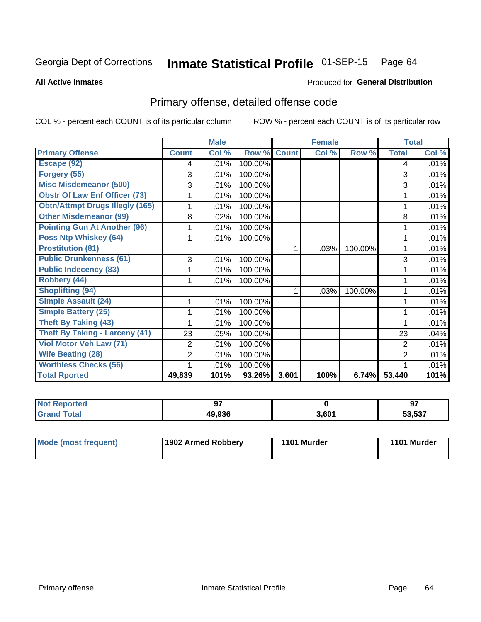#### Inmate Statistical Profile 01-SEP-15 Page 64

**All Active Inmates** 

#### Produced for General Distribution

## Primary offense, detailed offense code

COL % - percent each COUNT is of its particular column

|                                        |                | <b>Male</b> |                  |              | <b>Female</b>             |         | <b>Total</b>   |       |
|----------------------------------------|----------------|-------------|------------------|--------------|---------------------------|---------|----------------|-------|
| <b>Primary Offense</b>                 | <b>Count</b>   | Col %       | Row <sup>%</sup> | <b>Count</b> | $\overline{\text{Col}}$ % | Row %   | <b>Total</b>   | Col % |
| Escape (92)                            | 4              | .01%        | 100.00%          |              |                           |         | 4              | .01%  |
| Forgery (55)                           | 3              | .01%        | 100.00%          |              |                           |         | 3              | .01%  |
| <b>Misc Misdemeanor (500)</b>          | 3              | .01%        | 100.00%          |              |                           |         | 3              | .01%  |
| <b>Obstr Of Law Enf Officer (73)</b>   |                | .01%        | 100.00%          |              |                           |         |                | .01%  |
| <b>Obtn/Attmpt Drugs Illegly (165)</b> |                | .01%        | 100.00%          |              |                           |         |                | .01%  |
| <b>Other Misdemeanor (99)</b>          | 8              | .02%        | 100.00%          |              |                           |         | 8              | .01%  |
| <b>Pointing Gun At Another (96)</b>    |                | .01%        | 100.00%          |              |                           |         |                | .01%  |
| <b>Poss Ntp Whiskey (64)</b>           |                | .01%        | 100.00%          |              |                           |         |                | .01%  |
| <b>Prostitution (81)</b>               |                |             |                  | 1            | .03%                      | 100.00% |                | .01%  |
| <b>Public Drunkenness (61)</b>         | 3              | .01%        | 100.00%          |              |                           |         | 3              | .01%  |
| <b>Public Indecency (83)</b>           |                | .01%        | 100.00%          |              |                           |         |                | .01%  |
| Robbery (44)                           |                | .01%        | 100.00%          |              |                           |         |                | .01%  |
| <b>Shoplifting (94)</b>                |                |             |                  | 1            | .03%                      | 100.00% |                | .01%  |
| <b>Simple Assault (24)</b>             |                | .01%        | 100.00%          |              |                           |         |                | .01%  |
| <b>Simple Battery (25)</b>             |                | .01%        | 100.00%          |              |                           |         |                | .01%  |
| <b>Theft By Taking (43)</b>            |                | .01%        | 100.00%          |              |                           |         |                | .01%  |
| <b>Theft By Taking - Larceny (41)</b>  | 23             | .05%        | 100.00%          |              |                           |         | 23             | .04%  |
| Viol Motor Veh Law (71)                | 2              | .01%        | 100.00%          |              |                           |         | $\overline{2}$ | .01%  |
| <b>Wife Beating (28)</b>               | $\overline{2}$ | .01%        | 100.00%          |              |                           |         | $\overline{2}$ | .01%  |
| <b>Worthless Checks (56)</b>           |                | .01%        | 100.00%          |              |                           |         |                | .01%  |
| <b>Total Rported</b>                   | 49,839         | 101%        | 93.26%           | 3,601        | 100%                      | 6.74%   | 53,440         | 101%  |

| <b>Not Reported</b> | 67     |       | ᄀ.     |
|---------------------|--------|-------|--------|
| Total<br>Gra        | 49,936 | 3,601 | 53,537 |

| Mode (most frequent) | 1902 Armed Robbery | 1101 Murder | 1101 Murder |
|----------------------|--------------------|-------------|-------------|
|                      |                    |             |             |
|                      |                    |             |             |
|                      |                    |             |             |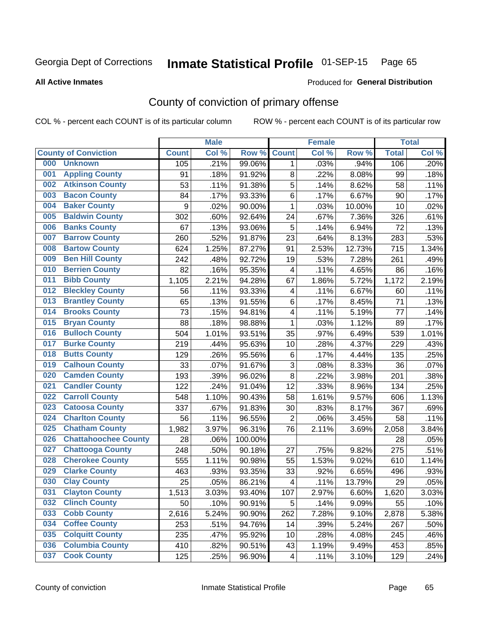# Inmate Statistical Profile 01-SEP-15 Page 65

**All Active Inmates** 

#### Produced for General Distribution

## County of conviction of primary offense

COL % - percent each COUNT is of its particular column

|     |                             |              | <b>Male</b> |         | <b>Female</b>           |       | <b>Total</b> |              |       |
|-----|-----------------------------|--------------|-------------|---------|-------------------------|-------|--------------|--------------|-------|
|     | <b>County of Conviction</b> | <b>Count</b> | Col %       | Row %   | <b>Count</b>            | Col % | Row %        | <b>Total</b> | Col % |
| 000 | <b>Unknown</b>              | 105          | .21%        | 99.06%  | $\mathbf 1$             | .03%  | .94%         | 106          | .20%  |
| 001 | <b>Appling County</b>       | 91           | .18%        | 91.92%  | 8                       | .22%  | 8.08%        | 99           | .18%  |
| 002 | <b>Atkinson County</b>      | 53           | .11%        | 91.38%  | 5                       | .14%  | 8.62%        | 58           | .11%  |
| 003 | <b>Bacon County</b>         | 84           | .17%        | 93.33%  | 6                       | .17%  | 6.67%        | 90           | .17%  |
| 004 | <b>Baker County</b>         | 9            | .02%        | 90.00%  | $\mathbf{1}$            | .03%  | 10.00%       | 10           | .02%  |
| 005 | <b>Baldwin County</b>       | 302          | .60%        | 92.64%  | 24                      | .67%  | 7.36%        | 326          | .61%  |
| 006 | <b>Banks County</b>         | 67           | .13%        | 93.06%  | 5                       | .14%  | 6.94%        | 72           | .13%  |
| 007 | <b>Barrow County</b>        | 260          | .52%        | 91.87%  | 23                      | .64%  | 8.13%        | 283          | .53%  |
| 008 | <b>Bartow County</b>        | 624          | 1.25%       | 87.27%  | 91                      | 2.53% | 12.73%       | 715          | 1.34% |
| 009 | <b>Ben Hill County</b>      | 242          | .48%        | 92.72%  | 19                      | .53%  | 7.28%        | 261          | .49%  |
| 010 | <b>Berrien County</b>       | 82           | .16%        | 95.35%  | $\overline{\mathbf{4}}$ | .11%  | 4.65%        | 86           | .16%  |
| 011 | <b>Bibb County</b>          | 1,105        | 2.21%       | 94.28%  | 67                      | 1.86% | 5.72%        | 1,172        | 2.19% |
| 012 | <b>Bleckley County</b>      | 56           | .11%        | 93.33%  | 4                       | .11%  | 6.67%        | 60           | .11%  |
| 013 | <b>Brantley County</b>      | 65           | .13%        | 91.55%  | 6                       | .17%  | 8.45%        | 71           | .13%  |
| 014 | <b>Brooks County</b>        | 73           | .15%        | 94.81%  | 4                       | .11%  | 5.19%        | 77           | .14%  |
| 015 | <b>Bryan County</b>         | 88           | .18%        | 98.88%  | $\mathbf 1$             | .03%  | 1.12%        | 89           | .17%  |
| 016 | <b>Bulloch County</b>       | 504          | 1.01%       | 93.51%  | 35                      | .97%  | 6.49%        | 539          | 1.01% |
| 017 | <b>Burke County</b>         | 219          | .44%        | 95.63%  | 10                      | .28%  | 4.37%        | 229          | .43%  |
| 018 | <b>Butts County</b>         | 129          | .26%        | 95.56%  | 6                       | .17%  | 4.44%        | 135          | .25%  |
| 019 | <b>Calhoun County</b>       | 33           | .07%        | 91.67%  | 3                       | .08%  | 8.33%        | 36           | .07%  |
| 020 | <b>Camden County</b>        | 193          | .39%        | 96.02%  | 8                       | .22%  | 3.98%        | 201          | .38%  |
| 021 | <b>Candler County</b>       | 122          | .24%        | 91.04%  | 12                      | .33%  | 8.96%        | 134          | .25%  |
| 022 | <b>Carroll County</b>       | 548          | 1.10%       | 90.43%  | 58                      | 1.61% | 9.57%        | 606          | 1.13% |
| 023 | <b>Catoosa County</b>       | 337          | .67%        | 91.83%  | 30                      | .83%  | 8.17%        | 367          | .69%  |
| 024 | <b>Charlton County</b>      | 56           | .11%        | 96.55%  | $\overline{2}$          | .06%  | 3.45%        | 58           | .11%  |
| 025 | <b>Chatham County</b>       | 1,982        | 3.97%       | 96.31%  | 76                      | 2.11% | 3.69%        | 2,058        | 3.84% |
| 026 | <b>Chattahoochee County</b> | 28           | .06%        | 100.00% |                         |       |              | 28           | .05%  |
| 027 | <b>Chattooga County</b>     | 248          | .50%        | 90.18%  | 27                      | .75%  | 9.82%        | 275          | .51%  |
| 028 | <b>Cherokee County</b>      | 555          | 1.11%       | 90.98%  | 55                      | 1.53% | 9.02%        | 610          | 1.14% |
| 029 | <b>Clarke County</b>        | 463          | .93%        | 93.35%  | 33                      | .92%  | 6.65%        | 496          | .93%  |
| 030 | <b>Clay County</b>          | 25           | .05%        | 86.21%  | $\overline{\mathbf{4}}$ | .11%  | 13.79%       | 29           | .05%  |
| 031 | <b>Clayton County</b>       | 1,513        | 3.03%       | 93.40%  | 107                     | 2.97% | 6.60%        | 1,620        | 3.03% |
| 032 | <b>Clinch County</b>        | 50           | .10%        | 90.91%  | 5                       | .14%  | 9.09%        | 55           | .10%  |
| 033 | <b>Cobb County</b>          | 2,616        | 5.24%       | 90.90%  | 262                     | 7.28% | 9.10%        | 2,878        | 5.38% |
| 034 | <b>Coffee County</b>        | 253          | .51%        | 94.76%  | 14                      | .39%  | 5.24%        | 267          | .50%  |
| 035 | <b>Colquitt County</b>      | 235          | .47%        | 95.92%  | 10                      | .28%  | 4.08%        | 245          | .46%  |
| 036 | <b>Columbia County</b>      | 410          | .82%        | 90.51%  | 43                      | 1.19% | 9.49%        | 453          | .85%  |
| 037 | <b>Cook County</b>          | 125          | .25%        | 96.90%  | 4                       | .11%  | 3.10%        | 129          | .24%  |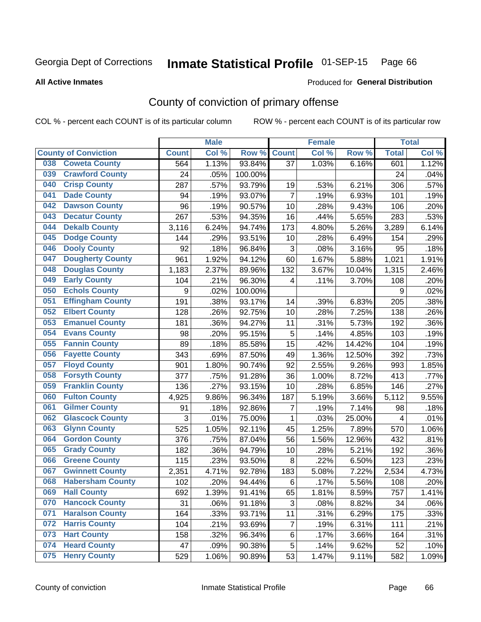# Inmate Statistical Profile 01-SEP-15 Page 66

Produced for General Distribution

#### **All Active Inmates**

## County of conviction of primary offense

COL % - percent each COUNT is of its particular column

|                                |                  | <b>Male</b> |         |                | <b>Female</b> |        |              | <b>Total</b> |
|--------------------------------|------------------|-------------|---------|----------------|---------------|--------|--------------|--------------|
| <b>County of Conviction</b>    | <b>Count</b>     | Col %       | Row %   | <b>Count</b>   | Col %         | Row %  | <b>Total</b> | Col %        |
| <b>Coweta County</b><br>038    | 564              | 1.13%       | 93.84%  | 37             | 1.03%         | 6.16%  | 601          | 1.12%        |
| <b>Crawford County</b><br>039  | 24               | .05%        | 100.00% |                |               |        | 24           | .04%         |
| <b>Crisp County</b><br>040     | 287              | .57%        | 93.79%  | 19             | .53%          | 6.21%  | 306          | .57%         |
| <b>Dade County</b><br>041      | 94               | .19%        | 93.07%  | $\overline{7}$ | .19%          | 6.93%  | 101          | .19%         |
| <b>Dawson County</b><br>042    | 96               | .19%        | 90.57%  | 10             | .28%          | 9.43%  | 106          | .20%         |
| 043<br><b>Decatur County</b>   | 267              | .53%        | 94.35%  | 16             | .44%          | 5.65%  | 283          | .53%         |
| <b>Dekalb County</b><br>044    | 3,116            | 6.24%       | 94.74%  | 173            | 4.80%         | 5.26%  | 3,289        | 6.14%        |
| <b>Dodge County</b><br>045     | 144              | .29%        | 93.51%  | 10             | .28%          | 6.49%  | 154          | .29%         |
| <b>Dooly County</b><br>046     | 92               | .18%        | 96.84%  | 3              | .08%          | 3.16%  | 95           | .18%         |
| 047<br><b>Dougherty County</b> | 961              | 1.92%       | 94.12%  | 60             | 1.67%         | 5.88%  | 1,021        | 1.91%        |
| <b>Douglas County</b><br>048   | 1,183            | 2.37%       | 89.96%  | 132            | 3.67%         | 10.04% | 1,315        | 2.46%        |
| <b>Early County</b><br>049     | 104              | .21%        | 96.30%  | 4              | .11%          | 3.70%  | 108          | .20%         |
| <b>Echols County</b><br>050    | $\boldsymbol{9}$ | .02%        | 100.00% |                |               |        | 9            | .02%         |
| 051<br><b>Effingham County</b> | 191              | .38%        | 93.17%  | 14             | .39%          | 6.83%  | 205          | .38%         |
| <b>Elbert County</b><br>052    | 128              | .26%        | 92.75%  | 10             | .28%          | 7.25%  | 138          | .26%         |
| <b>Emanuel County</b><br>053   | 181              | .36%        | 94.27%  | 11             | .31%          | 5.73%  | 192          | .36%         |
| <b>Evans County</b><br>054     | 98               | .20%        | 95.15%  | 5              | .14%          | 4.85%  | 103          | .19%         |
| <b>Fannin County</b><br>055    | 89               | .18%        | 85.58%  | 15             | .42%          | 14.42% | 104          | .19%         |
| <b>Fayette County</b><br>056   | 343              | .69%        | 87.50%  | 49             | 1.36%         | 12.50% | 392          | .73%         |
| <b>Floyd County</b><br>057     | 901              | 1.80%       | 90.74%  | 92             | 2.55%         | 9.26%  | 993          | 1.85%        |
| <b>Forsyth County</b><br>058   | 377              | .75%        | 91.28%  | 36             | 1.00%         | 8.72%  | 413          | .77%         |
| <b>Franklin County</b><br>059  | 136              | .27%        | 93.15%  | 10             | .28%          | 6.85%  | 146          | .27%         |
| <b>Fulton County</b><br>060    | 4,925            | 9.86%       | 96.34%  | 187            | 5.19%         | 3.66%  | 5,112        | 9.55%        |
| <b>Gilmer County</b><br>061    | 91               | .18%        | 92.86%  | 7              | .19%          | 7.14%  | 98           | .18%         |
| <b>Glascock County</b><br>062  | 3                | .01%        | 75.00%  | 1              | .03%          | 25.00% | 4            | .01%         |
| 063<br><b>Glynn County</b>     | 525              | 1.05%       | 92.11%  | 45             | 1.25%         | 7.89%  | 570          | 1.06%        |
| <b>Gordon County</b><br>064    | 376              | .75%        | 87.04%  | 56             | 1.56%         | 12.96% | 432          | .81%         |
| <b>Grady County</b><br>065     | 182              | .36%        | 94.79%  | 10             | .28%          | 5.21%  | 192          | .36%         |
| <b>Greene County</b><br>066    | 115              | .23%        | 93.50%  | 8              | .22%          | 6.50%  | 123          | .23%         |
| <b>Gwinnett County</b><br>067  | 2,351            | 4.71%       | 92.78%  | 183            | 5.08%         | 7.22%  | 2,534        | 4.73%        |
| <b>Habersham County</b><br>068 | 102              | .20%        | 94.44%  | $\,6\,$        | .17%          | 5.56%  | 108          | .20%         |
| 069<br><b>Hall County</b>      | 692              | 1.39%       | 91.41%  | 65             | 1.81%         | 8.59%  | 757          | 1.41%        |
| <b>Hancock County</b><br>070   | 31               | .06%        | 91.18%  | 3              | .08%          | 8.82%  | 34           | .06%         |
| <b>Haralson County</b><br>071  | 164              | .33%        | 93.71%  | 11             | .31%          | 6.29%  | 175          | .33%         |
| <b>Harris County</b><br>072    | 104              | .21%        | 93.69%  | 7              | .19%          | 6.31%  | 111          | .21%         |
| <b>Hart County</b><br>073      | 158              | .32%        | 96.34%  | 6              | .17%          | 3.66%  | 164          | .31%         |
| <b>Heard County</b><br>074     | 47               | .09%        | 90.38%  | 5              | .14%          | 9.62%  | 52           | .10%         |
| <b>Henry County</b><br>075     | 529              | 1.06%       | 90.89%  | 53             | 1.47%         | 9.11%  | 582          | 1.09%        |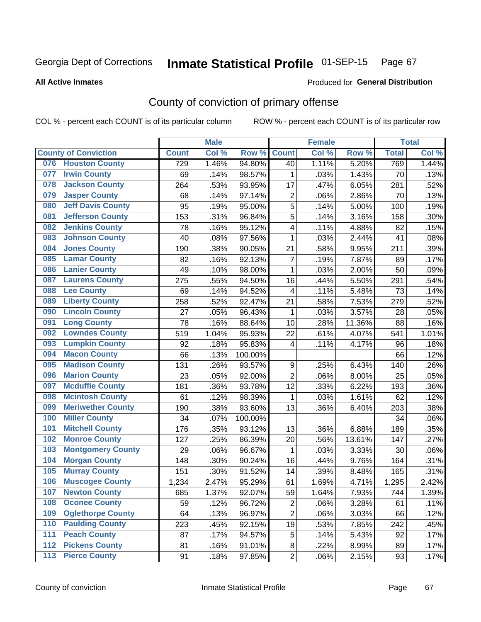# Inmate Statistical Profile 01-SEP-15 Page 67

#### **All Active Inmates**

#### Produced for General Distribution

## County of conviction of primary offense

COL % - percent each COUNT is of its particular column

|     |                             |              | <b>Male</b> |         |                  | <b>Female</b> |        |              | <b>Total</b> |
|-----|-----------------------------|--------------|-------------|---------|------------------|---------------|--------|--------------|--------------|
|     | <b>County of Conviction</b> | <b>Count</b> | Col %       | Row %   | <b>Count</b>     | Col %         | Row %  | <b>Total</b> | Col %        |
| 076 | <b>Houston County</b>       | 729          | 1.46%       | 94.80%  | 40               | 1.11%         | 5.20%  | 769          | 1.44%        |
| 077 | <b>Irwin County</b>         | 69           | .14%        | 98.57%  | 1                | .03%          | 1.43%  | 70           | .13%         |
| 078 | <b>Jackson County</b>       | 264          | .53%        | 93.95%  | 17               | .47%          | 6.05%  | 281          | .52%         |
| 079 | <b>Jasper County</b>        | 68           | .14%        | 97.14%  | $\mathbf 2$      | .06%          | 2.86%  | 70           | .13%         |
| 080 | <b>Jeff Davis County</b>    | 95           | .19%        | 95.00%  | 5                | .14%          | 5.00%  | 100          | .19%         |
| 081 | <b>Jefferson County</b>     | 153          | .31%        | 96.84%  | 5                | .14%          | 3.16%  | 158          | .30%         |
| 082 | <b>Jenkins County</b>       | 78           | .16%        | 95.12%  | 4                | .11%          | 4.88%  | 82           | .15%         |
| 083 | <b>Johnson County</b>       | 40           | .08%        | 97.56%  | $\mathbf 1$      | .03%          | 2.44%  | 41           | .08%         |
| 084 | <b>Jones County</b>         | 190          | .38%        | 90.05%  | 21               | .58%          | 9.95%  | 211          | .39%         |
| 085 | <b>Lamar County</b>         | 82           | .16%        | 92.13%  | $\overline{7}$   | .19%          | 7.87%  | 89           | .17%         |
| 086 | <b>Lanier County</b>        | 49           | .10%        | 98.00%  | 1                | .03%          | 2.00%  | 50           | .09%         |
| 087 | <b>Laurens County</b>       | 275          | .55%        | 94.50%  | 16               | .44%          | 5.50%  | 291          | .54%         |
| 088 | <b>Lee County</b>           | 69           | .14%        | 94.52%  | 4                | .11%          | 5.48%  | 73           | .14%         |
| 089 | <b>Liberty County</b>       | 258          | .52%        | 92.47%  | 21               | .58%          | 7.53%  | 279          | .52%         |
| 090 | <b>Lincoln County</b>       | 27           | .05%        | 96.43%  | 1                | .03%          | 3.57%  | 28           | .05%         |
| 091 | <b>Long County</b>          | 78           | .16%        | 88.64%  | 10               | .28%          | 11.36% | 88           | .16%         |
| 092 | <b>Lowndes County</b>       | 519          | 1.04%       | 95.93%  | 22               | .61%          | 4.07%  | 541          | 1.01%        |
| 093 | <b>Lumpkin County</b>       | 92           | .18%        | 95.83%  | 4                | .11%          | 4.17%  | 96           | .18%         |
| 094 | <b>Macon County</b>         | 66           | .13%        | 100.00% |                  |               |        | 66           | .12%         |
| 095 | <b>Madison County</b>       | 131          | .26%        | 93.57%  | $\boldsymbol{9}$ | .25%          | 6.43%  | 140          | .26%         |
| 096 | <b>Marion County</b>        | 23           | .05%        | 92.00%  | $\overline{2}$   | .06%          | 8.00%  | 25           | .05%         |
| 097 | <b>Mcduffie County</b>      | 181          | .36%        | 93.78%  | 12               | .33%          | 6.22%  | 193          | .36%         |
| 098 | <b>Mcintosh County</b>      | 61           | .12%        | 98.39%  | 1                | .03%          | 1.61%  | 62           | .12%         |
| 099 | <b>Meriwether County</b>    | 190          | .38%        | 93.60%  | 13               | .36%          | 6.40%  | 203          | .38%         |
| 100 | <b>Miller County</b>        | 34           | .07%        | 100.00% |                  |               |        | 34           | .06%         |
| 101 | <b>Mitchell County</b>      | 176          | .35%        | 93.12%  | 13               | .36%          | 6.88%  | 189          | .35%         |
| 102 | <b>Monroe County</b>        | 127          | .25%        | 86.39%  | 20               | .56%          | 13.61% | 147          | .27%         |
| 103 | <b>Montgomery County</b>    | 29           | .06%        | 96.67%  | $\mathbf{1}$     | .03%          | 3.33%  | 30           | .06%         |
| 104 | <b>Morgan County</b>        | 148          | .30%        | 90.24%  | 16               | .44%          | 9.76%  | 164          | .31%         |
| 105 | <b>Murray County</b>        | 151          | .30%        | 91.52%  | 14               | .39%          | 8.48%  | 165          | .31%         |
| 106 | <b>Muscogee County</b>      | 1,234        | 2.47%       | 95.29%  | 61               | 1.69%         | 4.71%  | 1,295        | 2.42%        |
| 107 | <b>Newton County</b>        | 685          | 1.37%       | 92.07%  | 59               | 1.64%         | 7.93%  | 744          | 1.39%        |
| 108 | <b>Oconee County</b>        | 59           | .12%        | 96.72%  | $\overline{2}$   | .06%          | 3.28%  | 61           | .11%         |
| 109 | <b>Oglethorpe County</b>    | 64           | .13%        | 96.97%  | $\overline{c}$   | .06%          | 3.03%  | 66           | .12%         |
| 110 | <b>Paulding County</b>      | 223          | .45%        | 92.15%  | 19               | .53%          | 7.85%  | 242          | .45%         |
| 111 | <b>Peach County</b>         | 87           | .17%        | 94.57%  | 5                | .14%          | 5.43%  | 92           | .17%         |
| 112 | <b>Pickens County</b>       | 81           | .16%        | 91.01%  | $\bf 8$          | .22%          | 8.99%  | 89           | .17%         |
| 113 | <b>Pierce County</b>        | 91           | .18%        | 97.85%  | $\overline{c}$   | .06%          | 2.15%  | 93           | .17%         |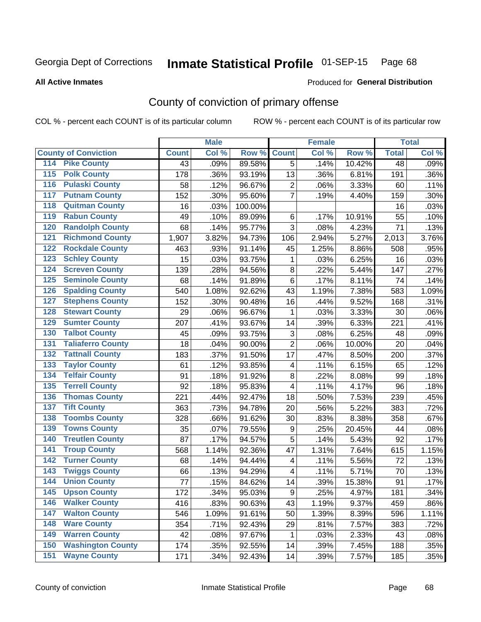# Inmate Statistical Profile 01-SEP-15 Page 68

**All Active Inmates** 

#### Produced for General Distribution

## County of conviction of primary offense

COL % - percent each COUNT is of its particular column

|                                          |              | <b>Male</b> |         |                         | <b>Female</b> |        |                 | <b>Total</b> |
|------------------------------------------|--------------|-------------|---------|-------------------------|---------------|--------|-----------------|--------------|
| <b>County of Conviction</b>              | <b>Count</b> | Col %       | Row %   | <b>Count</b>            | Col %         | Row %  | <b>Total</b>    | Col %        |
| <b>Pike County</b><br>114                | 43           | .09%        | 89.58%  | $\overline{5}$          | .14%          | 10.42% | $\overline{48}$ | .09%         |
| <b>Polk County</b><br>$\overline{115}$   | 178          | .36%        | 93.19%  | 13                      | .36%          | 6.81%  | 191             | .36%         |
| <b>Pulaski County</b><br>116             | 58           | .12%        | 96.67%  | $\overline{2}$          | .06%          | 3.33%  | 60              | .11%         |
| <b>Putnam County</b><br>117              | 152          | .30%        | 95.60%  | $\overline{7}$          | .19%          | 4.40%  | 159             | .30%         |
| <b>Quitman County</b><br>118             | 16           | .03%        | 100.00% |                         |               |        | 16              | .03%         |
| <b>Rabun County</b><br>119               | 49           | .10%        | 89.09%  | $\,6\,$                 | .17%          | 10.91% | 55              | .10%         |
| <b>Randolph County</b><br>120            | 68           | .14%        | 95.77%  | 3                       | .08%          | 4.23%  | 71              | .13%         |
| <b>Richmond County</b><br>121            | 1,907        | 3.82%       | 94.73%  | 106                     | 2.94%         | 5.27%  | 2,013           | 3.76%        |
| <b>Rockdale County</b><br>122            | 463          | .93%        | 91.14%  | 45                      | 1.25%         | 8.86%  | 508             | .95%         |
| <b>Schley County</b><br>123              | 15           | .03%        | 93.75%  | 1                       | .03%          | 6.25%  | 16              | .03%         |
| <b>Screven County</b><br>124             | 139          | .28%        | 94.56%  | 8                       | .22%          | 5.44%  | 147             | .27%         |
| <b>Seminole County</b><br>125            | 68           | .14%        | 91.89%  | $\,6$                   | .17%          | 8.11%  | 74              | .14%         |
| <b>Spalding County</b><br>126            | 540          | 1.08%       | 92.62%  | 43                      | 1.19%         | 7.38%  | 583             | 1.09%        |
| <b>Stephens County</b><br>127            | 152          | .30%        | 90.48%  | 16                      | .44%          | 9.52%  | 168             | .31%         |
| <b>Stewart County</b><br>128             | 29           | .06%        | 96.67%  | 1                       | .03%          | 3.33%  | 30              | .06%         |
| <b>Sumter County</b><br>129              | 207          | .41%        | 93.67%  | 14                      | .39%          | 6.33%  | 221             | .41%         |
| <b>Talbot County</b><br>130              | 45           | .09%        | 93.75%  | 3                       | .08%          | 6.25%  | 48              | .09%         |
| <b>Taliaferro County</b><br>131          | 18           | .04%        | 90.00%  | $\overline{2}$          | .06%          | 10.00% | 20              | .04%         |
| <b>Tattnall County</b><br>132            | 183          | .37%        | 91.50%  | 17                      | .47%          | 8.50%  | 200             | .37%         |
| <b>Taylor County</b><br>133              | 61           | .12%        | 93.85%  | 4                       | .11%          | 6.15%  | 65              | .12%         |
| <b>Telfair County</b><br>134             | 91           | .18%        | 91.92%  | 8                       | .22%          | 8.08%  | 99              | .18%         |
| <b>Terrell County</b><br>135             | 92           | .18%        | 95.83%  | $\overline{\mathbf{4}}$ | .11%          | 4.17%  | 96              | .18%         |
| <b>Thomas County</b><br>136              | 221          | .44%        | 92.47%  | 18                      | .50%          | 7.53%  | 239             | .45%         |
| <b>Tift County</b><br>137                | 363          | .73%        | 94.78%  | 20                      | .56%          | 5.22%  | 383             | .72%         |
| <b>Toombs County</b><br>138              | 328          | .66%        | 91.62%  | 30                      | .83%          | 8.38%  | 358             | .67%         |
| <b>Towns County</b><br>139               | 35           | .07%        | 79.55%  | 9                       | .25%          | 20.45% | 44              | .08%         |
| <b>Treutlen County</b><br>140            | 87           | .17%        | 94.57%  | 5                       | .14%          | 5.43%  | 92              | .17%         |
| <b>Troup County</b><br>141               | 568          | 1.14%       | 92.36%  | 47                      | 1.31%         | 7.64%  | 615             | 1.15%        |
| <b>Turner County</b><br>142              | 68           | .14%        | 94.44%  | $\overline{\mathbf{4}}$ | .11%          | 5.56%  | 72              | .13%         |
| <b>Twiggs County</b><br>$\overline{143}$ | 66           | .13%        | 94.29%  | $\overline{\mathbf{4}}$ | .11%          | 5.71%  | 70              | .13%         |
| <b>Union County</b><br>144               | 77           | .15%        | 84.62%  | 14                      | .39%          | 15.38% | 91              | .17%         |
| 145<br><b>Upson County</b>               | 172          | .34%        | 95.03%  | 9                       | .25%          | 4.97%  | 181             | .34%         |
| <b>Walker County</b><br>146              | 416          | .83%        | 90.63%  | 43                      | 1.19%         | 9.37%  | 459             | .86%         |
| <b>Walton County</b><br>147              | 546          | 1.09%       | 91.61%  | 50                      | 1.39%         | 8.39%  | 596             | 1.11%        |
| <b>Ware County</b><br>148                | 354          | .71%        | 92.43%  | 29                      | .81%          | 7.57%  | 383             | .72%         |
| <b>Warren County</b><br>149              | 42           | .08%        | 97.67%  | $\mathbf 1$             | .03%          | 2.33%  | 43              | .08%         |
| <b>Washington County</b><br>150          | 174          | .35%        | 92.55%  | 14                      | .39%          | 7.45%  | 188             | .35%         |
| <b>Wayne County</b><br>151               | 171          | .34%        | 92.43%  | 14                      | .39%          | 7.57%  | 185             | .35%         |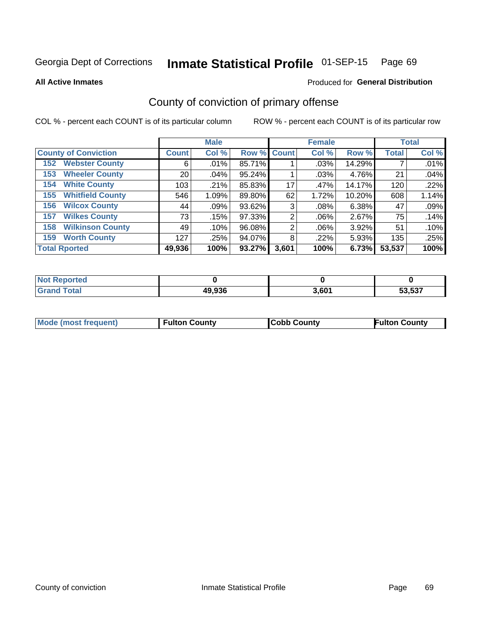# Inmate Statistical Profile 01-SEP-15 Page 69

**All Active Inmates** 

#### Produced for General Distribution

## County of conviction of primary offense

COL % - percent each COUNT is of its particular column

|                                |                 | <b>Male</b> |             |       | <b>Female</b> |        |              | <b>Total</b> |
|--------------------------------|-----------------|-------------|-------------|-------|---------------|--------|--------------|--------------|
| <b>County of Conviction</b>    | <b>Count</b>    | Col %       | Row % Count |       | Col %         | Row %  | <b>Total</b> | Col %        |
| <b>Webster County</b><br>152   | 6               | $.01\%$     | 85.71%      |       | $.03\%$       | 14.29% |              | .01%         |
| <b>Wheeler County</b><br>153   | 20 <sub>1</sub> | .04%        | 95.24%      |       | .03%          | 4.76%  | 21           | .04%         |
| <b>White County</b><br>154     | 103             | .21%        | 85.83%      | 17    | .47%          | 14.17% | 120          | .22%         |
| <b>Whitfield County</b><br>155 | 546             | 1.09%       | 89.80%      | 62    | 1.72%         | 10.20% | 608          | 1.14%        |
| <b>Wilcox County</b><br>156    | 44              | .09%        | 93.62%      | 3     | .08%          | 6.38%  | 47           | .09%         |
| <b>Wilkes County</b><br>157    | 73              | .15%        | 97.33%      | 2     | $.06\%$       | 2.67%  | 75           | .14%         |
| <b>Wilkinson County</b><br>158 | 49              | .10%        | 96.08%      | 2     | $.06\%$       | 3.92%  | 51           | .10%         |
| <b>Worth County</b><br>159     | 127             | .25%        | 94.07%      | 8     | $.22\%$       | 5.93%  | 135          | .25%         |
| <b>Total Rported</b>           | 49,936          | 100%        | 93.27%      | 3,601 | 100%          | 6.73%  | 53,537       | 100%         |

| <b>Not Reported</b> |        |       |        |
|---------------------|--------|-------|--------|
| Total               | 49,936 | 3,601 | 53,537 |

| Mode (most frequent) | <b>Fulton County</b> | <b>Cobb County</b> | <b>Fulton County</b> |
|----------------------|----------------------|--------------------|----------------------|
|                      |                      |                    |                      |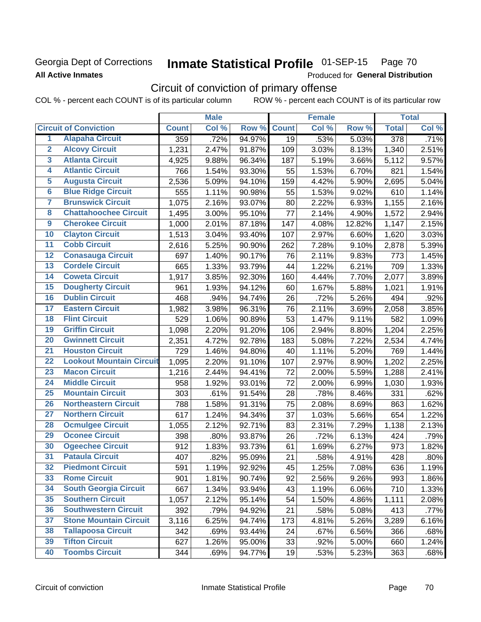### **Georgia Dept of Corrections All Active Inmates**

#### Inmate Statistical Profile 01-SEP-15 Page 70

Produced for General Distribution

# Circuit of conviction of primary offense

COL % - percent each COUNT is of its particular column ROW % - percent each COUNT is of its particular row

|                         |                                 |              | <b>Male</b> |        |                 | <b>Female</b> |        |                    | <b>Total</b> |
|-------------------------|---------------------------------|--------------|-------------|--------|-----------------|---------------|--------|--------------------|--------------|
|                         | <b>Circuit of Conviction</b>    | <b>Count</b> | Col %       | Row %  | <b>Count</b>    | Col %         | Row %  | <b>Total</b>       | Col %        |
| 1                       | <b>Alapaha Circuit</b>          | 359          | .72%        | 94.97% | $\overline{19}$ | .53%          | 5.03%  | $\overline{378}$   | .71%         |
| $\overline{2}$          | <b>Alcovy Circuit</b>           | 1,231        | 2.47%       | 91.87% | 109             | 3.03%         | 8.13%  | 1,340              | 2.51%        |
| $\overline{\mathbf{3}}$ | <b>Atlanta Circuit</b>          | 4,925        | 9.88%       | 96.34% | 187             | 5.19%         | 3.66%  | 5,112              | 9.57%        |
| 4                       | <b>Atlantic Circuit</b>         | 766          | 1.54%       | 93.30% | 55              | 1.53%         | 6.70%  | 821                | 1.54%        |
| 5                       | <b>Augusta Circuit</b>          | 2,536        | 5.09%       | 94.10% | 159             | 4.42%         | 5.90%  | 2,695              | 5.04%        |
| $\overline{\mathbf{6}}$ | <b>Blue Ridge Circuit</b>       | 555          | 1.11%       | 90.98% | 55              | 1.53%         | 9.02%  | 610                | 1.14%        |
| $\overline{\mathbf{7}}$ | <b>Brunswick Circuit</b>        | 1,075        | 2.16%       | 93.07% | 80              | 2.22%         | 6.93%  | 1,155              | 2.16%        |
| 8                       | <b>Chattahoochee Circuit</b>    | 1,495        | 3.00%       | 95.10% | 77              | 2.14%         | 4.90%  | 1,572              | 2.94%        |
| $\overline{9}$          | <b>Cherokee Circuit</b>         | 1,000        | 2.01%       | 87.18% | 147             | 4.08%         | 12.82% | 1,147              | 2.15%        |
| 10                      | <b>Clayton Circuit</b>          | 1,513        | 3.04%       | 93.40% | 107             | 2.97%         | 6.60%  | 1,620              | 3.03%        |
| $\overline{11}$         | <b>Cobb Circuit</b>             | 2,616        | 5.25%       | 90.90% | 262             | 7.28%         | 9.10%  | 2,878              | 5.39%        |
| 12                      | <b>Conasauga Circuit</b>        | 697          | 1.40%       | 90.17% | 76              | 2.11%         | 9.83%  | 773                | 1.45%        |
| $\overline{13}$         | <b>Cordele Circuit</b>          | 665          | 1.33%       | 93.79% | 44              | 1.22%         | 6.21%  | 709                | 1.33%        |
| $\overline{14}$         | <b>Coweta Circuit</b>           | 1,917        | 3.85%       | 92.30% | 160             | 4.44%         | 7.70%  | 2,077              | 3.89%        |
| $\overline{15}$         | <b>Dougherty Circuit</b>        | 961          | 1.93%       | 94.12% | 60              | 1.67%         | 5.88%  | 1,021              | 1.91%        |
| 16                      | <b>Dublin Circuit</b>           | 468          | .94%        | 94.74% | 26              | .72%          | 5.26%  | 494                | .92%         |
| $\overline{17}$         | <b>Eastern Circuit</b>          | 1,982        | 3.98%       | 96.31% | 76              | 2.11%         | 3.69%  | $\overline{2,}058$ | 3.85%        |
| 18                      | <b>Flint Circuit</b>            | 529          | 1.06%       | 90.89% | 53              | 1.47%         | 9.11%  | 582                | 1.09%        |
| 19                      | <b>Griffin Circuit</b>          | 1,098        | 2.20%       | 91.20% | 106             | 2.94%         | 8.80%  | 1,204              | 2.25%        |
| 20                      | <b>Gwinnett Circuit</b>         | 2,351        | 4.72%       | 92.78% | 183             | 5.08%         | 7.22%  | 2,534              | 4.74%        |
| $\overline{21}$         | <b>Houston Circuit</b>          | 729          | 1.46%       | 94.80% | 40              | 1.11%         | 5.20%  | 769                | 1.44%        |
| $\overline{22}$         | <b>Lookout Mountain Circuit</b> | 1,095        | 2.20%       | 91.10% | 107             | 2.97%         | 8.90%  | 1,202              | 2.25%        |
| 23                      | <b>Macon Circuit</b>            | 1,216        | 2.44%       | 94.41% | 72              | 2.00%         | 5.59%  | 1,288              | 2.41%        |
| 24                      | <b>Middle Circuit</b>           | 958          | 1.92%       | 93.01% | 72              | 2.00%         | 6.99%  | 1,030              | 1.93%        |
| $\overline{25}$         | <b>Mountain Circuit</b>         | 303          | .61%        | 91.54% | 28              | .78%          | 8.46%  | 331                | .62%         |
| 26                      | <b>Northeastern Circuit</b>     | 788          | 1.58%       | 91.31% | 75              | 2.08%         | 8.69%  | 863                | 1.62%        |
| $\overline{27}$         | <b>Northern Circuit</b>         | 617          | 1.24%       | 94.34% | 37              | 1.03%         | 5.66%  | 654                | 1.22%        |
| 28                      | <b>Ocmulgee Circuit</b>         | 1,055        | 2.12%       | 92.71% | 83              | 2.31%         | 7.29%  | 1,138              | 2.13%        |
| 29                      | <b>Oconee Circuit</b>           | 398          | .80%        | 93.87% | 26              | .72%          | 6.13%  | 424                | .79%         |
| 30                      | <b>Ogeechee Circuit</b>         | 912          | 1.83%       | 93.73% | 61              | 1.69%         | 6.27%  | 973                | 1.82%        |
| $\overline{31}$         | <b>Pataula Circuit</b>          | 407          | .82%        | 95.09% | 21              | .58%          | 4.91%  | 428                | .80%         |
| 32                      | <b>Piedmont Circuit</b>         | 591          | 1.19%       | 92.92% | 45              | 1.25%         | 7.08%  | 636                | 1.19%        |
| 33                      | <b>Rome Circuit</b>             | 901          | 1.81%       | 90.74% | 92              | 2.56%         | 9.26%  | 993                | 1.86%        |
| 34                      | <b>South Georgia Circuit</b>    | 667          | 1.34%       | 93.94% | 43              | 1.19%         | 6.06%  | 710                | 1.33%        |
| 35                      | <b>Southern Circuit</b>         | 1,057        | 2.12%       | 95.14% | 54              | 1.50%         | 4.86%  | 1,111              | 2.08%        |
| 36                      | <b>Southwestern Circuit</b>     | 392          | .79%        | 94.92% | 21              | .58%          | 5.08%  | 413                | .77%         |
| 37                      | <b>Stone Mountain Circuit</b>   | 3,116        | 6.25%       | 94.74% | 173             | 4.81%         | 5.26%  | 3,289              | 6.16%        |
| 38                      | <b>Tallapoosa Circuit</b>       | 342          | .69%        | 93.44% | 24              | .67%          | 6.56%  | 366                | .68%         |
| 39                      | <b>Tifton Circuit</b>           | 627          | 1.26%       | 95.00% | 33              | .92%          | 5.00%  | 660                | 1.24%        |
| 40                      | <b>Toombs Circuit</b>           | 344          | .69%        | 94.77% | 19              | .53%          | 5.23%  | 363                | .68%         |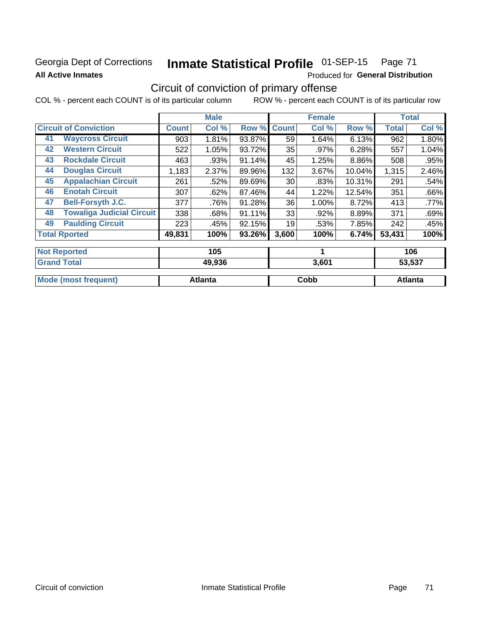## **Georgia Dept of Corrections All Active Inmates**

#### Inmate Statistical Profile 01-SEP-15 Page 71

Produced for General Distribution

# Circuit of conviction of primary offense

COL % - percent each COUNT is of its particular column ROW % - percent each COUNT is of its particular row

|              | <b>Male</b> |        |              | <b>Female</b>             |        |              | <b>Total</b> |
|--------------|-------------|--------|--------------|---------------------------|--------|--------------|--------------|
| <b>Count</b> | Col %       |        | <b>Count</b> | Col %                     | Row %  | <b>Total</b> | Col %        |
| 903          | 1.81%       | 93.87% | 59           | 1.64%                     | 6.13%  | 962          | 1.80%        |
| 522          | 1.05%       | 93.72% | 35           | .97%                      | 6.28%  | 557          | 1.04%        |
| 463          | .93%        |        | 45           | 1.25%                     | 8.86%  | 508          | .95%         |
| 1,183        | 2.37%       | 89.96% | 132          | 3.67%                     | 10.04% | 1,315        | 2.46%        |
| 261          | .52%        | 89.69% | 30           | .83%                      | 10.31% | 291          | .54%         |
| 307          | .62%        | 87.46% | 44           | 1.22%                     | 12.54% | 351          | .66%         |
| 377          | .76%        | 91.28% | 36           | 1.00%                     | 8.72%  | 413          | .77%         |
| 338          | .68%        | 91.11% | 33           | .92%                      | 8.89%  | 371          | .69%         |
| 223          | .45%        | 92.15% | 19           | .53%                      | 7.85%  | 242          | .45%         |
| 49,831       | 100%        |        | 3,600        | 100%                      |        | 53,431       | 100%         |
|              |             |        |              |                           |        |              | 106          |
|              |             | 105    |              | Row %<br>91.14%<br>93.26% |        |              | 6.74%        |

| <b>Grand Total</b>          | 49,936         | 3,601 | 53,537  |
|-----------------------------|----------------|-------|---------|
| <b>Mode (most frequent)</b> | <b>Atlanta</b> | Cobb  | Atlanta |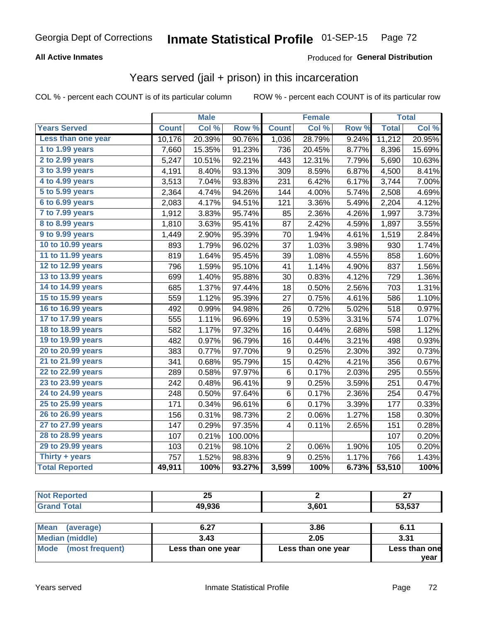# Georgia Dept of Corrections **Inmate Statistical Profile** 01-SEP-15 Page 72

### **All Active Inmates**

### Produced for **General Distribution**

## Years served (jail + prison) in this incarceration

COL % - percent each COUNT is of its particular column ROW % - percent each COUNT is of its particular row

|                              |              | <b>Male</b> |         |                  | <b>Female</b> |                  |              | <b>Total</b> |
|------------------------------|--------------|-------------|---------|------------------|---------------|------------------|--------------|--------------|
| <b>Years Served</b>          | <b>Count</b> | Col %       | Row %   | <b>Count</b>     | Col %         | Row <sub>%</sub> | <b>Total</b> | Col%         |
| Less than one year           | 10,176       | 20.39%      | 90.76%  | 1,036            | 28.79%        | 9.24%            | 11,212       | 20.95%       |
| 1 to 1.99 years              | 7,660        | 15.35%      | 91.23%  | 736              | 20.45%        | 8.77%            | 8,396        | 15.69%       |
| $2$ to 2.99 years            | 5,247        | 10.51%      | 92.21%  | 443              | 12.31%        | 7.79%            | 5,690        | 10.63%       |
| $3$ to $3.99$ years          | 4,191        | 8.40%       | 93.13%  | 309              | 8.59%         | 6.87%            | 4,500        | 8.41%        |
| $\overline{4}$ to 4.99 years | 3,513        | 7.04%       | 93.83%  | 231              | 6.42%         | 6.17%            | 3,744        | 7.00%        |
| 5 to 5.99 years              | 2,364        | 4.74%       | 94.26%  | 144              | 4.00%         | 5.74%            | 2,508        | 4.69%        |
| 6 to 6.99 years              | 2,083        | 4.17%       | 94.51%  | 121              | 3.36%         | 5.49%            | 2,204        | 4.12%        |
| 7 to 7.99 years              | 1,912        | 3.83%       | 95.74%  | 85               | 2.36%         | 4.26%            | 1,997        | 3.73%        |
| <b>8 to 8.99 years</b>       | 1,810        | 3.63%       | 95.41%  | 87               | 2.42%         | 4.59%            | 1,897        | 3.55%        |
| 9 to 9.99 years              | 1,449        | 2.90%       | 95.39%  | 70               | 1.94%         | 4.61%            | 1,519        | 2.84%        |
| 10 to 10.99 years            | 893          | 1.79%       | 96.02%  | 37               | 1.03%         | 3.98%            | 930          | 1.74%        |
| 11 to 11.99 years            | 819          | 1.64%       | 95.45%  | 39               | 1.08%         | 4.55%            | 858          | 1.60%        |
| 12 to 12.99 years            | 796          | 1.59%       | 95.10%  | 41               | 1.14%         | 4.90%            | 837          | 1.56%        |
| 13 to 13.99 years            | 699          | 1.40%       | 95.88%  | 30               | 0.83%         | 4.12%            | 729          | 1.36%        |
| 14 to 14.99 years            | 685          | 1.37%       | 97.44%  | 18               | 0.50%         | 2.56%            | 703          | 1.31%        |
| 15 to 15.99 years            | 559          | 1.12%       | 95.39%  | 27               | 0.75%         | 4.61%            | 586          | 1.10%        |
| 16 to 16.99 years            | 492          | 0.99%       | 94.98%  | 26               | 0.72%         | 5.02%            | 518          | 0.97%        |
| 17 to 17.99 years            | 555          | 1.11%       | 96.69%  | 19               | 0.53%         | 3.31%            | 574          | 1.07%        |
| 18 to 18.99 years            | 582          | 1.17%       | 97.32%  | 16               | 0.44%         | 2.68%            | 598          | 1.12%        |
| 19 to 19.99 years            | 482          | 0.97%       | 96.79%  | 16               | 0.44%         | 3.21%            | 498          | 0.93%        |
| 20 to 20.99 years            | 383          | 0.77%       | 97.70%  | $\boldsymbol{9}$ | 0.25%         | 2.30%            | 392          | 0.73%        |
| 21 to 21.99 years            | 341          | 0.68%       | 95.79%  | 15               | 0.42%         | 4.21%            | 356          | 0.67%        |
| 22 to 22.99 years            | 289          | 0.58%       | 97.97%  | $\,6\,$          | 0.17%         | 2.03%            | 295          | 0.55%        |
| 23 to 23.99 years            | 242          | 0.48%       | 96.41%  | $\boldsymbol{9}$ | 0.25%         | 3.59%            | 251          | 0.47%        |
| 24 to 24.99 years            | 248          | 0.50%       | 97.64%  | $\,6$            | 0.17%         | 2.36%            | 254          | 0.47%        |
| 25 to 25.99 years            | 171          | 0.34%       | 96.61%  | 6                | 0.17%         | 3.39%            | 177          | 0.33%        |
| 26 to 26.99 years            | 156          | 0.31%       | 98.73%  | $\overline{c}$   | 0.06%         | 1.27%            | 158          | 0.30%        |
| 27 to 27.99 years            | 147          | 0.29%       | 97.35%  | 4                | 0.11%         | 2.65%            | 151          | 0.28%        |
| 28 to 28.99 years            | 107          | 0.21%       | 100.00% |                  |               |                  | 107          | 0.20%        |
| 29 to 29.99 years            | 103          | 0.21%       | 98.10%  | $\overline{c}$   | 0.06%         | 1.90%            | 105          | 0.20%        |
| Thirty + years               | 757          | 1.52%       | 98.83%  | 9                | 0.25%         | 1.17%            | 766          | 1.43%        |
| <b>Total Reported</b>        | 49,911       | 100%        | 93.27%  | 3,599            | 100%          | 6.73%            | 53,510       | 100%         |

|      | --<br>--         |             | $\sim$<br>- - |
|------|------------------|-------------|---------------|
| ____ | $\sim$ 000<br>л. | <b>1004</b> | -- ---        |

| <b>Mean</b><br>(average) | 6.27               | 3.86               | 6.11          |
|--------------------------|--------------------|--------------------|---------------|
| Median (middle)          | 3.43               | 2.05               | 3.31          |
| Mode (most frequent)     | Less than one year | Less than one year | Less than one |
|                          |                    |                    | vear          |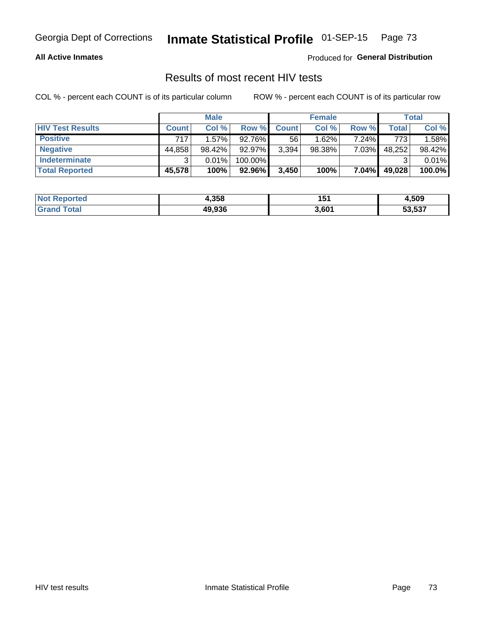#### **All Active Inmates**

Produced for **General Distribution**

## Results of most recent HIV tests

|                         | <b>Male</b>  |        |         | <b>Female</b> |        |       | Total  |        |
|-------------------------|--------------|--------|---------|---------------|--------|-------|--------|--------|
| <b>HIV Test Results</b> | <b>Count</b> | Col %  | Row %I  | <b>Count</b>  | Col %  | Row % | Total  | Col %  |
| <b>Positive</b>         | 717          | 1.57%  | 92.76%  | 56            | 1.62%  | 7.24% | 773    | 1.58%  |
| <b>Negative</b>         | 44,858       | 98.42% | 92.97%  | 3,394         | 98.38% | 7.03% | 48,252 | 98.42% |
| <b>Indeterminate</b>    | ົ            | 0.01%  | 100.00% |               |        |       |        | 0.01%  |
| <b>Total Reported</b>   | 45,578       | 100%   | 92.96%  | 3.450         | 100%   | 7.04% | 49,028 | 100.0% |

| <b>Not Reported</b> | 4,358  | 151   | 4,509  |
|---------------------|--------|-------|--------|
| Total               | 49,936 | 3,601 | 53,537 |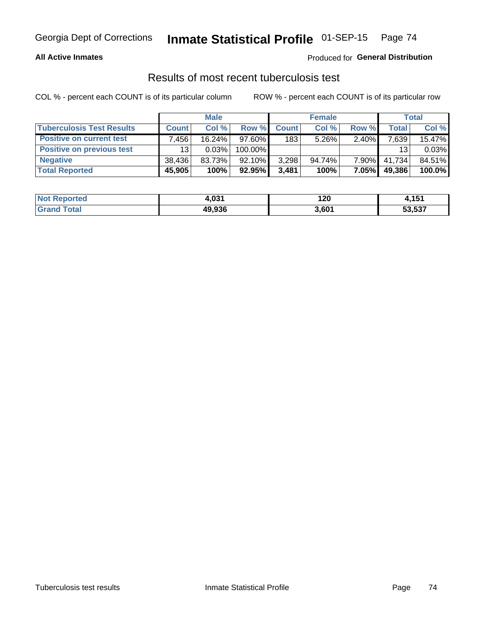#### **All Active Inmates**

### Produced for **General Distribution**

### Results of most recent tuberculosis test

|                                  | <b>Male</b>  |        |           | <b>Female</b> |           |          | <b>Total</b> |        |
|----------------------------------|--------------|--------|-----------|---------------|-----------|----------|--------------|--------|
| <b>Tuberculosis Test Results</b> | <b>Count</b> | Col %  | Row %     | <b>Count</b>  | Col %     | Row %    | <b>Total</b> | Col %  |
| <b>Positive on current test</b>  | .456         | 16.24% | $97.60\%$ | 183           | $5.26\%$  | $2.40\%$ | 7,639        | 15.47% |
| <b>Positive on previous test</b> | 13           | 0.03%  | 100.00%   |               |           |          | 13           | 0.03%  |
| <b>Negative</b>                  | 38.436       | 83.73% | $92.10\%$ | 3,298         | $94.74\%$ | $7.90\%$ | 41.734       | 84.51% |
| <b>Total Reported</b>            | 45,905       | 100%   | 92.95%    | 3,481         | 100%      | 7.05%    | 49,386       | 100.0% |

| <b>Not Reported</b>  | ג פס<br>4.VJ. | 120   | <b>454</b><br>4, I J I |
|----------------------|---------------|-------|------------------------|
| <b>Total</b><br>Gran | 49,936        | 3,601 | 53,537                 |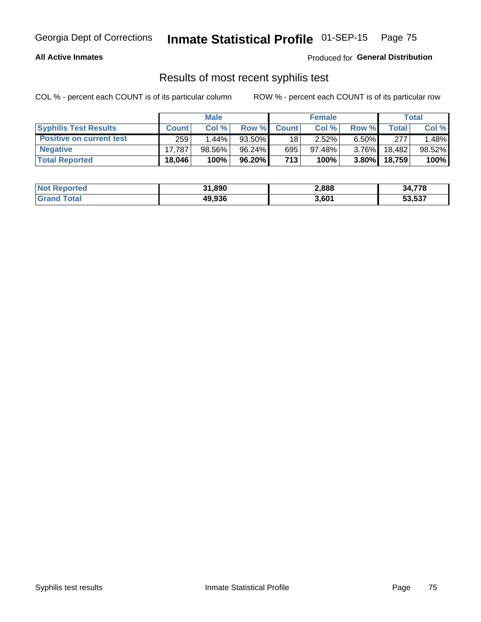#### **All Active Inmates**

Produced for **General Distribution**

## Results of most recent syphilis test

|                                 | <b>Male</b>  |          |        | <b>Female</b> |           |          | Total   |        |
|---------------------------------|--------------|----------|--------|---------------|-----------|----------|---------|--------|
| <b>Syphilis Test Results</b>    | <b>Count</b> | Col%     | Row %  | <b>Count</b>  | Col %     | Row %    | Total I | Col %  |
| <b>Positive on current test</b> | 259          | $1.44\%$ | 93.50% | 18            | $2.52\%$  | $6.50\%$ | 277     | .48%   |
| <b>Negative</b>                 | 17.787       | 98.56%   | 96.24% | 695           | $97.48\%$ | $3.76\%$ | 18.482  | 98.52% |
| <b>Total Reported</b>           | 18,046       | 100%     | 96.20% | 713           | 100%      | $3.80\%$ | 18,759  | 100%   |

| <b>Not Reported</b> | 31,890 | 2,888 | 34,778 |
|---------------------|--------|-------|--------|
| <b>Grand Total</b>  | 49,936 | 3,601 | 53,537 |